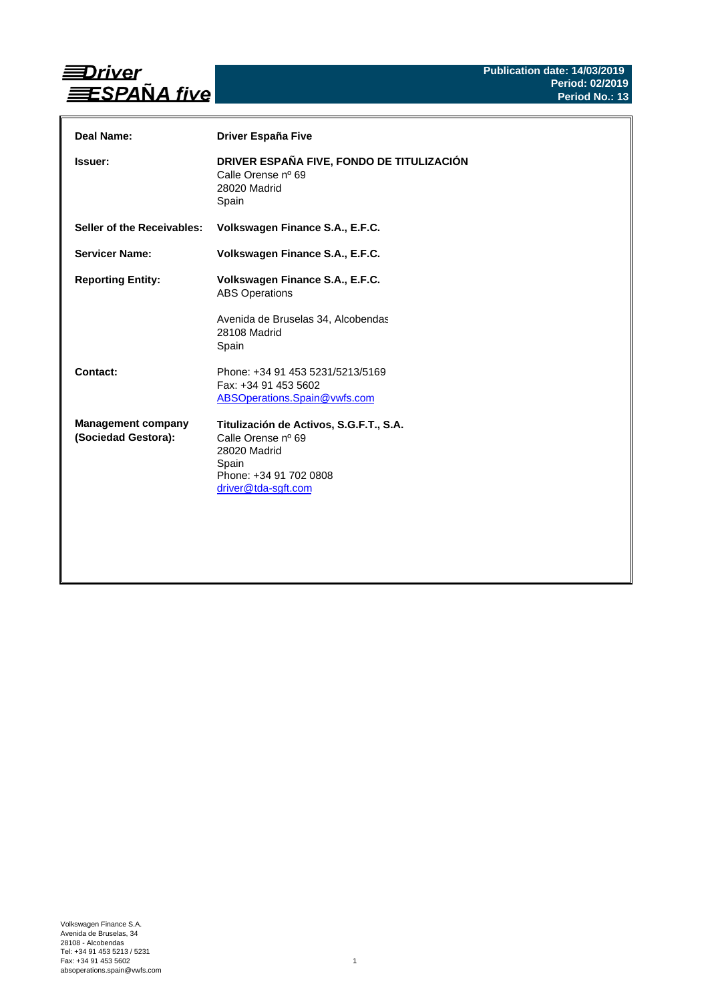

| Deal Name:                                       | <b>Driver España Five</b>                                                                                                               |
|--------------------------------------------------|-----------------------------------------------------------------------------------------------------------------------------------------|
| <b>Issuer:</b>                                   | DRIVER ESPAÑA FIVE, FONDO DE TITULIZACIÓN<br>Calle Orense nº 69<br>28020 Madrid<br>Spain                                                |
| Seller of the Receivables:                       | Volkswagen Finance S.A., E.F.C.                                                                                                         |
| <b>Servicer Name:</b>                            | Volkswagen Finance S.A., E.F.C.                                                                                                         |
| <b>Reporting Entity:</b>                         | Volkswagen Finance S.A., E.F.C.<br><b>ABS Operations</b><br>Avenida de Bruselas 34, Alcobendas<br>28108 Madrid<br>Spain                 |
| Contact:                                         | Phone: +34 91 453 5231/5213/5169<br>Fax: +34 91 453 5602<br>ABSOperations.Spain@vwfs.com                                                |
| <b>Management company</b><br>(Sociedad Gestora): | Titulización de Activos, S.G.F.T., S.A.<br>Calle Orense nº 69<br>28020 Madrid<br>Spain<br>Phone: +34 91 702 0808<br>driver@tda-sgft.com |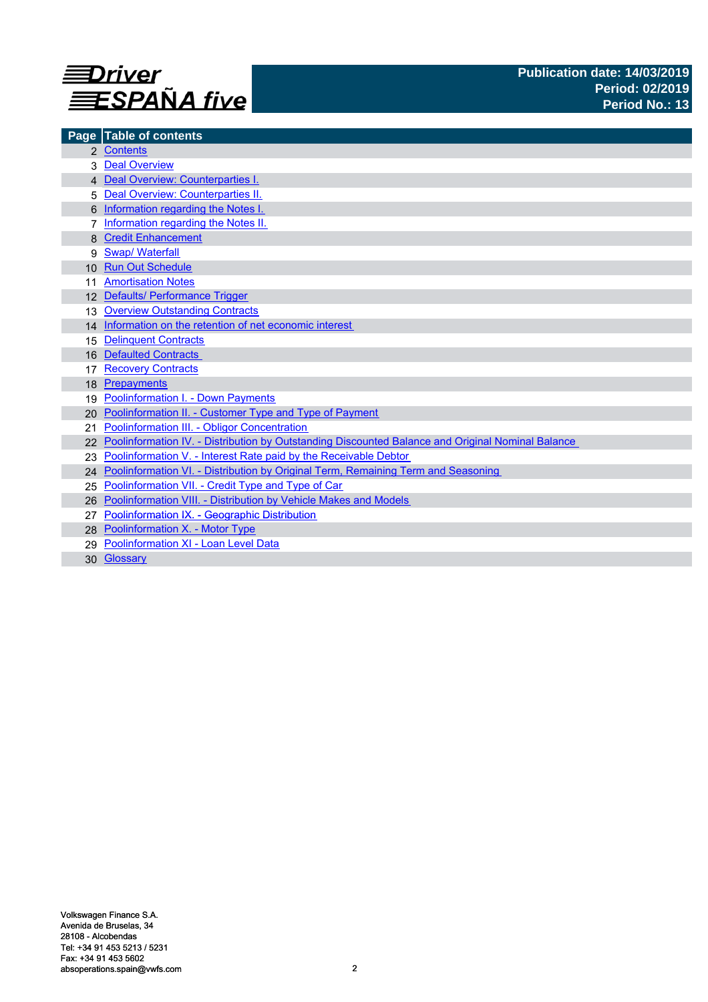

|                 | Page Table of contents                                                                            |
|-----------------|---------------------------------------------------------------------------------------------------|
|                 | 2 Contents                                                                                        |
|                 | <b>Deal Overview</b>                                                                              |
|                 | 4 Deal Overview: Counterparties I.                                                                |
| 5               | Deal Overview: Counterparties II.                                                                 |
|                 | Information regarding the Notes I.                                                                |
|                 | Information regarding the Notes II.                                                               |
|                 | <b>Credit Enhancement</b>                                                                         |
| 9               | <b>Swap/ Waterfall</b>                                                                            |
| 10 <sup>1</sup> | <b>Run Out Schedule</b>                                                                           |
|                 | <b>Amortisation Notes</b>                                                                         |
|                 | 12 Defaults/ Performance Trigger                                                                  |
| 13              | <b>Overview Outstanding Contracts</b>                                                             |
|                 | 14 Information on the retention of net economic interest                                          |
| 15              | <b>Delinquent Contracts</b>                                                                       |
| 16              | <b>Defaulted Contracts</b>                                                                        |
|                 | <b>Recovery Contracts</b>                                                                         |
| 18              | Prepayments                                                                                       |
| 19              | <b>Poolinformation I. - Down Payments</b>                                                         |
| 20              | Poolinformation II. - Customer Type and Type of Payment                                           |
| 21              | Poolinformation III. - Obligor Concentration                                                      |
|                 | Poolinformation IV. - Distribution by Outstanding Discounted Balance and Original Nominal Balance |
| 23              | Poolinformation V. - Interest Rate paid by the Receivable Debtor                                  |
| 24              | Poolinformation VI. - Distribution by Original Term, Remaining Term and Seasoning                 |
| 25              | Poolinformation VII. - Credit Type and Type of Car                                                |
| 26              | Poolinformation VIII. - Distribution by Vehicle Makes and Models                                  |
| 27              | Poolinformation IX. - Geographic Distribution                                                     |
|                 | 28 Poolinformation X. - Motor Type                                                                |
| 29              | Poolinformation XI - Loan Level Data                                                              |
|                 | 30 Glossary                                                                                       |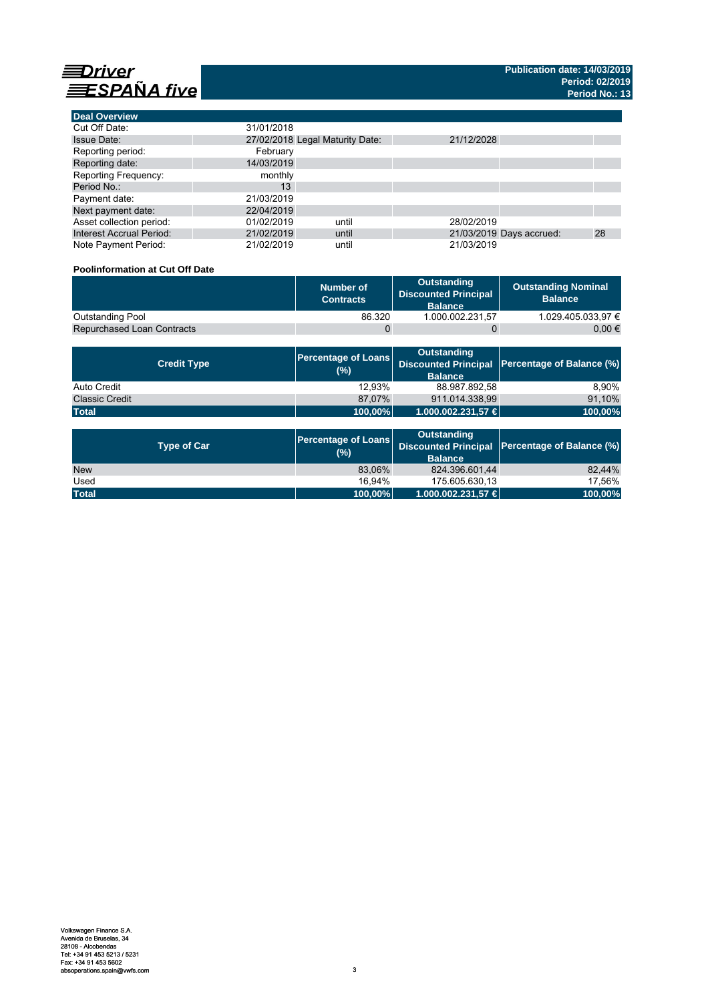

**Deal Overview**

| <b>Deal Overview</b>            |                                 |       |            |                          |    |
|---------------------------------|---------------------------------|-------|------------|--------------------------|----|
| Cut Off Date:                   | 31/01/2018                      |       |            |                          |    |
| <b>Issue Date:</b>              | 27/02/2018 Legal Maturity Date: |       | 21/12/2028 |                          |    |
| Reporting period:               | February                        |       |            |                          |    |
| Reporting date:                 | 14/03/2019                      |       |            |                          |    |
| <b>Reporting Frequency:</b>     | monthly                         |       |            |                          |    |
| Period No.:                     | 13                              |       |            |                          |    |
| Payment date:                   | 21/03/2019                      |       |            |                          |    |
| Next payment date:              | 22/04/2019                      |       |            |                          |    |
| Asset collection period:        | 01/02/2019                      | until | 28/02/2019 |                          |    |
| <b>Interest Accrual Period:</b> | 21/02/2019                      | until |            | 21/03/2019 Days accrued: | 28 |
| Note Payment Period:            | 21/02/2019                      | until | 21/03/2019 |                          |    |

# **Poolinformation at Cut Off Date**

|                                   | Number of<br><b>Contracts</b> | Outstanding<br><b>Discounted Principal</b><br><b>Balance</b> | <b>Outstanding Nominal</b><br><b>Balance</b> |
|-----------------------------------|-------------------------------|--------------------------------------------------------------|----------------------------------------------|
| <b>Outstanding Pool</b>           | 86.320                        | 1.000.002.231.57                                             | 1.029.405.033.97 €                           |
| <b>Repurchased Loan Contracts</b> |                               |                                                              | 0.00 €                                       |

| <b>Credit Type</b>    | (%)     | <b>Outstanding</b><br><b>Balance</b> | Percentage of Loans Discounted Principal Percentage of Balance (%) |
|-----------------------|---------|--------------------------------------|--------------------------------------------------------------------|
| Auto Credit           | 12.93%  | 88.987.892,58                        | 8.90%                                                              |
| <b>Classic Credit</b> | 87.07%  | 911.014.338.99                       | 91,10%                                                             |
| <b>Total</b>          | 100,00% | 1.000.002.231,57 €                   | 100,00%                                                            |

| <b>Type of Car</b> | <b>Percentage of Loans</b><br>(%) | <b>Outstanding</b><br><b>Balance</b> | Discounted Principal Percentage of Balance (%) |
|--------------------|-----------------------------------|--------------------------------------|------------------------------------------------|
| <b>New</b>         | 83.06%                            | 824.396.601.44                       | 82.44%                                         |
| Used               | 16.94%                            | 175.605.630.13                       | 17.56%                                         |
| <b>Total</b>       | 100,00%                           | 1.000.002.231,57 €                   | 100,00%                                        |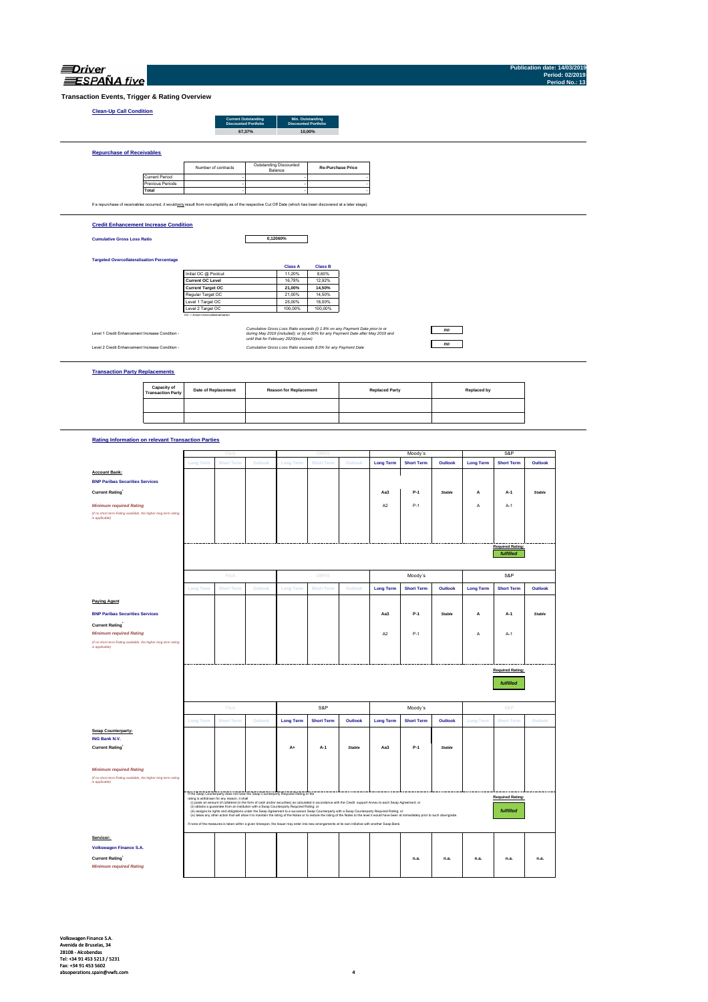| ı. |  |
|----|--|

**Publication date: 14/03/2019**

| <b>Clean-Up Call Condition</b>                                                                                                                                    |                                           |                                                       | <b>Current Outstanding</b>  |         |                                         | Min. Outstanding                                                                                                                                                  |               |                       |                   |               |                    |                         |               |
|-------------------------------------------------------------------------------------------------------------------------------------------------------------------|-------------------------------------------|-------------------------------------------------------|-----------------------------|---------|-----------------------------------------|-------------------------------------------------------------------------------------------------------------------------------------------------------------------|---------------|-----------------------|-------------------|---------------|--------------------|-------------------------|---------------|
|                                                                                                                                                                   |                                           |                                                       | <b>Discounted Portfolio</b> | 67,37%  |                                         | <b>Discounted Portfolio</b><br>10.00%                                                                                                                             |               |                       |                   |               |                    |                         |               |
|                                                                                                                                                                   |                                           |                                                       |                             |         |                                         |                                                                                                                                                                   |               |                       |                   |               |                    |                         |               |
| <b>Repurchase of Receivables</b>                                                                                                                                  |                                           |                                                       |                             |         |                                         |                                                                                                                                                                   |               |                       |                   |               |                    |                         |               |
|                                                                                                                                                                   |                                           |                                                       | Number of contracts         |         | Outstanding Discounted<br>Balance       | <b>Re-Purchase Price</b>                                                                                                                                          |               |                       |                   |               |                    |                         |               |
|                                                                                                                                                                   | <b>Current Period</b><br>Previous Periods |                                                       |                             |         |                                         |                                                                                                                                                                   |               |                       |                   |               |                    |                         |               |
| <b>Total</b>                                                                                                                                                      |                                           |                                                       |                             |         |                                         |                                                                                                                                                                   |               |                       |                   |               |                    |                         |               |
| If a repurchase of receivables occurred, it wouldonly result from non-eligibility as of the respective Cut Off Date (which has been discovered at a later stage). |                                           |                                                       |                             |         |                                         |                                                                                                                                                                   |               |                       |                   |               |                    |                         |               |
| <b>Credit Enhancement Increase Condition</b>                                                                                                                      |                                           |                                                       |                             |         |                                         |                                                                                                                                                                   |               |                       |                   |               |                    |                         |               |
| <b>Cumulative Gross Loss Ratio</b>                                                                                                                                |                                           |                                                       |                             |         | 0,12060%                                |                                                                                                                                                                   |               |                       |                   |               |                    |                         |               |
|                                                                                                                                                                   |                                           |                                                       |                             |         |                                         |                                                                                                                                                                   |               |                       |                   |               |                    |                         |               |
| <b>Targeted Overcollateralisation Percentage</b>                                                                                                                  |                                           |                                                       |                             |         | <b>Class A</b>                          | <b>Class B</b>                                                                                                                                                    |               |                       |                   |               |                    |                         |               |
|                                                                                                                                                                   |                                           | Initial OC @ Poolcut<br><b>Current OC Level</b>       |                             |         | 11,20%<br>16,78%                        | 8,60%<br>12,92%                                                                                                                                                   |               |                       |                   |               |                    |                         |               |
|                                                                                                                                                                   |                                           | <b>Current Target OC</b>                              |                             |         | 21,00%                                  | 14,50%                                                                                                                                                            |               |                       |                   |               |                    |                         |               |
|                                                                                                                                                                   |                                           | Regular Target OC<br>Level 1 Target OC                |                             |         | 21,00%<br>25,00%                        | 14,50%<br>18,00%                                                                                                                                                  |               |                       |                   |               |                    |                         |               |
|                                                                                                                                                                   |                                           | Level 2 Target OC<br>OC = Asset Overcollateralisation |                             |         | 100,00%                                 | 100,00%                                                                                                                                                           |               |                       |                   |               |                    |                         |               |
| Level 1 Credit Enhancement Increase Condition -                                                                                                                   |                                           |                                                       |                             |         |                                         | Cumulative Gross Loss Ratio exceeds (i) 1.8% on any Payment Date prior to or<br>during May 2019 (included); or (ii) 4.00% for any Payment Date after May 2019 and |               |                       |                   | no            |                    |                         |               |
| Level 2 Credit Enhancement Increase Condition -                                                                                                                   |                                           |                                                       |                             |         | until that for February 2020(inclusive) | Cumulative Gross Loss Ratio exceeds 8.0% for any Payment Date                                                                                                     |               |                       |                   | no            |                    |                         |               |
|                                                                                                                                                                   |                                           |                                                       |                             |         |                                         |                                                                                                                                                                   |               |                       |                   |               |                    |                         |               |
| <b>Transaction Party Replacements</b>                                                                                                                             |                                           |                                                       |                             |         |                                         |                                                                                                                                                                   |               |                       |                   |               |                    |                         |               |
|                                                                                                                                                                   | Capacity of                               |                                                       |                             |         |                                         |                                                                                                                                                                   |               |                       |                   |               | <b>Replaced by</b> |                         |               |
|                                                                                                                                                                   | <b>Transaction Party</b>                  |                                                       | Date of Replacement         |         | <b>Reason for Replacement</b>           |                                                                                                                                                                   |               | <b>Replaced Party</b> |                   |               |                    |                         |               |
|                                                                                                                                                                   |                                           |                                                       |                             |         |                                         |                                                                                                                                                                   |               |                       |                   |               |                    |                         |               |
|                                                                                                                                                                   |                                           |                                                       |                             |         |                                         |                                                                                                                                                                   |               |                       |                   |               |                    |                         |               |
| <b>Rating Information on relevant Transaction Parties</b>                                                                                                         |                                           |                                                       |                             |         |                                         |                                                                                                                                                                   |               |                       |                   |               |                    |                         |               |
|                                                                                                                                                                   |                                           |                                                       |                             |         |                                         |                                                                                                                                                                   |               |                       | Moody's           |               |                    | S&P                     |               |
|                                                                                                                                                                   |                                           | <b>Long Term</b>                                      | <b>Short Terr</b>           | Outloo  | <b>Long Term</b>                        | <b>Short Tern</b>                                                                                                                                                 | Outlook       | <b>Long Term</b>      | <b>Short Term</b> | Outlook       | <b>Long Term</b>   | <b>Short Term</b>       | Outlook       |
| <b>Account Bank:</b><br><b>BNP Paribas Securities Services</b>                                                                                                    |                                           |                                                       |                             |         |                                         |                                                                                                                                                                   |               |                       |                   |               |                    |                         |               |
|                                                                                                                                                                   |                                           |                                                       |                             |         |                                         |                                                                                                                                                                   |               |                       |                   |               |                    |                         |               |
| <b>Current Rating</b>                                                                                                                                             |                                           |                                                       |                             |         |                                         |                                                                                                                                                                   |               | Aa3                   | P-1               | Stable        | Α                  | A-1                     | <b>Stable</b> |
| <b>Minimum required Rating</b>                                                                                                                                    |                                           |                                                       |                             |         |                                         |                                                                                                                                                                   |               | A <sub>2</sub>        | $P-1$             |               | Α                  | $A-1$                   |               |
| (if no short term Rating available, the higher long term rating<br>is applicable)                                                                                 |                                           |                                                       |                             |         |                                         |                                                                                                                                                                   |               |                       |                   |               |                    |                         |               |
|                                                                                                                                                                   |                                           |                                                       |                             |         |                                         |                                                                                                                                                                   |               |                       |                   |               |                    |                         |               |
|                                                                                                                                                                   |                                           |                                                       |                             |         |                                         |                                                                                                                                                                   |               |                       |                   |               |                    | Required Rating:        |               |
|                                                                                                                                                                   |                                           |                                                       |                             |         |                                         |                                                                                                                                                                   |               |                       |                   |               |                    | fulfilled               |               |
|                                                                                                                                                                   |                                           |                                                       | Fitch                       |         |                                         | <b>DBRS</b>                                                                                                                                                       |               |                       | Moody's           |               |                    | S&P                     |               |
|                                                                                                                                                                   |                                           | Long Term                                             | <b>Short Terr</b>           | Outlool | <b>Long Term</b>                        | <b>Short Tern</b>                                                                                                                                                 | Outlook       | <b>Long Term</b>      | <b>Short Term</b> | Outlook       | <b>Long Term</b>   | <b>Short Term</b>       | Outlook       |
| <b>Paying Agent</b>                                                                                                                                               |                                           |                                                       |                             |         |                                         |                                                                                                                                                                   |               |                       |                   |               |                    |                         |               |
| <b>BNP Paribas Securities Services</b>                                                                                                                            |                                           |                                                       |                             |         |                                         |                                                                                                                                                                   |               | Aa3                   | P-1               | Stable        | А                  | A-1                     | <b>Stable</b> |
| <b>Current Rating</b>                                                                                                                                             |                                           |                                                       |                             |         |                                         |                                                                                                                                                                   |               |                       |                   |               |                    |                         |               |
| <b>Minimum required Rating</b><br>(if no short term Rating available, the higher long term rating                                                                 |                                           |                                                       |                             |         |                                         |                                                                                                                                                                   |               | A <sub>2</sub>        | $P-1$             |               | Α                  | $A-1$                   |               |
| is applicable)                                                                                                                                                    |                                           |                                                       |                             |         |                                         |                                                                                                                                                                   |               |                       |                   |               |                    |                         |               |
|                                                                                                                                                                   |                                           |                                                       |                             |         |                                         |                                                                                                                                                                   |               |                       |                   |               |                    | <b>Required Rating:</b> |               |
|                                                                                                                                                                   |                                           |                                                       |                             |         |                                         |                                                                                                                                                                   |               |                       |                   |               |                    | fulfilled               |               |
|                                                                                                                                                                   |                                           |                                                       |                             |         |                                         |                                                                                                                                                                   |               |                       |                   |               |                    |                         |               |
|                                                                                                                                                                   |                                           |                                                       | Fitch                       |         |                                         | S&P                                                                                                                                                               |               |                       | Moody's           |               |                    | S&P                     |               |
|                                                                                                                                                                   |                                           | <b>Long Term</b>                                      | <b>Short Term</b>           | Outlook | <b>Long Term</b>                        | <b>Short Term</b>                                                                                                                                                 | Outlook       | <b>Long Term</b>      | <b>Short Term</b> | Outlook       | <b>Long Term</b>   | <b>Short Term</b>       | Outlook       |
| <b>Swap Counterparty:</b>                                                                                                                                         |                                           |                                                       |                             |         |                                         |                                                                                                                                                                   |               |                       |                   |               |                    |                         |               |
| ING Bank N.V.<br><b>Current Rating</b>                                                                                                                            |                                           |                                                       |                             |         | A+                                      | A-1                                                                                                                                                               | <b>Stable</b> | Aa3                   | $P-1$             | <b>Stable</b> |                    |                         |               |
|                                                                                                                                                                   |                                           |                                                       |                             |         |                                         |                                                                                                                                                                   |               |                       |                   |               |                    |                         |               |
| <b>Minimum required Rating</b><br>(if no short term Rating available, the higher long term rating<br>is applicable)                                               |                                           |                                                       |                             |         |                                         |                                                                                                                                                                   |               |                       |                   |               |                    |                         |               |

**Servicer: Current Rating\* n.a. n.a. n.a. n.a. n.a. n.a.** *Minimum required Rating* **Volkswagen Finance S.A.** 

If none of the measures is taken within a given timespan, the Issuer may enter into new arrangements at its own initiative with another Swap Bank.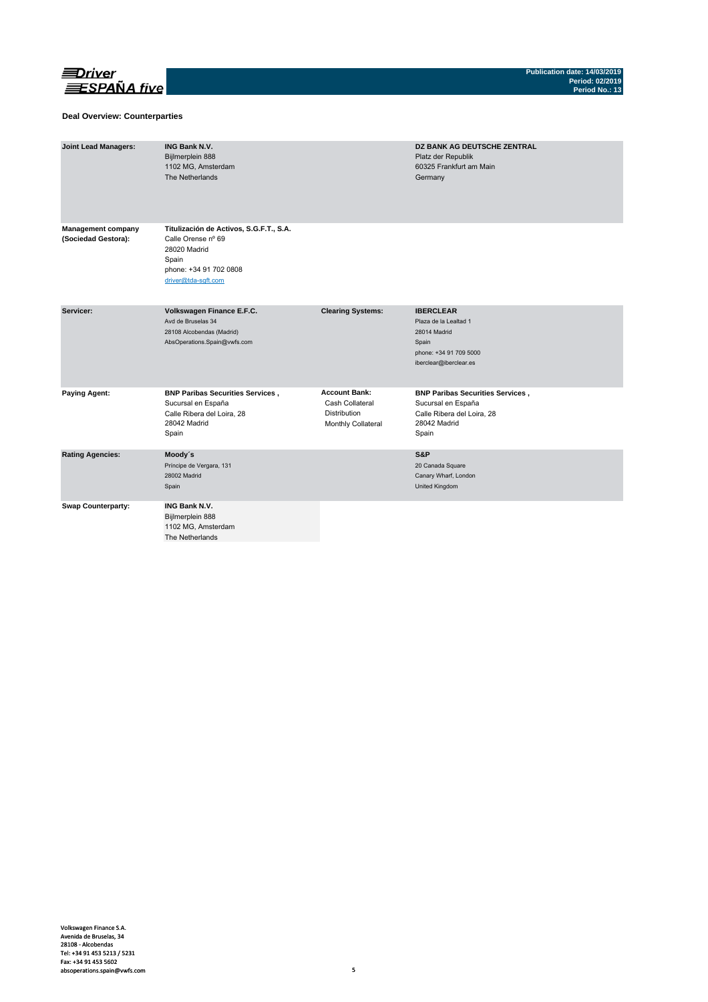

## **Deal Overview: Counterparties**

| <b>Joint Lead Managers:</b>                      | <b>ING Bank N.V.</b><br>Bijlmerplein 888<br>1102 MG, Amsterdam<br>The Netherlands                                                       |                                                                               | <b>DZ BANK AG DEUTSCHE ZENTRAL</b><br>Platz der Republik<br>60325 Frankfurt am Main<br>Germany                         |
|--------------------------------------------------|-----------------------------------------------------------------------------------------------------------------------------------------|-------------------------------------------------------------------------------|------------------------------------------------------------------------------------------------------------------------|
| <b>Management company</b><br>(Sociedad Gestora): | Titulización de Activos, S.G.F.T., S.A.<br>Calle Orense nº 69<br>28020 Madrid<br>Spain<br>phone: +34 91 702 0808<br>driver@tda-sqft.com |                                                                               |                                                                                                                        |
| Servicer:                                        | Volkswagen Finance E.F.C.<br>Avd de Bruselas 34<br>28108 Alcobendas (Madrid)<br>AbsOperations.Spain@vwfs.com                            | <b>Clearing Systems:</b>                                                      | <b>IBERCLEAR</b><br>Plaza de la Lealtad 1<br>28014 Madrid<br>Spain<br>phone: +34 91 709 5000<br>iberclear@iberclear.es |
| <b>Paying Agent:</b>                             | <b>BNP Paribas Securities Services,</b><br>Sucursal en España<br>Calle Ribera del Loira, 28<br>28042 Madrid<br>Spain                    | <b>Account Bank:</b><br>Cash Collateral<br>Distribution<br>Monthly Collateral | <b>BNP Paribas Securities Services,</b><br>Sucursal en España<br>Calle Ribera del Loira, 28<br>28042 Madrid<br>Spain   |
| <b>Rating Agencies:</b>                          | Moody's<br>Príncipe de Vergara, 131<br>28002 Madrid<br>Spain                                                                            |                                                                               | S&P<br>20 Canada Square<br>Canary Wharf, London<br>United Kingdom                                                      |
| <b>Swap Counterparty:</b>                        | <b>ING Bank N.V.</b><br>Bijlmerplein 888<br>1102 MG, Amsterdam<br>The Netherlands                                                       |                                                                               |                                                                                                                        |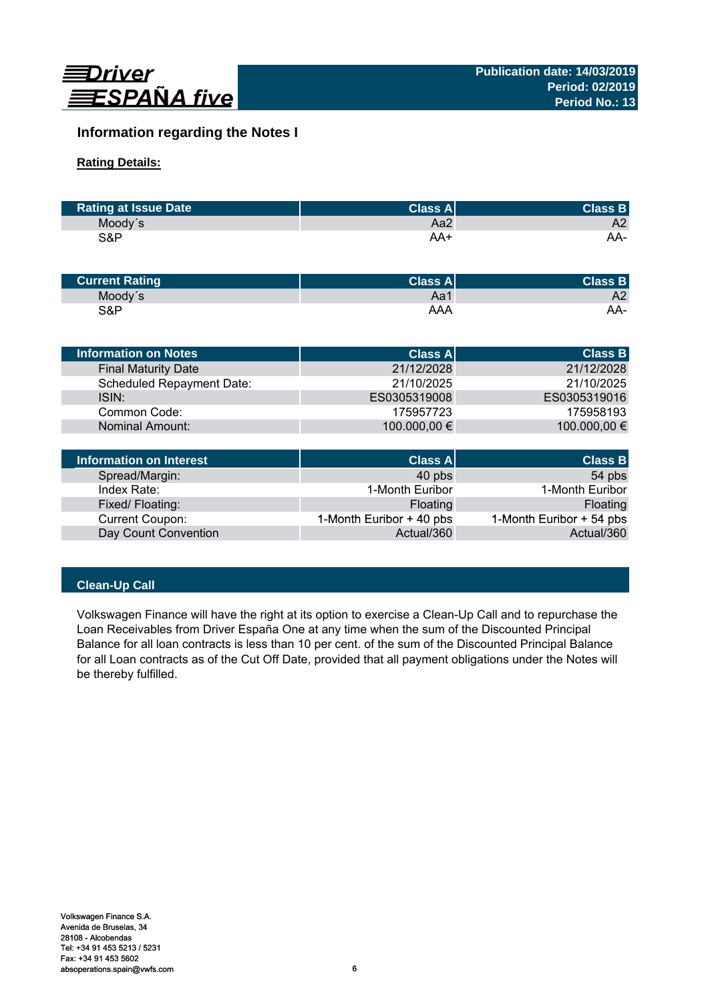

# **Information regarding the Notes I**

# **Rating Details:**

| <b>Rating at Issue Date</b> | <b>Class Al</b> | <b>Class B</b> |
|-----------------------------|-----------------|----------------|
| Moody's                     | Aa2             | A2             |
| S&P                         | AA+             | AA-            |

| <b>Current Rating</b> | Class A | <b>Class B</b> |
|-----------------------|---------|----------------|
| Moody's               | Aa1     | A2             |
| S&P                   | AAA     | AA-            |

| <b>Information on Notes</b>      | <b>Class A</b> | <b>Class B</b> |
|----------------------------------|----------------|----------------|
| <b>Final Maturity Date</b>       | 21/12/2028     | 21/12/2028     |
| <b>Scheduled Repayment Date:</b> | 21/10/2025     | 21/10/2025     |
| ISIN:                            | ES0305319008   | ES0305319016   |
| Common Code:                     | 175957723      | 175958193      |
| Nominal Amount:                  | 100.000,00 €   | 100.000,00 €   |
|                                  |                |                |
|                                  |                |                |

| Information on Interest | Class A                  | <b>Class B</b>           |
|-------------------------|--------------------------|--------------------------|
| Spread/Margin:          | 40 pbs                   | 54 pbs                   |
| Index Rate:             | 1-Month Euribor          | 1-Month Euribor          |
| Fixed/Floating:         | Floating                 | Floating                 |
| Current Coupon:         | 1-Month Euribor + 40 pbs | 1-Month Euribor + 54 pbs |
| Day Count Convention    | Actual/360               | Actual/360               |

# **Clean-Up Call**

Volkswagen Finance will have the right at its option to exercise a Clean-Up Call and to repurchase the Loan Receivables from Driver España One at any time when the sum of the Discounted Principal Balance for all loan contracts is less than 10 per cent. of the sum of the Discounted Principal Balance for all Loan contracts as of the Cut Off Date, provided that all payment obligations under the Notes will be thereby fulfilled.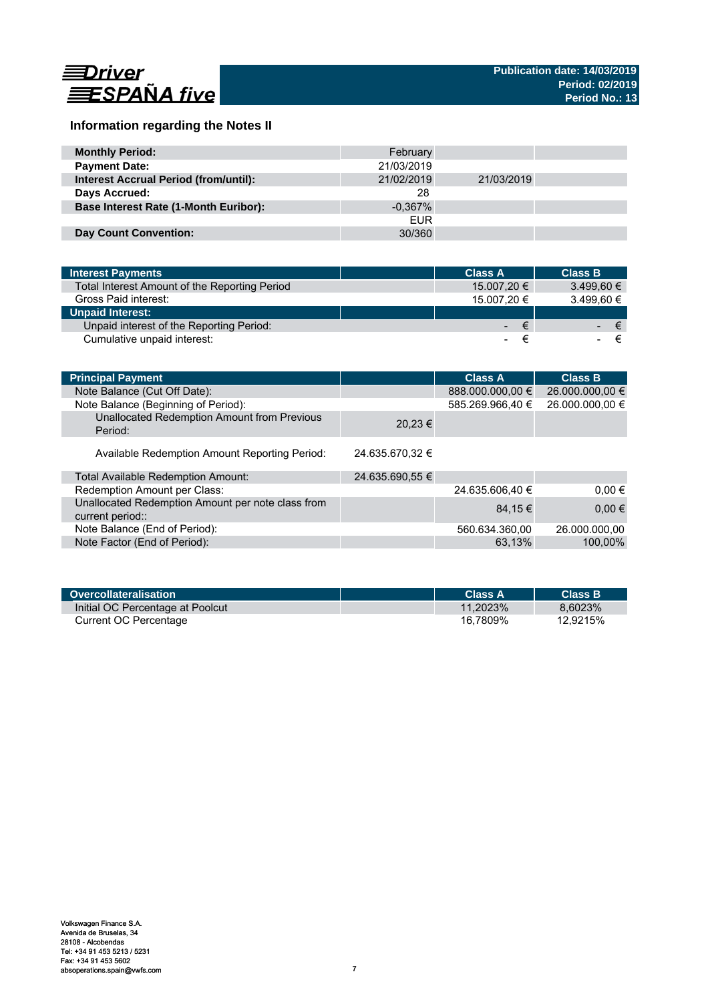

# **Information regarding the Notes II**

| <b>Monthly Period:</b>                       | February   |            |  |
|----------------------------------------------|------------|------------|--|
| <b>Payment Date:</b>                         | 21/03/2019 |            |  |
| <b>Interest Accrual Period (from/until):</b> | 21/02/2019 | 21/03/2019 |  |
| Days Accrued:                                | 28         |            |  |
| <b>Base Interest Rate (1-Month Euribor):</b> | $-0.367\%$ |            |  |
|                                              | <b>EUR</b> |            |  |
| <b>Day Count Convention:</b>                 | 30/360     |            |  |

| <b>Interest Payments</b>                      | <b>Class A</b> |             | <b>Class B</b> |
|-----------------------------------------------|----------------|-------------|----------------|
| Total Interest Amount of the Reporting Period |                | 15.007.20 € | 3.499.60 €     |
| Gross Paid interest:                          |                | 15.007.20 € | 3.499.60 €     |
| <b>Unpaid Interest:</b>                       |                |             |                |
| Unpaid interest of the Reporting Period:      |                | $ \epsilon$ | ∕€7            |
| Cumulative unpaid interest:                   |                |             |                |

| <b>Principal Payment</b>                                              |                 | <b>Class A</b>   | <b>Class B</b>  |
|-----------------------------------------------------------------------|-----------------|------------------|-----------------|
| Note Balance (Cut Off Date):                                          |                 | 888.000.000,00 € | 26.000.000,00 € |
| Note Balance (Beginning of Period):                                   |                 | 585.269.966.40 € | 26.000.000,00 € |
| Unallocated Redemption Amount from Previous<br>Period:                | $20.23 \in$     |                  |                 |
| Available Redemption Amount Reporting Period:                         | 24.635.670.32 € |                  |                 |
| Total Available Redemption Amount:                                    | 24.635.690,55 € |                  |                 |
| Redemption Amount per Class:                                          |                 | 24.635.606.40 €  | $0.00 \in$      |
| Unallocated Redemption Amount per note class from<br>current period:: |                 | 84.15 €          | $0,00 \in$      |
| Note Balance (End of Period):                                         |                 | 560.634.360,00   | 26.000.000,00   |
| Note Factor (End of Period):                                          |                 | 63.13%           | 100,00%         |

| <b>Overcollateralisation</b>     | Class A     | <b>Class B</b> |
|----------------------------------|-------------|----------------|
| Initial OC Percentage at Poolcut | $11.2023\%$ | 8.6023%        |
| Current OC Percentage            | 16.7809%    | 12.9215%       |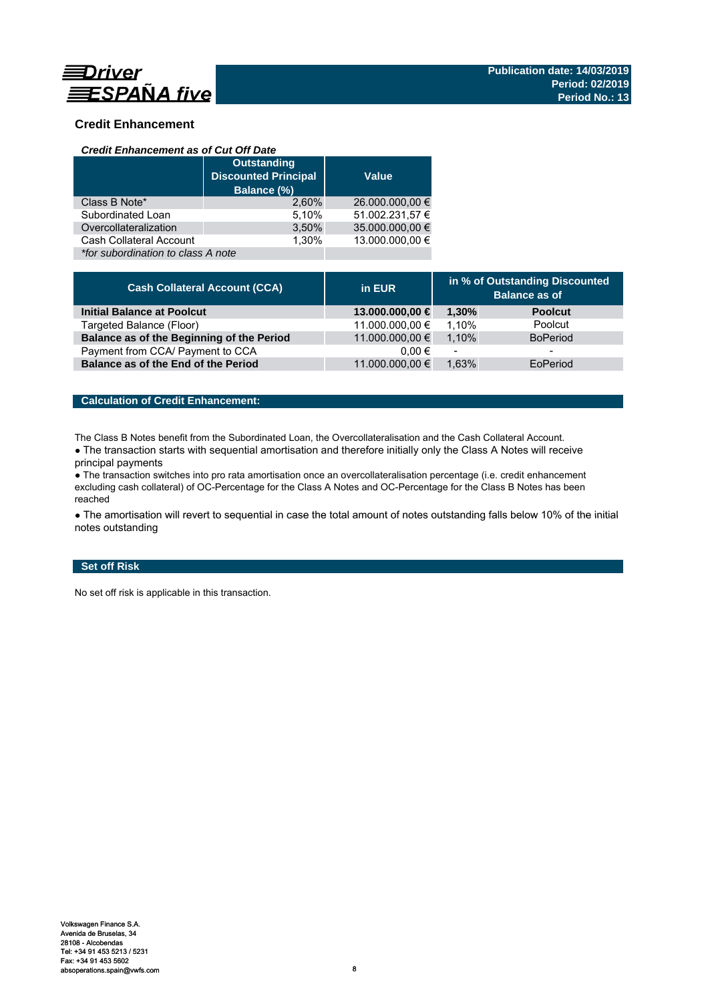

# **Credit Enhancement**

## *Credit Enhancement as of Cut Off Date*

|                                    | <b>Outstanding</b><br><b>Discounted Principal</b><br>Balance (%) | <b>Value</b>    |
|------------------------------------|------------------------------------------------------------------|-----------------|
| Class B Note*                      | 2.60%                                                            | 26.000.000,00 € |
| Subordinated Loan                  | 5,10%                                                            | 51.002.231,57 € |
| Overcollateralization              | 3,50%                                                            | 35.000.000,00 € |
| Cash Collateral Account            | 1.30%                                                            | 13.000.000.00 € |
| *for subordination to class A note |                                                                  |                 |

| <b>Cash Collateral Account (CCA)</b>      | in EUR          | in % of Outstanding Discounted<br><b>Balance as of</b> |                 |
|-------------------------------------------|-----------------|--------------------------------------------------------|-----------------|
| <b>Initial Balance at Poolcut</b>         | 13.000.000,00 € | 1.30%                                                  | <b>Poolcut</b>  |
| Targeted Balance (Floor)                  | 11.000.000,00 € | 1.10%                                                  | Poolcut         |
| Balance as of the Beginning of the Period | 11.000.000,00 € | 1.10%                                                  | <b>BoPeriod</b> |
| Payment from CCA/ Payment to CCA          | $0.00 \in$      |                                                        | -               |
| Balance as of the End of the Period       | 11.000.000,00 € | 1.63%                                                  | EoPeriod        |

# **Calculation of Credit Enhancement:**

The Class B Notes benefit from the Subordinated Loan, the Overcollateralisation and the Cash Collateral Account.

• The transaction starts with sequential amortisation and therefore initially only the Class A Notes will receive principal payments

● The transaction switches into pro rata amortisation once an overcollateralisation percentage (i.e. credit enhancement excluding cash collateral) of OC-Percentage for the Class A Notes and OC-Percentage for the Class B Notes has been reached

• The amortisation will revert to sequential in case the total amount of notes outstanding falls below 10% of the initial notes outstanding

# **Set off Risk**

No set off risk is applicable in this transaction.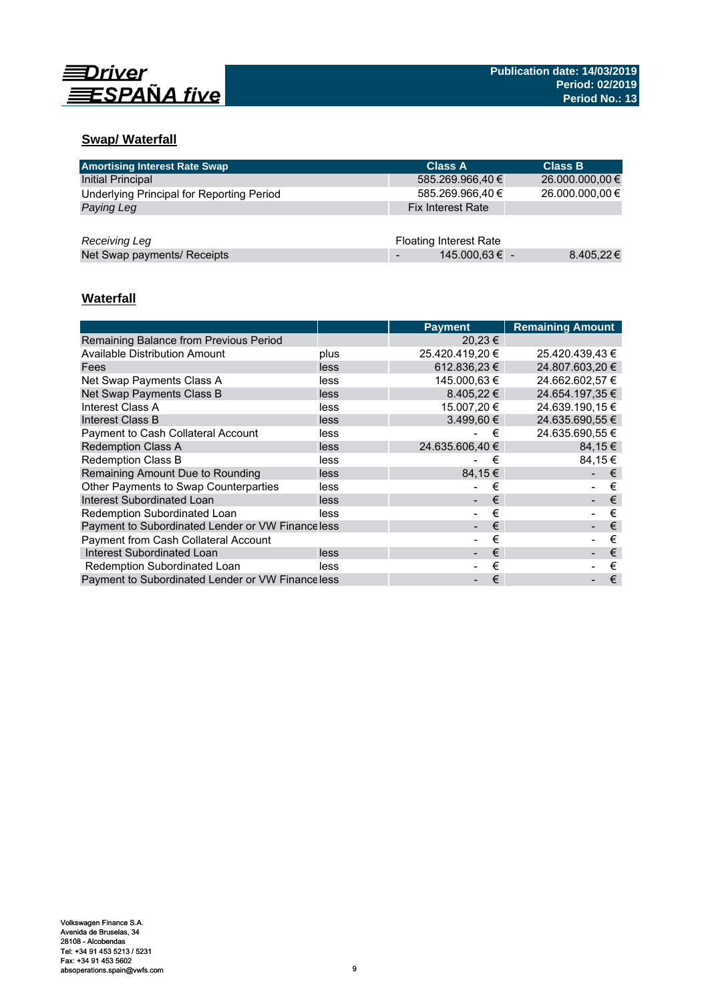

# **Swap/ Waterfall**

| <b>Amortising Interest Rate Swap</b>      | <b>Class A</b>                | <b>Class B</b>  |
|-------------------------------------------|-------------------------------|-----------------|
| Initial Principal                         | 585.269.966,40 €              | 26.000.000,00 € |
| Underlying Principal for Reporting Period | 585.269.966,40 €              | 26.000.000,00 € |
| Paying Leg                                | <b>Fix Interest Rate</b>      |                 |
|                                           |                               |                 |
| Receiving Leg                             | <b>Floating Interest Rate</b> |                 |
| Net Swap payments/ Receipts               | 145.000,63 € -                | $8.405,22 \in$  |

# **Waterfall**

|                                                  |      | <b>Payment</b>  | <b>Remaining Amount</b> |
|--------------------------------------------------|------|-----------------|-------------------------|
| Remaining Balance from Previous Period           |      | 20,23 €         |                         |
| Available Distribution Amount                    | plus | 25.420.419,20 € | 25.420.439,43 €         |
| Fees                                             | less | 612.836.23 €    | 24.807.603.20 €         |
| Net Swap Payments Class A                        | less | 145.000.63 €    | 24.662.602.57 €         |
| Net Swap Payments Class B                        | less | $8.405.22 \in$  | 24.654.197,35 €         |
| Interest Class A                                 | less | 15.007.20 €     | 24.639.190.15 €         |
| Interest Class B                                 | less | $3.499.60 \in$  | 24.635.690.55 €         |
| <b>Payment to Cash Collateral Account</b>        | less | €               | 24.635.690.55 €         |
| <b>Redemption Class A</b>                        | less | 24.635.606.40 € | 84.15€                  |
| Redemption Class B                               | less | €               | 84.15€                  |
| Remaining Amount Due to Rounding                 | less | 84,15€          | €                       |
| Other Payments to Swap Counterparties            | less | €               | €                       |
| Interest Subordinated Loan                       | less | €               | €                       |
| Redemption Subordinated Loan                     | less | €               | €                       |
| Payment to Subordinated Lender or VW Financeless |      | €               | €                       |
| <b>Payment from Cash Collateral Account</b>      |      | €               | €                       |
| Interest Subordinated Loan                       | less | €               | €                       |
| Redemption Subordinated Loan                     | less | €               | €                       |
| Payment to Subordinated Lender or VW Financeless |      | €               | €                       |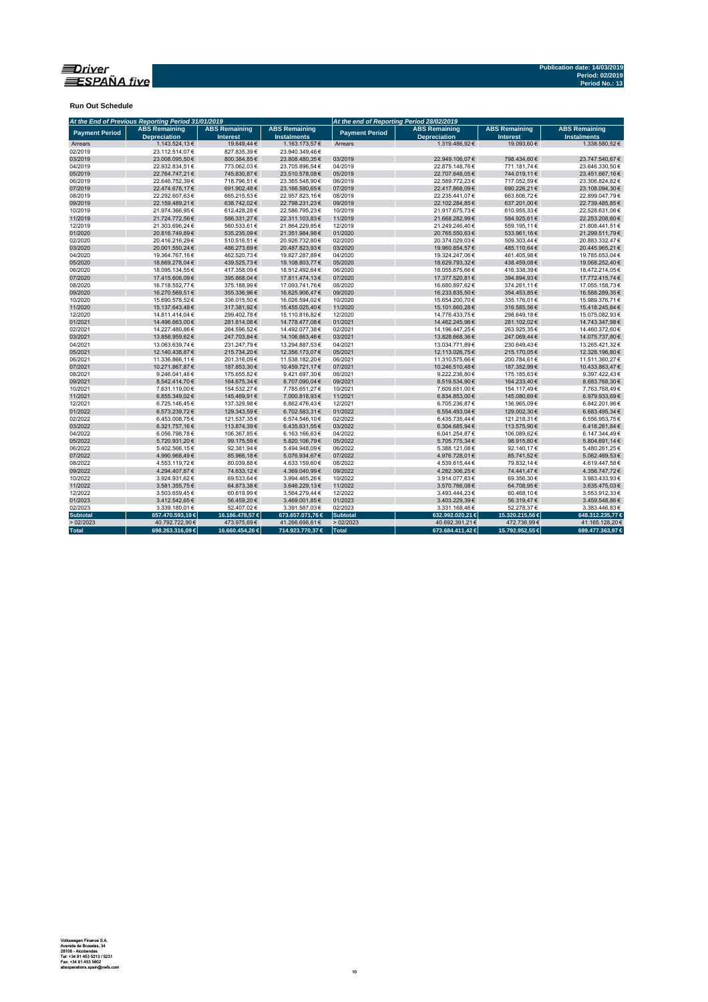

**Run Out Schedule**

|                       | At the End of Previous Reporting Period 31/01/2019 | At the end of Reporting Period 28/02/2019 |                                            |                       |                                             |                                         |                                            |
|-----------------------|----------------------------------------------------|-------------------------------------------|--------------------------------------------|-----------------------|---------------------------------------------|-----------------------------------------|--------------------------------------------|
| <b>Payment Period</b> | <b>ABS Remaining</b><br><b>Depreciation</b>        | <b>ABS Remaining</b><br><b>Interest</b>   | <b>ABS Remaining</b><br><b>Instalments</b> | <b>Payment Period</b> | <b>ABS Remaining</b><br><b>Depreciation</b> | <b>ABS Remaining</b><br><b>Interest</b> | <b>ABS Remaining</b><br><b>Instalments</b> |
| Arrears               | 1.143.524,13€                                      | 19.649,44 €                               | 1.163.173,57€                              | Arrears               | 1.319.486.92€                               | 19.093.60€                              | 1.338.580.52€                              |
| 02/2019               | 23.112.514,07€                                     | 827.835.39€                               | 23.940.349,46€                             |                       |                                             |                                         |                                            |
| 03/2019               | 23.008.095.50€                                     | 800.384,85€                               | 23.808.480,35€                             | 03/2019               | 22.949.106,07€                              | 798.434.60€                             | 23.747.540.67€                             |
| 04/2019               | 22.932.834,51€                                     | 773.062,03€                               | 23.705.896,54€                             | 04/2019               | 22.875.148,76€                              | 771.181,74€                             | 23.646.330,50€                             |
| 05/2019               | 22.764.747,21€                                     | 745.830,87€                               | 23.510.578,08€                             | 05/2019               | 22.707.648,05€                              | 744.019,11€                             | 23.451.667,16€                             |
| 06/2019               | 22.646.752.39€                                     | 718.796,51€                               | 23.365.548,90€                             | 06/2019               | 22.589.772,23€                              | 717.052,59€                             | 23.306.824,82€                             |
| 07/2019               | 22.474.678,17€                                     | 691.902,48€                               | 23.166.580,65€                             | 07/2019               | 22.417.868,09€                              | 690.226,21€                             | 23.108.094,30€                             |
| 08/2019               | 22.292.607,63€                                     | 665.215,53€                               | 22.957.823,16€                             | 08/2019               | 22.235.441,07€                              | 663.606,72€                             | 22.899.047,79€                             |
| 09/2019               | 22.159.489,21€                                     | 638.742,02€                               | 22.798.231,23€                             | 09/2019               | 22.102.284,85€                              | 637.201,00€                             | 22.739.485,85€                             |
| 10/2019               | 21.974.366,95€                                     | 612.428,28€                               | 22.586.795,23€                             | 10/2019               | 21.917.675,73€                              | 610.955,33€                             | 22.528.631,06€                             |
| 11/2019               | 21.724.772,56€                                     | 586.331,27€                               | 22.311.103,83€                             | 11/2019               | 21.668.282,99€                              | 584.925,61€                             | 22.253.208,60€                             |
| 12/2019               | 21.303.696,24€                                     | 560.533,61€                               | 21.864.229,85€                             | 12/2019               | 21.249.246,40€                              | 559.195,11€                             | 21.808.441,51€                             |
| 01/2020               | 20.816.749,89€                                     | 535.235,09€                               | 21.351.984,98€                             | 01/2020               | 20.765.550,63€                              | 533.961,16€                             | 21.299.511,79€                             |
| 02/2020               | 20.416.216,29€                                     | 510.516,51€                               | 20.926.732,80€                             | 02/2020               | 20.374.029,03€                              | 509.303,44 €                            | 20.883.332,47€                             |
| 03/2020               | 20.001.550.24€                                     | 486.273,69€                               | 20.487.823,93€                             | 03/2020               | 19.960.854,57€                              | 485.110,64€                             | 20.445.965.21€                             |
| 04/2020               | 19.364.767,16€                                     | 462.520,73€                               | 19.827.287,89€                             | 04/2020               | 19.324.247,06€                              | 461.405,98€                             | 19.785.653,04€                             |
| 05/2020               | 18.669.278,04€                                     | 439.525,73€                               | 19.108.803,77€                             | 05/2020               | 18.629.793,32€                              | 438.459,08€                             | 19.068.252,40€                             |
| 06/2020               | 18.095.134,55€                                     | 417.358,09€                               | 18.512.492,64€                             | 06/2020               | 18.055.875,66€                              | 416.338,39€                             | 18.472.214,05€                             |
| 07/2020               | 17.415.606,09€                                     | 395.868,04 €                              | 17.811.474,13€                             | 07/2020               | 17.377.520,81€                              | 394.894,93€                             | 17.772.415,74€                             |
| 08/2020               | 16.718.552.77€                                     | 375.188.99€                               | 17.093.741,76€                             | 08/2020               | 16.680.897.62€                              | 374.261.11€                             | 17.055.158,73€                             |
| 09/2020               | 16.270.569,51€                                     | 355.336,96€                               | 16.625.906,47€                             | 09/2020               | 16.233.835,50€                              | 354.453,85€                             | 16.588.289,35€                             |
| 10/2020               | 15.690.578,52€                                     | 336.015,50€                               | 16.026.594,02€                             | 10/2020               | 15.654.200,70€                              | 335.176,01€                             | 15.989.376,71€                             |
| 11/2020               | 15.137.643,48€                                     | 317.381,92€                               | 15.455.025,40€                             | 11/2020               | 15.101.660,28€                              | 316.585,56€                             | 15.418.245,84€                             |
| 12/2020               | 14.811.414,04€                                     | 299.402,78€                               | 15.110.816,82€                             | 12/2020               | 14.776.433,75€                              | 298.649,18€                             | 15.075.082,93€                             |
| 01/2021               | 14.496.663,00€                                     | 281.814,08€                               | 14.778.477,08€                             | 01/2021               | 14.462.245,96€                              | 281.102,02€                             | 14.743.347,98€                             |
| 02/2021               | 14.227.480,86€                                     | 264.596,52€                               | 14.492.077,38€                             | 02/2021               | 14.196.447,25€                              | 263.925,35€                             | 14.460.372,60€                             |
| 03/2021               | 13.858.959,62€                                     | 247.703,84€                               | 14.106.663,46€                             | 03/2021               | 13.828.668,36€                              | 247.069,44€                             | 14.075.737,80€                             |
| 04/2021               | 13.063.639,74€                                     | 231.247,79€                               | 13.294.887,53€                             | 04/2021               | 13.034.771,89€                              | 230.649,43€                             | 13.265.421,32€                             |
| 05/2021               | 12.140.438,87€                                     | 215.734,20€                               | 12.356.173,07€                             | 05/2021               | 12.113.026,75€                              | 215.170,05€                             | 12.328.196,80€                             |
| 06/2021               | 11.336.866,11€                                     | 201.316,09€                               | 11.538.182,20€                             | 06/2021               | 11.310.575,66€                              | 200.784,61€                             | 11.511.360,27€                             |
| 07/2021               | 10.271.867,87€                                     | 187.853,30€                               | 10.459.721,17€                             | 07/2021               | 10.246.510,48€                              | 187.352,99€                             | 10.433.863,47€                             |
| 08/2021               | 9.246.041.48€                                      | 175.655.82€                               | 9.421.697.30€                              | 08/2021               | 9.222.236.80€                               | 175.185,63€                             | 9.397.422,43€                              |
| 09/2021               | 8.542.414,70€                                      | 164.675,34 €                              | 8.707.090,04€                              | 09/2021               | 8.519.534,90€                               | 164.233,40€                             | 8.683.768,30€                              |
| 10/2021               | 7.631.119,00€                                      | 154.532,27€                               | 7.785.651,27€                              | 10/2021               | 7.609.651,00€                               | 154.117,49€                             | 7.763.768,49€                              |
| 11/2021               | 6.855.349,02€                                      | 145.469,91€                               | 7.000.818,93€                              | 11/2021               | 6.834.853,00€                               | 145.080,69€                             | 6.979.933,69€                              |
| 12/2021               | 6.725.146,45€                                      | 137.329,98€                               | 6.862.476,43€                              | 12/2021               | 6.705.236,87€                               | 136.965,09€                             | 6.842.201,96€                              |
| 01/2022               | 6.573.239.72€                                      | 129.343,59€                               | 6.702.583,31 €                             | 01/2022               | 6.554.493,04€                               | 129.002,30€                             | 6.683.495,34€                              |
| 02/2022               | 6.453.008,75€                                      | 121.537,35€                               | 6.574.546,10€                              | 02/2022               | 6.435.735,44€                               | 121.218,31 €                            | 6.556.953,75€                              |
| 03/2022               | 6.321.757,16€                                      | 113.874,39€                               | 6.435.631,55€                              | 03/2022               | 6.304.685,94€                               | 113.575,90€                             | 6.418.261,84€                              |
| 04/2022               | 6.056.798.78€                                      | 106.367,85€                               | 6.163.166,63€                              | 04/2022               | 6.041.254,87€                               | 106.089,62€                             | 6.147.344,49€                              |
| 05/2022               | 5.720.931,20€                                      | 99.175,59€                                | 5.820.106,79€                              | 05/2022               | 5.705.775,34€                               | 98.915,80€                              | 5.804.691,14€                              |
| 06/2022               | 5.402.566,15€                                      | 92.381,94€                                | 5.494.948,09€                              | 06/2022               | 5.388.121,08€                               | 92.140,17€                              | 5.480.261,25€                              |
| 07/2022               | 4.990.968,49€                                      | 85.966,18€                                | 5.076.934,67€                              | 07/2022               | 4.976.728,01€                               | 85.741,52€                              | 5.062.469,53€                              |
| 08/2022               | 4.553.119,72€                                      | 80.039,88€                                | 4.633.159,60 €                             | 08/2022               | 4.539.615,44€                               | 79.832,14 €                             | 4.619.447,58€                              |
| 09/2022               | 4.294.407,87€                                      | 74.633,12€                                | 4.369.040,99€                              | 09/2022               | 4.282.306,25€                               | 74.441,47€                              | 4.356.747,72€                              |
| 10/2022               | 3.924.931,62€                                      | 69.533,64 €                               | 3.994.465,26€                              | 10/2022               | 3.914.077,63€                               | 69.356,30€                              | 3.983.433,93 €                             |
| 11/2022               | 3.581.355,75€                                      | 64.873,38€                                | 3.646.229,13€                              | 11/2022               | 3.570.766,08€                               | 64.708,95€                              | 3.635.475,03€                              |
| 12/2022               | 3.503.659,45€                                      | 60.619,99€                                | 3.564.279,44 €                             | 12/2022               | 3.493.444,23€                               | 60.468,10€                              | 3.553.912,33€                              |
| 01/2023               | 3.412.542.65€                                      | 56.459.20€                                | 3.469.001,85€                              | 01/2023               | 3.403.229.39€                               | 56.319,47€                              | 3.459.548.86€                              |
| 02/2023               | 3.339.180,01€                                      | 52.407,02€                                | 3.391.587,03€                              | 02/2023               | 3.331.168,46€                               | 52.278,37€                              | 3.383.446,83€                              |
| <b>Subtotal</b>       | 657.470.593,19€                                    | 16.186.478,57 €                           | 673.657.071,76 €                           | Subtotal              | 632.992.020,21 €                            | 15.320.215,56 €                         | 648.312.235,77€                            |
| >02/2023              | 40.792.722,90 €                                    | 473.975,69€                               | 41.266.698,61€                             | >02/2023              | 40.692.391,21€                              | 472.736,99€                             | 41.165.128,20€                             |
|                       |                                                    |                                           |                                            | Total                 |                                             |                                         |                                            |
| <b>Total</b>          | 698.263.316,09€                                    | 16.660.454,26€                            | 714.923.770,37 €                           |                       | 673.684.411,42 €                            | 15.792.952,55 €                         | 689.477.363,97€                            |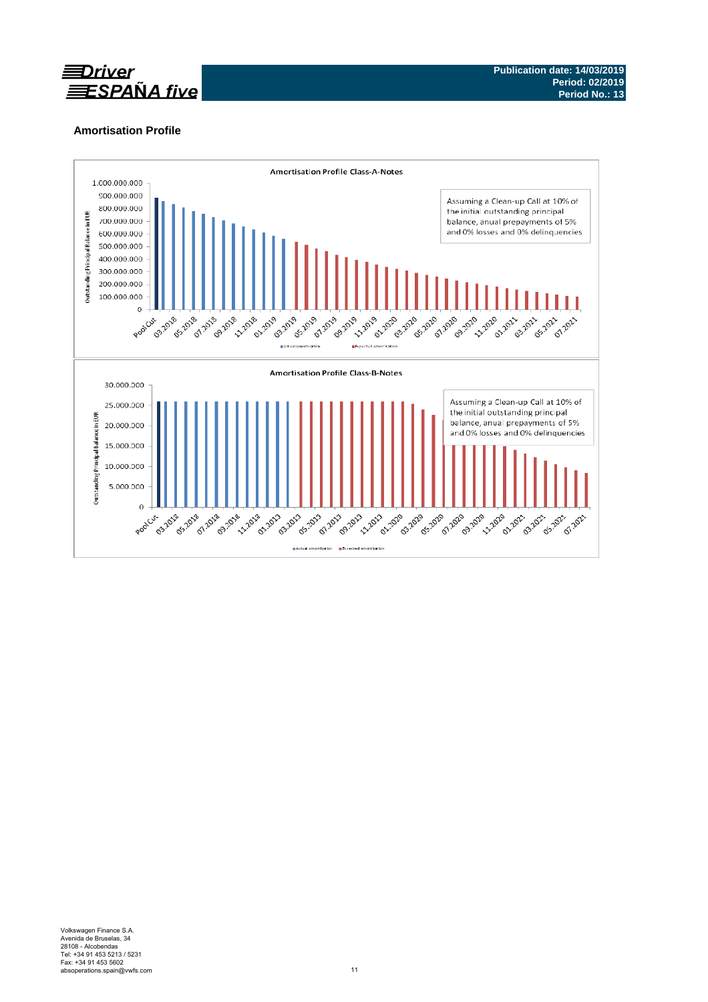

# **Amortisation Profile**

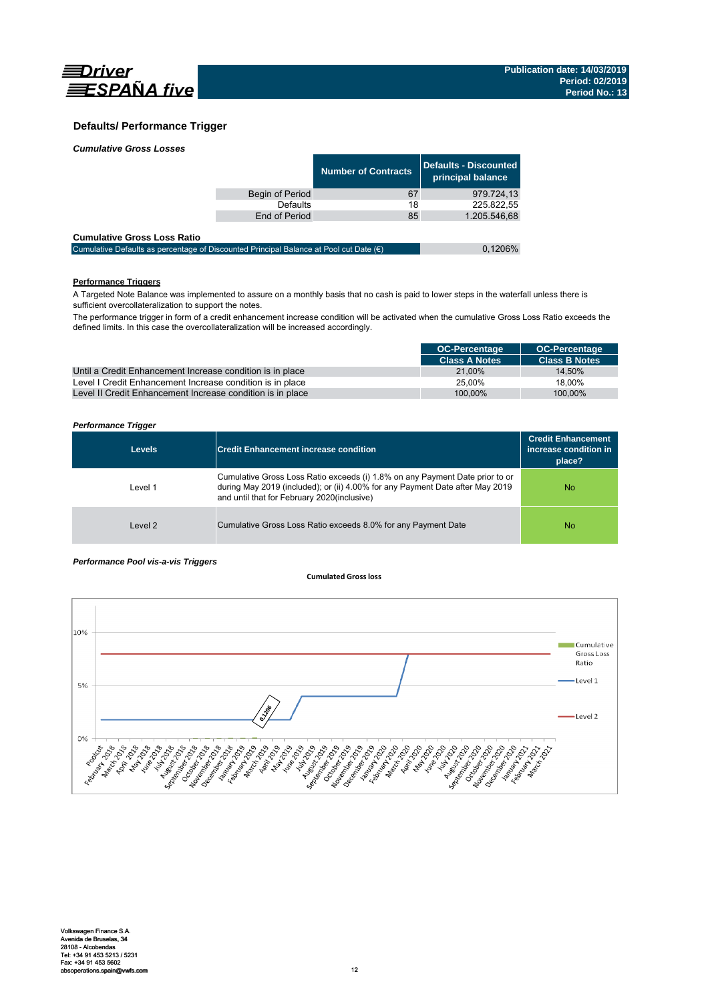

# **Defaults/ Performance Trigger**

| <b>Cumulative Gross Losses</b> |  |
|--------------------------------|--|
|                                |  |

|                 | <b>Number of Contracts</b> | Defaults - Discounted<br>principal balance |
|-----------------|----------------------------|--------------------------------------------|
| Begin of Period | 67                         | 979.724.13                                 |
| Defaults        | 18                         | 225.822.55                                 |
| End of Period   | 85                         | 1.205.546,68                               |
|                 |                            |                                            |

### **Cumulative Gross Loss Ratio**

| Cumulative Defaults as percentage of Discounted Principal Balance at Pool cut Date $(\epsilon)$ | 0.1206% |
|-------------------------------------------------------------------------------------------------|---------|
|                                                                                                 |         |

# **Performance Triggers**

A Targeted Note Balance was implemented to assure on a monthly basis that no cash is paid to lower steps in the waterfall unless there is sufficient overcollateralization to support the notes.

The performance trigger in form of a credit enhancement increase condition will be activated when the cumulative Gross Loss Ratio exceeds the defined limits. In this case the overcollateralization will be increased accordingly.

|                                                            | <b>OC-Percentage</b> | <b>OC-Percentage</b> |
|------------------------------------------------------------|----------------------|----------------------|
|                                                            | <b>Class A Notes</b> | <b>Class B Notes</b> |
| Until a Credit Enhancement Increase condition is in place  | 21.00%               | 14.50%               |
| Level I Credit Enhancement Increase condition is in place  | 25.00%               | 18.00%               |
| Level II Credit Enhancement Increase condition is in place | 100.00%              | 100.00%              |

### *Performance Trigger*

| <b>Levels</b> | <b>Credit Enhancement increase condition</b>                                                                                                                                                                 | <b>Credit Enhancement</b><br>increase condition in<br>place? |
|---------------|--------------------------------------------------------------------------------------------------------------------------------------------------------------------------------------------------------------|--------------------------------------------------------------|
| Level 1       | Cumulative Gross Loss Ratio exceeds (i) 1.8% on any Payment Date prior to or<br>during May 2019 (included); or (ii) 4.00% for any Payment Date after May 2019<br>and until that for February 2020(inclusive) | No.                                                          |
| Level 2       | Cumulative Gross Loss Ratio exceeds 8.0% for any Payment Date                                                                                                                                                | No.                                                          |

### *Performance Pool vis-a-vis Triggers*

### **Cumulated Grossloss**

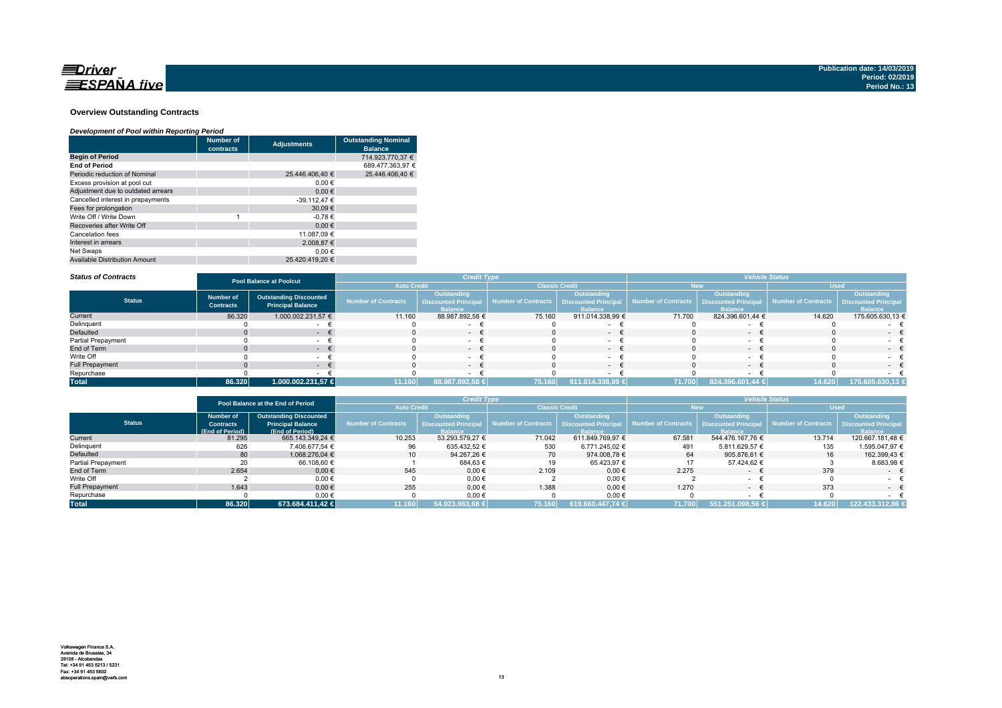

### **Overview Outstanding Contracts**

### *Development of Pool within Reporting Period*

|                                      | <b>Number of</b><br>contracts | <b>Adjustments</b> | <b>Outstanding Nominal</b><br><b>Balance</b> |
|--------------------------------------|-------------------------------|--------------------|----------------------------------------------|
| <b>Begin of Period</b>               |                               |                    | 714.923.770.37 €                             |
| <b>End of Period</b>                 |                               |                    | 689.477.363.97 €                             |
| Periodic reduction of Nominal        |                               | 25.446.406.40 €    | 25.446.406.40 €                              |
| Excess provision at pool cut         |                               | $0.00 \in$         |                                              |
| Adjustment due to outdated arrears   |                               | 0.00€              |                                              |
| Cancelled interest in prepayments    |                               | $-39.112,47€$      |                                              |
| Fees for prolongation                |                               | 30.09€             |                                              |
| Write Off / Write Down               |                               | $-0.78€$           |                                              |
| Recoveries after Write Off           |                               | 0.00€              |                                              |
| Cancelation fees                     |                               | 11.087,09 €        |                                              |
| Interest in arrears                  |                               | 2.008.87 €         |                                              |
| Net Swaps                            |                               | 0.00€              |                                              |
| <b>Available Distribution Amount</b> |                               | 25.420.419.20 €    |                                              |

#### *Status of Contracts*

| <b>Status of Contracts</b> | <b>Pool Balance at Poolcut</b>       |                                                           |                     | <b>Credit Type</b>                                                  |                       |                                                              | <b>Vehicle Status</b>      |                                                              |                     |                                                             |
|----------------------------|--------------------------------------|-----------------------------------------------------------|---------------------|---------------------------------------------------------------------|-----------------------|--------------------------------------------------------------|----------------------------|--------------------------------------------------------------|---------------------|-------------------------------------------------------------|
|                            |                                      |                                                           | <b>Auto Credit</b>  |                                                                     | <b>Classic Credit</b> |                                                              |                            | <b>New</b>                                                   | <b>Used</b>         |                                                             |
| <b>Status</b>              | <b>Number of</b><br><b>Contracts</b> | <b>Outstanding Discounted</b><br><b>Principal Balance</b> | Number of Contracts | <b>Outstanding</b><br><b>Discounted Principal</b><br><b>Balance</b> | Number of Contracts   | Outstanding<br><b>Discounted Principal</b><br><b>Balance</b> | <b>Number of Contracts</b> | Outstanding<br><b>Discounted Principal</b><br><b>Ralance</b> | Number of Contracts | Outstanding<br><b>Discounted Principa</b><br><b>Balance</b> |
| Current                    | 86.320                               | 1.000.002.231,57 €                                        | 11.160              | 88.987.892,58 €                                                     | 75.160                | 911.014.338,99 €                                             | 71.700                     | 824.396.601.44 €                                             | 14.620              | 175.605.630,13 €                                            |
| Delinquent                 |                                      |                                                           |                     |                                                                     |                       |                                                              |                            |                                                              |                     |                                                             |
| Defaulted                  |                                      |                                                           |                     | $-$                                                                 |                       | $\sim$                                                       |                            | $-$                                                          |                     | $-$                                                         |
| Partial Prepayment         |                                      |                                                           |                     |                                                                     |                       |                                                              |                            |                                                              |                     |                                                             |
| End of Term                |                                      | . .                                                       |                     | $-1$                                                                |                       | $\sim$                                                       |                            | $\sim$                                                       |                     | $-1$                                                        |
| Write Off                  |                                      |                                                           |                     | $\sim$                                                              |                       |                                                              |                            |                                                              |                     | $\sim$                                                      |
| <b>Full Prepayment</b>     |                                      |                                                           |                     | $ +$                                                                |                       | $\sim$                                                       |                            | $\sim$                                                       |                     | $\sim$                                                      |
| Repurchase                 |                                      |                                                           |                     |                                                                     |                       |                                                              |                            |                                                              |                     |                                                             |
| <b>Total</b>               | 86.320                               | 1.000.002.231,57 €                                        | 11.160              | 88.987.892,58 €                                                     | 75.160                | 911.014.338,99 €                                             | 71.700                     | 824.396.601,44 €                                             | 14.620              | 175.605.630,13 €                                            |

|                        | Pool Balance at the End of Period |                               |                     | <b>Credit Type</b>          |                                            |                  | <b>Vehicle Status</b> |                             |                        |                             |
|------------------------|-----------------------------------|-------------------------------|---------------------|-----------------------------|--------------------------------------------|------------------|-----------------------|-----------------------------|------------------------|-----------------------------|
|                        |                                   |                               | <b>Auto Credit</b>  |                             | <b>Classic Credit</b>                      |                  |                       | New                         | <b>Used</b>            |                             |
|                        | <b>Number of</b>                  | <b>Outstanding Discounted</b> |                     | <b>Outstanding</b>          |                                            | Outstanding      |                       | <b>Outstanding</b>          |                        | Outstanding                 |
| <b>Status</b>          | <b>Contracts</b>                  | <b>Principal Balance</b>      | Number of Contracts | <b>Discounted Principal</b> | Number of Contracts   Discounted Principal |                  | Number of Contracts   | <b>Discounted Principal</b> | al Number of Contracts | <b>Discounted Principal</b> |
|                        | (End of Period)                   | (End of Period)               |                     | <b>Balance</b>              |                                            | <b>Balance</b>   |                       | <b>Ralance</b>              |                        | <b>Balance</b>              |
| Current                | 81.295                            | 665.143.349.24 €              | 10.253              | 53.293.579.27 €             | 71.042                                     | 611.849.769.97 € | 67.581                | 544.476.167.76 €            | 13.714                 | 120.667.181.48 €            |
| Delinquent             | 626                               | 7.406.677.54 €                | 96                  | 635.432.52 €                | 530                                        | 6.771.245.02 €   | 491                   | 5.811.629.57 €              | 135                    | 1.595.047.97 €              |
| Defaulted              | 80                                | 1.068.276.04 €                | 10 <sup>1</sup>     | 94.267.26 €                 | 70                                         | 974.008.78 €     | 64                    | 905.876.61 €                | 16                     | 162.399.43 €                |
| Partial Prepayment     |                                   | 66.108.60 €                   |                     | 684,63€                     |                                            | 65.423,97 €      |                       | 57.424.62 €                 |                        | 8.683,98 €                  |
| End of Term            | 2.654                             | $0.00 \in$                    | 545                 | $0,00 \in$                  | 2.109                                      | $0.00 \in$       | 2.275                 | $\sim$                      | 379                    | $ \epsilon$                 |
| Write Off              |                                   | $0.00 \in$                    |                     | 0,00€                       |                                            | $0,00$ €         |                       |                             |                        |                             |
| <b>Full Prepayment</b> | 1.643                             | $0.00 \in$                    | 255                 | $0.00 \in$                  | 1.388                                      | $0.00 \in$       | 1.270                 | $\sim$                      | 373                    | $ \epsilon$                 |
| Repurchase             |                                   | 0,00€                         |                     | 0,00€                       |                                            | $0,00 \in$       |                       |                             |                        |                             |
| <b>Total</b>           | 86.320                            | 673.684.411,42 €              | 11.160              | 54.023.963,68 €             | 75.160                                     | 619.660.447.74 € | 71.700                | 551.251.098,56 €            | 14.620                 | 122.433.312.86 €            |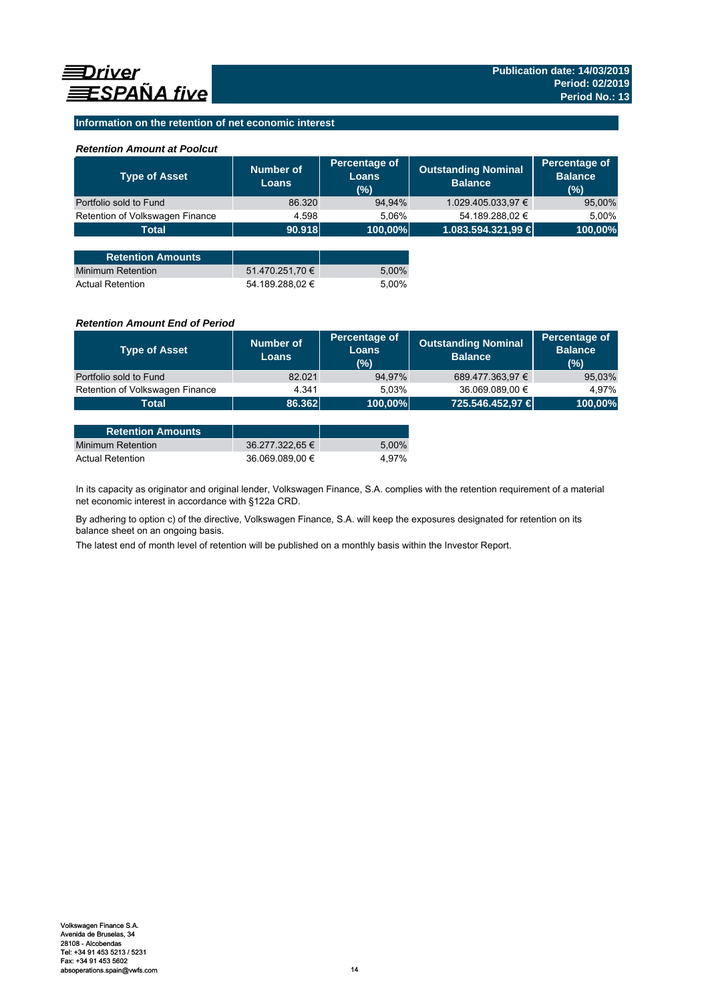# **Information on the retention of net economic interest**

## *Retention Amount at Poolcut*

| <b>Type of Asset</b>            | Number of<br><b>Loans</b> | Percentage of<br>Loans<br>(%) | <b>Outstanding Nominal</b><br><b>Balance</b> | Percentage of<br><b>Balance</b><br>(%) |
|---------------------------------|---------------------------|-------------------------------|----------------------------------------------|----------------------------------------|
| Portfolio sold to Fund          | 86.320                    | 94,94%                        | 1.029.405.033,97 €                           | 95,00%                                 |
| Retention of Volkswagen Finance | 4.598                     | 5,06%                         | 54.189.288,02 €                              | 5,00%                                  |
| <b>Total</b>                    | 90.918                    | 100,00%                       | 1.083.594.321,99 €                           | 100,00%                                |
|                                 |                           |                               |                                              |                                        |
| <b>Retention Amounts</b>        |                           |                               |                                              |                                        |
| Minimum Retention               | 51.470.251,70 €           | 5,00%                         |                                              |                                        |
| <b>Actual Retention</b>         | 54.189.288.02 €           | 5.00%                         |                                              |                                        |

## *Retention Amount End of Period*

| <b>Type of Asset</b>            | Number of<br><b>Loans</b> | Percentage of<br>Loans<br>(%) | <b>Outstanding Nominal</b><br><b>Balance</b> | Percentage of<br><b>Balance</b><br>(%) |
|---------------------------------|---------------------------|-------------------------------|----------------------------------------------|----------------------------------------|
| Portfolio sold to Fund          | 82.021                    | 94,97%                        | 689.477.363,97 €                             | 95,03%                                 |
| Retention of Volkswagen Finance | 4.341                     | 5.03%                         | 36.069.089,00 €                              | 4.97%                                  |
| <b>Total</b>                    | 86.362                    | 100,00%                       | 725.546.452,97 €                             | 100,00%                                |

| <b>Retention Amounts</b> |                 |       |
|--------------------------|-----------------|-------|
| Minimum Retention        | 36.277.322.65 € | 5.00% |
| <b>Actual Retention</b>  | 36.069.089.00 € | 4.97% |

In its capacity as originator and original lender, Volkswagen Finance, S.A. complies with the retention requirement of a material net economic interest in accordance with §122a CRD.

By adhering to option c) of the directive, Volkswagen Finance, S.A. will keep the exposures designated for retention on its balance sheet on an ongoing basis.

The latest end of month level of retention will be published on a monthly basis within the Investor Report.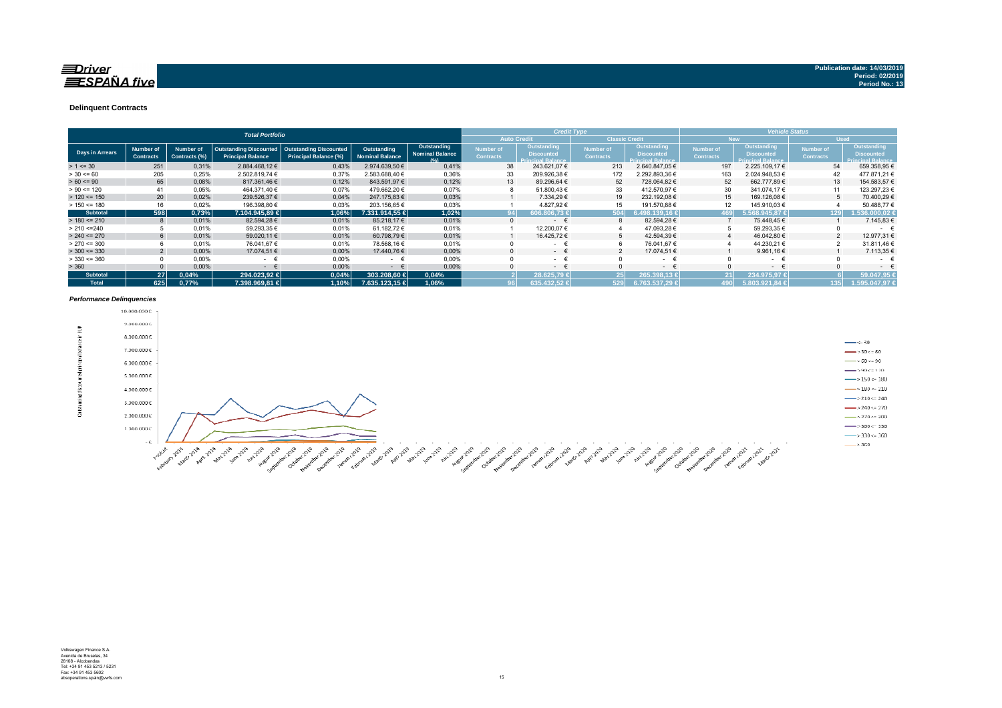### $\equiv$ Driver **ESPAÑA** five

#### **Delinquent Contracts**

|                 | <b>Total Portfolio</b>                      |                                   |                                                           |                                                        |                                       |                                               | <b>Credit Type</b>            |                                                               |                                      |                                                              | <b>Vehicle Status</b>         |                                                                     |                                      |                                                                     |
|-----------------|---------------------------------------------|-----------------------------------|-----------------------------------------------------------|--------------------------------------------------------|---------------------------------------|-----------------------------------------------|-------------------------------|---------------------------------------------------------------|--------------------------------------|--------------------------------------------------------------|-------------------------------|---------------------------------------------------------------------|--------------------------------------|---------------------------------------------------------------------|
|                 | <b>Auto Credit</b><br><b>Classic Credit</b> |                                   |                                                           |                                                        |                                       |                                               |                               |                                                               | <b>New</b>                           |                                                              | <b>Used</b>                   |                                                                     |                                      |                                                                     |
| Days in Arrears | <b>Number of</b><br><b>Contracts</b>        | <b>Number of</b><br>Contracts (%) | <b>Outstanding Discounted</b><br><b>Principal Balance</b> | <b>Outstanding Discounted</b><br>Principal Balance (%) | Outstanding<br><b>Nominal Balance</b> | Outstanding<br><b>Nominal Balance</b><br>10/1 | Number of<br><b>Contracts</b> | Outstanding,<br><b>Discounted</b><br><b>Principal Balance</b> | <b>Number of</b><br><b>Contracts</b> | Outstanding<br><b>Discounted</b><br><b>Principal Balance</b> | Number of<br><b>Contracts</b> | <b>Outstanding</b><br><b>Discounted</b><br><b>Principal Balance</b> | <b>Number of</b><br><b>Contracts</b> | <b>Outstanding</b><br><b>Discounted</b><br><b>Principal Balance</b> |
| $> 1 \le 30$    | 251                                         | 0,31%                             | 2.884.468,12 €                                            | 0,43%                                                  | 2.974.639,50 €                        | 0.41%                                         | 38                            | 243.621,07 €                                                  | 213                                  | 2.640.847.05 €                                               | 197                           | 2.225.109,17 €                                                      | 54                                   | 659.358,95€                                                         |
| $> 30 \le 60$   | 205                                         | 0.25%                             | 2.502.819.74 €                                            | 0,37%                                                  | 2.583.688.40 €                        | 0,36%                                         | 33                            | 209.926,38 €                                                  | 172                                  | 2.292.893,36 €                                               | 163                           | 2.024.948,53 €                                                      | 42                                   | 477.871.21 €                                                        |
| $> 60 \le 90$   | 65                                          | 0,08%                             | 817.361,46 €                                              | 0,12%                                                  | 843.591,97 €                          | 0,12%                                         | 13                            | 89.296,64 €                                                   | 52                                   | 728.064.82 €                                                 | 52                            | 662.777.89 €                                                        | 13                                   | 154.583,57 €                                                        |
| $> 90 \le 120$  | 41                                          | 0.05%                             | 464.371.40 €                                              | 0,07%                                                  | 479.662.20 €                          | 0,07%                                         |                               | 51.800,43 €                                                   | 33                                   | 412.570.97 €                                                 | 30                            | 341.074.17 €                                                        | 11                                   | 123.297,23€                                                         |
| $> 120 \le 150$ | 20                                          | 0,02%                             | 239.526,37 €                                              | 0,04%                                                  | 247.175,83 €                          | 0,03%                                         |                               | 7.334,29 €                                                    | 19                                   | 232.192,08 €                                                 | 15                            | 169.126,08 €                                                        | 5                                    | 70.400,29 €                                                         |
| $> 150 \le 180$ | 16                                          | 0.02%                             | 196.398,80 €                                              | 0.03%                                                  | 203.156,65 €                          | 0,03%                                         |                               | 4.827,92 €                                                    |                                      | 191.570,88 €                                                 |                               | 145.910,03 €                                                        |                                      | 50.488,77€                                                          |
| <b>Subtotal</b> | 598                                         | 0,73%                             | 7.104.945.89 €                                            | 1.06%                                                  | 7.331.914.55 €                        | 1,02%                                         |                               | 606.806.73 €                                                  | 504                                  | 498.139.16 €                                                 | 169                           | $5.568.945.87 \in$                                                  | 129                                  | .536.000.02 €                                                       |
| $> 180 \le 210$ |                                             | 0.01%                             | 82.594.28 €                                               | 0,01%                                                  | 85.218.17 €                           | 0.01%                                         | $\Omega$                      | $\sim$                                                        |                                      | 82.594.28 €                                                  |                               | 75.448.45 €                                                         |                                      | 7.145,83 €                                                          |
| > 210 < 240     |                                             | 0.01%                             | 59.293,35 €                                               | 0.01%                                                  | 61.182.72 €                           | 0.01%                                         |                               | 12.200.07 €                                                   |                                      | 47.093.28 €                                                  |                               | 59.293,35 €                                                         |                                      | $\sim$                                                              |
| $> 240 \le 270$ |                                             | 0,01%                             | 59.020,11 €                                               | 0,01%                                                  | 60.798,79€                            | 0,01%                                         |                               | 16.425,72 €                                                   |                                      | 42.594,39 €                                                  |                               | 46.042,80 €                                                         |                                      | 12.977,31 €                                                         |
| $> 270 \le 300$ |                                             | 0.01%                             | 76.041,67 €                                               | 0.01%                                                  | 78.568,16 €                           | 0,01%                                         |                               | $\sim$                                                        |                                      | 76.041.67 €                                                  |                               | 44.230,21 €                                                         | $\Omega$                             | 31.811.46 €                                                         |
| $>$ 300 <= 330  |                                             | 0.00%                             | 17.074.51 €                                               | 0,00%                                                  | 17.440.76 €                           | 0.00%                                         |                               | - +                                                           |                                      | 17.074,51 €                                                  |                               | 9.961,16 $\in$                                                      |                                      | 7.113,35 €                                                          |
| $>$ 330 <= 360  |                                             | 0,00%                             | $\sim$                                                    | 0,00%                                                  | $ -$                                  | 0,00%                                         |                               | $\sim$ 10 $\pm$                                               |                                      | $\sim$                                                       |                               | $\sim$                                                              |                                      | $\sim$                                                              |
| > 360           |                                             | 0,00%                             | $\sim$                                                    | 0,00%                                                  | $\sim$                                | 0,00%                                         |                               | $\sim$ 100 $\mu$                                              |                                      | $ \epsilon$                                                  |                               | $ \epsilon$                                                         |                                      | $\sim$                                                              |
| <b>Subtotal</b> | 27 <sup>1</sup>                             | 0.04%                             | 294.023.92 €                                              | 0,04%                                                  | 303.208.60 €                          | 0.04%                                         |                               | 28.625.79 €                                                   | 25 I                                 | 265.398.13€                                                  |                               | 234.975.97€                                                         |                                      | 59.047.95                                                           |
| <b>Total</b>    | 625                                         | 0.77%                             | 7.398.969.81 €                                            | 1.10%                                                  | 7.635.123.15 €                        | 1.06%                                         |                               | 635.432.52 €                                                  | 529                                  | 6.763.537,29 €                                               | 190 l                         | 5.803.921.84 €                                                      | 135                                  | 1.595.047.97 €                                                      |

#### *Performance Delinquencies*

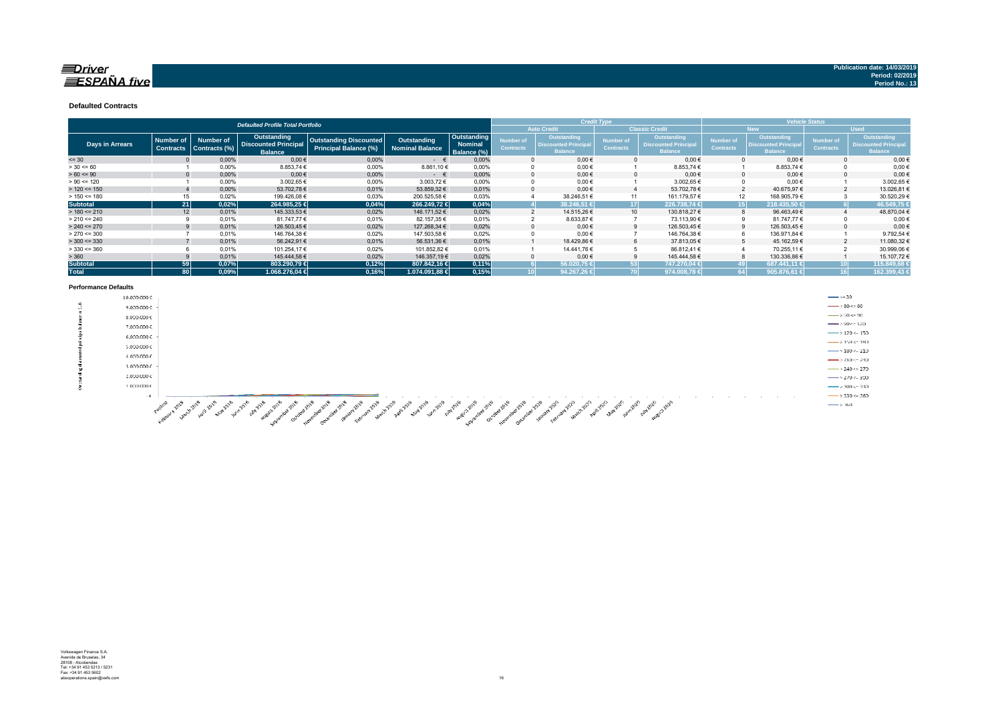### $\equiv$ Driver  $ESPA\tilde{N}A$  five

#### **Defaulted Contracts**

|                        | <b>Defaulted Profile Total Portfolio</b> |                  |                                                                                                                                                                                                        |                               |                                               |                  |                                              |                  | <b>Credit Type</b>                            |                    | <b>Vehicle Status</b> |                    |             |                    |
|------------------------|------------------------------------------|------------------|--------------------------------------------------------------------------------------------------------------------------------------------------------------------------------------------------------|-------------------------------|-----------------------------------------------|------------------|----------------------------------------------|------------------|-----------------------------------------------|--------------------|-----------------------|--------------------|-------------|--------------------|
|                        |                                          |                  |                                                                                                                                                                                                        |                               |                                               |                  | <b>Auto Credit</b>                           |                  | <b>Classic Credit</b>                         |                    | <b>New</b>            |                    | <b>Used</b> |                    |
|                        | <b>Number of</b>                         | <b>Number of</b> | Outstanding                                                                                                                                                                                            | <b>Outstanding Discounted</b> | Outstanding                                   | Outstanding      | <b>Number of</b>                             | Outstanding      | Number of                                     | <b>Outstanding</b> | <b>Number of</b>      | <b>Outstanding</b> | Number of   | <b>Outstanding</b> |
| <b>Days in Arrears</b> | <b>Contracts</b>                         | Contracts (%)    | <b>Discounted Principal</b><br><b>Nominal</b><br><b>Discounted Principal</b><br><b>Principal Balance (%)</b><br><b>Contracts</b><br>Nominal Balance<br><b>Balance</b><br><b>Balance</b><br>Balance (%) | <b>Contracts</b>              | <b>Discounted Principal</b><br><b>Balance</b> | <b>Contracts</b> | <b>Discounted Principa</b><br><b>Balance</b> | <b>Contracts</b> | <b>Discounted Principal</b><br><b>Balance</b> |                    |                       |                    |             |                    |
| $= 30$                 |                                          | 0,00%            | $0,00$ €                                                                                                                                                                                               | 0,00%                         | $ \epsilon$                                   | 0,00%            |                                              | $0,00 \in$       |                                               | $0,00 \in$         |                       | $0,00 \in$         |             | $0,00 \in$         |
| $> 30 \le 60$          |                                          | 0,00%            | 8.853,74 €                                                                                                                                                                                             | 0,00%                         | 8.861,10€                                     | 0.00%            |                                              | $0,00 \in$       |                                               | 8.853,74 €         |                       | 8.853,74 €         |             | $0,00 \in$         |
| $> 60 \le 90$          |                                          | 0,00%            | $0,00$ €                                                                                                                                                                                               | 0,00%                         | $ \epsilon$                                   | 0,00%            |                                              | $0.00 \in$       |                                               | $0,00 \in$         |                       | $0.00 \in$         |             | $0,00 \in$         |
| $> 90 \le 120$         |                                          | 0,00%            | 3.002,65 €                                                                                                                                                                                             | 0,00%                         | 3.003,72 €                                    | 0.00%            |                                              | $0,00 \in$       |                                               | 3.002,65 €         |                       | $0,00 \in$         |             | 3.002,65€          |
| $> 120 \le 150$        |                                          | 0.00%            | 53.702,78€                                                                                                                                                                                             | 0.01%                         | 53.859,32 €                                   | 0.01%            |                                              | $0.00 \in$       |                                               | 53.702.78€         |                       | 40.675,97€         |             | 13.026,81€         |
| $> 150 \le 180$        | 15                                       | 0.02%            | 199.426.08 €                                                                                                                                                                                           | 0.03%                         | 200.525.58€                                   | 0.03%            |                                              | 38.246.51 €      | 11                                            | 161.179,57 €       | 12                    | 168.905,79€        |             | 30.520,29€         |
| <b>Subtotal</b>        | 21 <sup>1</sup>                          | 0,02%            | 264.985,25 €                                                                                                                                                                                           | 0,04%                         | 266.249.72 €                                  | 0,04%            |                                              | 38.246.51 €      | 17                                            | 226.738.74 €       |                       | 218.435.50 €       |             | 46.549,75          |
| $> 180 \le 210$        | 12                                       | 0.01%            | 145.333,53 €                                                                                                                                                                                           | 0,02%                         | 146.171.52 €                                  | 0.02%            |                                              | 14.515,26 €      | 10 <sup>10</sup>                              | 130.818,27 €       |                       | 96.463,49€         |             | 48.870,04 €        |
| $> 210 \le 240$        |                                          | 0,01%            | 81.747,77 €                                                                                                                                                                                            | 0,01%                         | 82.157,35 €                                   | 0,01%            |                                              | 8.633,87 €       |                                               | 73.113,90 €        |                       | 81.747,77 €        |             | $0,00 \in$         |
| $> 240 \le 270$        |                                          | 0,01%            | 126.503,45 €                                                                                                                                                                                           | 0,02%                         | 127.268,34 €                                  | 0.02%            |                                              | $0,00 \in$       |                                               | 126.503,45 €       |                       | 126.503,45 €       |             | $0,00$ €           |
| $> 270 \le 300$        |                                          | 0.01%            | 146.764,38 €                                                                                                                                                                                           | 0,02%                         | 147.503.58 €                                  | 0.02%            |                                              | $0.00 \in$       |                                               | 146.764,38 €       |                       | 136.971.84 €       |             | 9.792,54 €         |
| $>$ 300 <= 330         |                                          | 0.01%            | 56.242,91 €                                                                                                                                                                                            | 0.01%                         | 56.531,36 €                                   | 0.01%            |                                              | 18.429,86 €      | 6                                             | 37.813,05 €        |                       | 45.162,59€         |             | 11.080,32€         |
| $>$ 330 <= 360         |                                          | 0.01%            | 101.254.17 €                                                                                                                                                                                           | 0.02%                         | 101.852.82 €                                  | 0.01%            |                                              | 14.441.76 €      | 5                                             | 86.812.41 €        |                       | 70.255.11 €        |             | 30.999,06 €        |
| > 360                  |                                          | 0,01%            | 145.444.58 €                                                                                                                                                                                           | 0,02%                         | 146.357,19€                                   | 0.02%            |                                              | $0.00 \in$       |                                               | 145.444.58€        |                       | 130.336,86 €       |             | 15.107,72€         |
| <b>Subtotal</b>        | 59 <sup>1</sup>                          | 0,07%            | 803.290.79 €                                                                                                                                                                                           | 0.12%                         | 807.842.16 €                                  | 0,11%            |                                              | 56.020.75 €      | 53                                            | 747.270.04 €       |                       | 687.441.11 €       |             | 115.849.68         |
| <b>Total</b>           | 80 <sup>2</sup>                          | 0.09%            | 1.068.276.04 €                                                                                                                                                                                         | 0,16%                         | 1.074.091.88 €                                | 0,15%            |                                              | 94.267.26 €      |                                               | 974.008.78 €       |                       | 905.876.61         |             | 162.399,43         |

#### **Performance Defaults**

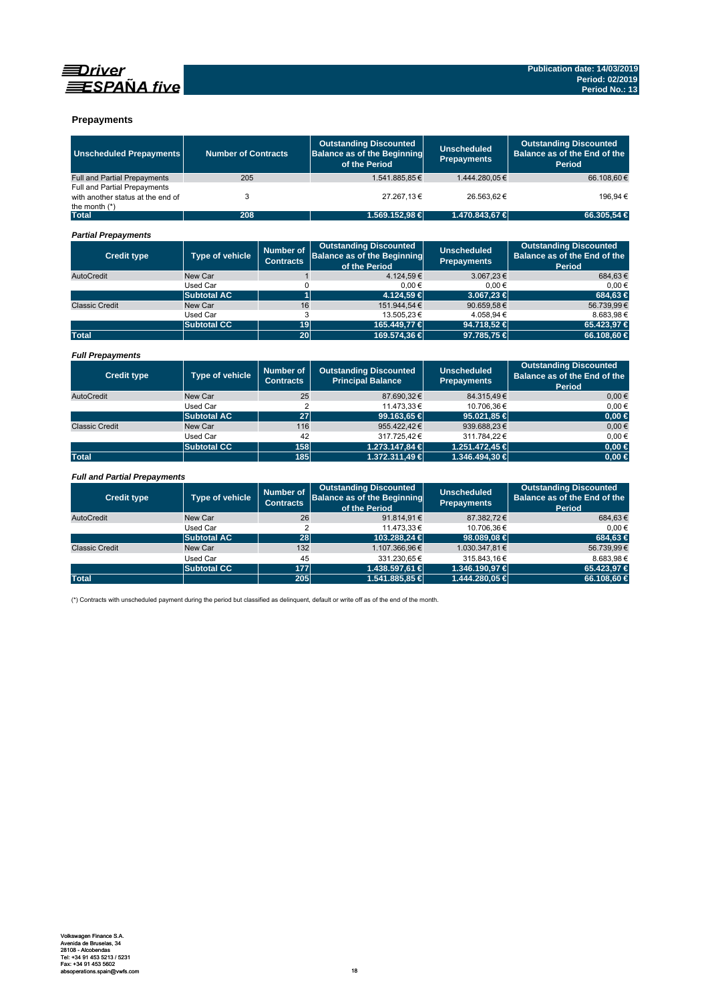

# **EDriver**  $\equiv$ SPAÑA five

## **Prepayments**

| <b>Unscheduled Prepayments</b>                                                              | <b>Number of Contracts</b>                                     |                                      | <b>Outstanding Discounted</b><br><b>Balance as of the Beginning</b><br>of the Period | <b>Unscheduled</b><br><b>Prepayments</b> | <b>Outstanding Discounted</b><br>Balance as of the End of the<br><b>Period</b> |
|---------------------------------------------------------------------------------------------|----------------------------------------------------------------|--------------------------------------|--------------------------------------------------------------------------------------|------------------------------------------|--------------------------------------------------------------------------------|
| <b>Full and Partial Prepayments</b>                                                         | 205                                                            |                                      | 1.541.885.85€                                                                        | 1.444.280.05€                            | 66.108.60€                                                                     |
| <b>Full and Partial Prepayments</b><br>with another status at the end of<br>the month $(*)$ | 3                                                              |                                      | 27.267,13€                                                                           | 26.563,62€                               | 196,94€                                                                        |
| <b>Total</b>                                                                                | 208                                                            |                                      | 1.569.152,98 €                                                                       | 1.470.843,67 €                           | 66.305.54 €                                                                    |
| <b>Partial Prepayments</b>                                                                  |                                                                |                                      |                                                                                      |                                          |                                                                                |
| <b>Credit type</b>                                                                          | <b>Type of vehicle</b>                                         | <b>Number of</b><br><b>Contracts</b> | <b>Outstanding Discounted</b><br><b>Balance as of the Beginning</b><br>of the Period | <b>Unscheduled</b><br><b>Prepayments</b> | <b>Outstanding Discounted</b><br>Balance as of the End of the<br>Period        |
| AutoCredit                                                                                  | New Car                                                        | $\mathbf{1}$                         | 4.124.59€                                                                            | 3.067,23€                                | 684.63€                                                                        |
|                                                                                             | Used Car                                                       | 0                                    | $0,00 \in$                                                                           | $0,00 \in$                               | $0,00 \in$                                                                     |
|                                                                                             | <b>Subtotal AC</b>                                             | 1                                    | 4.124.59 €                                                                           | 3.067,23 €                               | 684.63 €                                                                       |
| <b>Classic Credit</b>                                                                       | New Car                                                        | 16                                   | 151.944.54 €                                                                         | 90.659.58€                               | 56.739.99€                                                                     |
|                                                                                             | Used Car                                                       | 3                                    | 13.505.23 €                                                                          | 4.058,94€                                | 8.683,98€                                                                      |
|                                                                                             | <b>Subtotal CC</b>                                             | 19                                   | 165.449,77 €                                                                         | 94.718,52 €                              | 65.423,97 €                                                                    |
| <b>Total</b>                                                                                |                                                                | 20                                   | 169.574,36 €                                                                         | 97.785,75 €                              | 66.108,60 €                                                                    |
| <b>Full Prepayments</b><br><b>Credit type</b>                                               | <b>Type of vehicle</b>                                         | <b>Number of</b>                     | <b>Outstanding Discounted</b>                                                        | <b>Unscheduled</b>                       | <b>Outstanding Discounted</b><br>Balance as of the End of the                  |
|                                                                                             |                                                                | <b>Contracts</b>                     | <b>Principal Balance</b>                                                             | <b>Prepayments</b>                       | Period                                                                         |
| AutoCredit                                                                                  | New Car                                                        | 25                                   | 87.690,32€                                                                           | 84.315,49€                               | $0.00 \in$                                                                     |
|                                                                                             | Used Car                                                       | $\overline{2}$                       | 11.473,33€                                                                           | 10.706,36€                               | $0,00 \in$                                                                     |
|                                                                                             | <b>Subtotal AC</b>                                             | $\overline{27}$                      | 99.163.65 €                                                                          | 95.021.85 €                              | $0.00 \in$                                                                     |
| <b>Classic Credit</b>                                                                       | New Car                                                        | 116                                  | 955.422,42€                                                                          | 939.688,23€                              | $0,00 \in$                                                                     |
|                                                                                             | Used Car                                                       | 42                                   | 317.725,42€                                                                          | 311.784,22€                              | $0,00 \in$                                                                     |
|                                                                                             | <b>Subtotal CC</b>                                             | 158                                  | 1.273.147,84 €                                                                       | 1.251.472,45 €                           | $0.00 \in$                                                                     |
| <b>Total</b>                                                                                |                                                                | 185                                  | 1.372.311,49 €                                                                       | 1.346.494,30 €                           | $0.00 \in$                                                                     |
| <b>Full and Partial Prepayments</b>                                                         |                                                                |                                      |                                                                                      |                                          |                                                                                |
| <b>Credit type</b>                                                                          | <b>Number of</b><br><b>Type of vehicle</b><br><b>Contracts</b> |                                      | <b>Outstanding Discounted</b><br><b>Balance as of the Beginning</b><br>of the Period | <b>Unscheduled</b><br><b>Prepayments</b> | <b>Outstanding Discounted</b><br>Balance as of the End of the<br>Period        |
| AutoCredit                                                                                  | New Car                                                        | 26                                   | 91.814.91€                                                                           | 87.382.72€                               | 684.63€                                                                        |
|                                                                                             | Used Car                                                       | $\overline{2}$                       | 11.473.33 €                                                                          | 10.706.36€                               | 0.00€                                                                          |

|                       |             |     |                |                 | .           |
|-----------------------|-------------|-----|----------------|-----------------|-------------|
| AutoCredit            | New Car     | 26  | 91.814,91 €    | 87.382,72€      | 684,63€     |
|                       | Used Car    |     | 11.473.33 €    | 10.706.36€      | 0.00€       |
|                       | Subtotal AC | 28  | 103.288.24 €   | 98,089,08 $\in$ | 684.63 €    |
| <b>Classic Credit</b> | New Car     | 132 | 1.107.366,96€  | 1.030.347,81€   | 56.739,99€  |
|                       | Used Car    | 45  | 331.230.65 €   | 315.843.16€     | 8.683.98€   |
|                       | Subtotal CC | 177 | 1.438,597.61 € | 1.346.190.97 €  | 65.423.97 € |
| <b>Total</b>          |             | 205 | 1.541.885,85 € | 1.444.280,05 €  | 66.108,60 € |

(\*) Contracts with unscheduled payment during the period but classified as delinquent, default or write off as of the end of the month.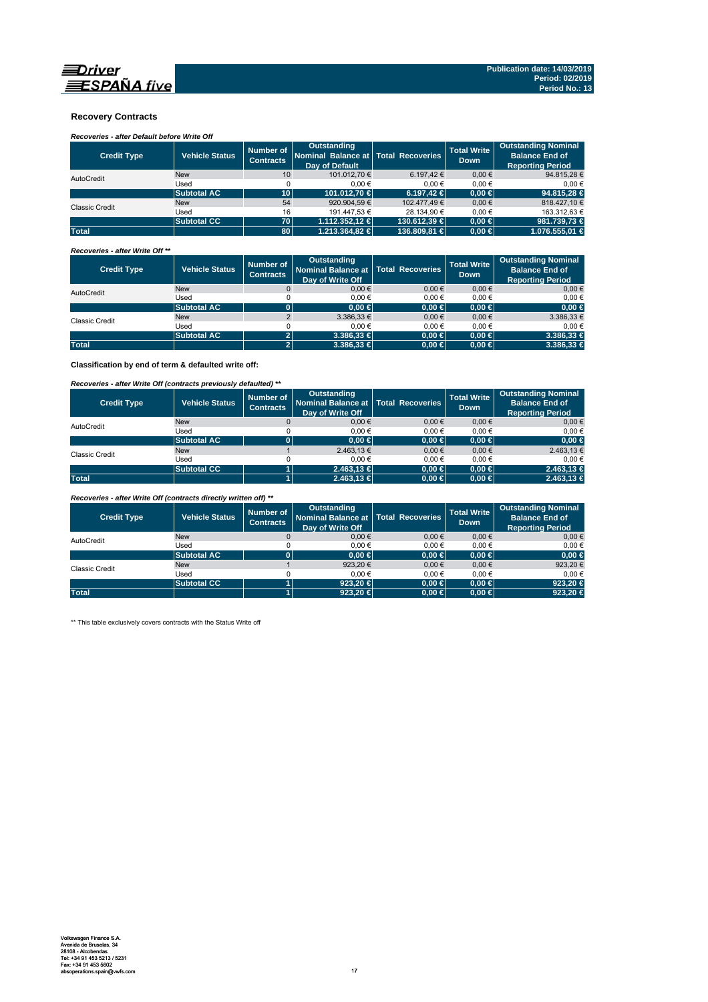

## **Recovery Contracts**

# *Recoveries - after Default before Write Off*

| <b>Credit Type</b>    | <b>Vehicle Status</b> | Number of<br><b>Contracts</b> | Outstanding<br>Nominal Balance at Total Recoveries<br><b>Dav of Default</b> |                | <b>Total Write</b><br><b>Down</b> | <b>Outstanding Nominal</b><br><b>Balance End of</b><br><b>Reporting Period</b> |
|-----------------------|-----------------------|-------------------------------|-----------------------------------------------------------------------------|----------------|-----------------------------------|--------------------------------------------------------------------------------|
| AutoCredit            | <b>New</b>            | 10                            | 101.012.70 €                                                                | 6.197.42 €     | $0.00 \in$                        | 94.815,28 €                                                                    |
|                       | Used                  |                               | 0.00€                                                                       | 0.00€          | 0.00€                             | 0.00€                                                                          |
|                       | <b>Subtotal AC</b>    | 10 <sup>1</sup>               | 101.012.70 €                                                                | $6.197.42 \in$ | $0.00 \in$                        | 94.815,28 €                                                                    |
| <b>Classic Credit</b> | <b>New</b>            | 54                            | 920.904.59 €                                                                | 102.477.49 €   | $0.00 \in$                        | 818.427.10 €                                                                   |
|                       | Used                  | 16                            | 191.447.53 €                                                                | 28.134.90 €    | 0.00€                             | 163.312.63 €                                                                   |
|                       | <b>Subtotal CC</b>    | <b>70</b>                     | $1.112.352.12 \in$                                                          | 130.612.39 €   | $0.00 \in$                        | 981.739.73 €                                                                   |
| <b>Total</b>          |                       | 80                            | 1.213.364.82 €                                                              | 136,809,81 €   | $0.00 \in$                        | 1.076.555.01 €                                                                 |

### *Recoveries - after Write Off \*\**

| <b>Credit Type</b> | <b>Vehicle Status</b> | Number of<br><b>Contracts</b> | Outstanding<br>Nominal Balance at   Total Recoveries<br>Day of Write Off |            | <b>Total Write</b><br><b>Down</b> | <b>Outstanding Nominal</b><br><b>Balance End of</b><br><b>Reporting Period</b> |
|--------------------|-----------------------|-------------------------------|--------------------------------------------------------------------------|------------|-----------------------------------|--------------------------------------------------------------------------------|
| AutoCredit         | <b>New</b>            |                               | $0.00 \in$                                                               | $0.00 \in$ | $0,00 \in$                        | $0,00 \in$                                                                     |
|                    | Used                  |                               | $0.00 \in$                                                               | 0.00€      | 0.00€                             | 0,00€                                                                          |
|                    | <b>Subtotal AC</b>    |                               | 0.00 ∈                                                                   | $0,00 \in$ | $0.00 \in$                        | $0,00 \in$                                                                     |
| Classic Credit     | <b>New</b>            |                               | $3.386.33 \in$                                                           | $0.00 \in$ | $0,00 \in$                        | 3.386,33 €                                                                     |
|                    | Used                  |                               | $0.00 \in$                                                               | 0.00€      | 0.00€                             | $0.00 \in$                                                                     |
|                    | <b>Subtotal AC</b>    |                               | $3.386.33 \in$                                                           | $0,00 \in$ | $0.00 \in$                        | $3.386,33 \in$                                                                 |
| <b>Total</b>       |                       | $\mathbf{2}$                  | $3.386.33 \in$                                                           | $0,00 \in$ | $0.00 \in$                        | $3.386,33 \in$                                                                 |

**Classification by end of term & defaulted write off:**

## *Recoveries - after Write Off (contracts previously defaulted) \*\**

| <b>Credit Type</b> | <b>Vehicle Status</b> | Number of<br><b>Contracts</b> | <b>Outstanding</b><br>Nominal Balance at   Total Recoveries<br>Day of Write Off |            | <b>Total Write</b><br><b>Down</b> | <b>Outstanding Nominal</b><br><b>Balance End of</b><br><b>Reporting Period</b> |
|--------------------|-----------------------|-------------------------------|---------------------------------------------------------------------------------|------------|-----------------------------------|--------------------------------------------------------------------------------|
| AutoCredit         | <b>New</b>            |                               | 0.00€                                                                           | $0.00 \in$ | $0,00 \in$                        | $0,00 \in$                                                                     |
|                    | Used                  |                               | 0.00€                                                                           | $0.00 \in$ | 0.00€                             | $0.00 \in$                                                                     |
|                    | <b>Subtotal AC</b>    |                               | 0.00 ∈                                                                          | $0,00 \in$ | $0.00 \in$                        | $0,00 \in$                                                                     |
| Classic Credit     | <b>New</b>            |                               | 2.463,13€                                                                       | $0.00 \in$ | 0.00€                             | 2.463,13 €                                                                     |
|                    | Used                  |                               | 0.00€                                                                           | $0.00 \in$ | 0.00€                             | $0.00 \in$                                                                     |
|                    | <b>Subtotal CC</b>    |                               | $2.463.13 \in$                                                                  | $0,00 \in$ | $0.00 \in$                        | $2.463,13 \in$                                                                 |
| <b>Total</b>       |                       |                               | $2.463.13 \in$                                                                  | $0,00 \in$ | $0.00 \in$                        | 2.463,13 €                                                                     |

*Recoveries - after Write Off (contracts directly written off) \*\**

| <b>Credit Type</b> | <b>Vehicle Status</b> | Number of<br><b>Contracts</b> | <b>Outstanding</b><br>Nominal Balance at   Total Recoveries<br>Day of Write Off |            | <b>Total Write</b><br>Down | <b>Outstanding Nominal</b><br><b>Balance End of</b><br><b>Reporting Period</b> |
|--------------------|-----------------------|-------------------------------|---------------------------------------------------------------------------------|------------|----------------------------|--------------------------------------------------------------------------------|
| AutoCredit         | <b>New</b>            |                               | 0.00€                                                                           | $0.00 \in$ | 0.00€                      | $0,00 \in$                                                                     |
|                    | Used                  |                               | 0.00€                                                                           | 0.00€      | 0.00€                      | $0.00 \in$                                                                     |
|                    | <b>Subtotal AC</b>    |                               | $0.00 \in$                                                                      | $0,00 \in$ | $0.00 \in$                 | $0,00 \in$                                                                     |
| Classic Credit     | <b>New</b>            |                               | 923,20€                                                                         | $0.00 \in$ | 0.00€                      | 923,20€                                                                        |
|                    | Used                  |                               | 0.00€                                                                           | 0.00€      | 0.00€                      | $0.00 \in$                                                                     |
|                    | <b>Subtotal CC</b>    |                               | 923.20 $\in$                                                                    | $0.00 \in$ | $0.00 \in$                 | 923,20 €                                                                       |
| <b>Total</b>       |                       |                               | 923.20 $\in$                                                                    | $0,00 \in$ | $0.00 \in$                 | 923,20 €                                                                       |

\*\* This table exclusively covers contracts with the Status Write off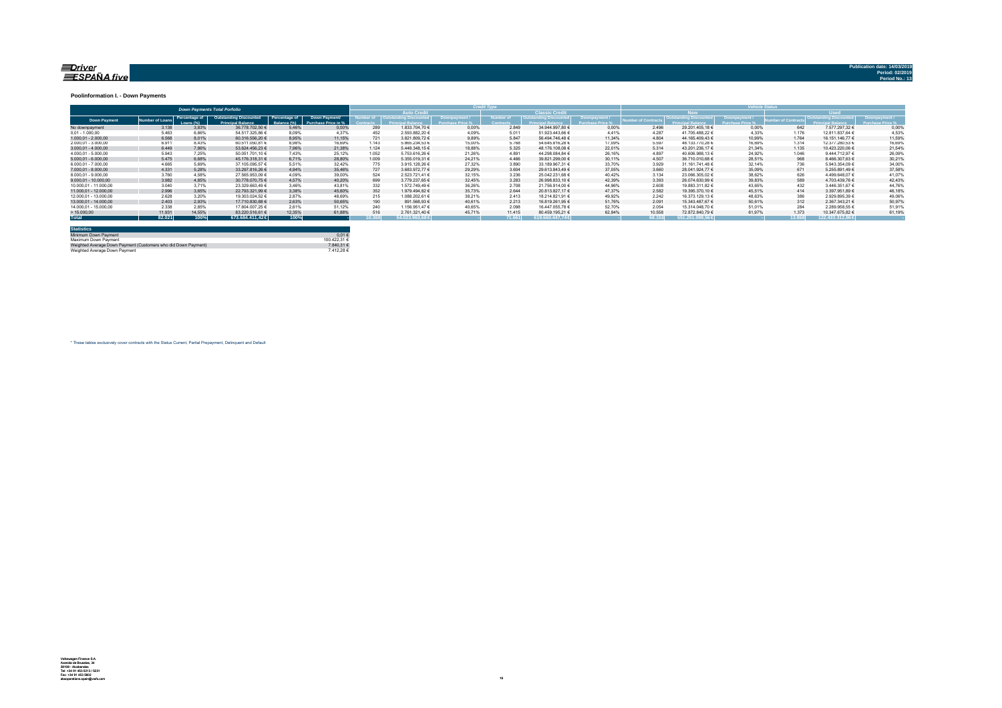#### <u>=Driver</u> ESPAÑA five

**Publication date: 14/03/20** 

#### **Poolinformation I. - Down Payments**

|                       |               |                            | <b>Down Payments Total Porfolio</b>                       |                               |                                      | ______ |                                   |        |                  |                        |        |                 |                        |        |             |                  |        |
|-----------------------|---------------|----------------------------|-----------------------------------------------------------|-------------------------------|--------------------------------------|--------|-----------------------------------|--------|------------------|------------------------|--------|-----------------|------------------------|--------|-------------|------------------|--------|
|                       |               |                            |                                                           |                               |                                      |        | <b>Auto Credit</b>                |        |                  | <b>Classic Credita</b> |        |                 | <b>RW</b>              |        | <b>Head</b> |                  |        |
| <b>Down Payment</b>   | umber of Loan | Percentage of<br>Loang (%) | <b>Outstanding Discounted</b><br><b>Princinal Balance</b> | Percentage of<br>lalance (%). | Down Payment/<br>Purchase Price in % |        | umber of   Outstanding Discounted |        | <b>Jumber of</b> | Outstanding Discounted |        | mber of Contrac | Outstanding Discounted |        |             |                  |        |
| No downpayment        | 3.138         | 3.83%                      | 36.778.702.50 €                                           | 5.46%                         | 0.00%                                | 289    | 1.833.704.70 €                    | 0.00%  | 2.849            | 34.944.997.80 €        | 0.00%  | 2.496           | 29.201.405.18 €        | 0.00%  | 642         | 7.577.297.32 €   | 0.00%  |
| $0.01 - 1.000.00$     | 5.463         | 6.66%                      | 54.517.325.86 6                                           | 8.09%                         | 4.37%                                | 452    | 2.593.882,20 €                    | 4.09%  | 5.011            | 51.923.443.66 €        | 4 4 1% | 4.287           | 41.705.488.22 €        | 4.33%  | 1.176       | 12.811.837.64 €  | 4,53%  |
| $1.000.01 - 2.000.00$ | 6.568         | 8.01%                      | 60.316.556.20 €                                           | 8.95%                         | 11.15%                               | 721    | 3.821.809.72 €                    | 9.89%  | 5.847            | 56.494.746.48 €        | 11.34% | 4.804           | 44.165.409.43 €        | 10.99% | 1.764       | 16.151.146.77 €  | 11.59% |
| 2.000.01 - 3.000.00   | 6.911         | 8.43%                      | 60.511.050.81 €                                           | 8.98%                         | 16.69%                               | 1.143  | 5.865.234.53 €                    | 15.00% | 5.768            | 54.645.816.28 €        | 17.09% | 5.597           | 48.133.770.28 €        | 16.69% | 1.314       | 12.377.280.53 €  | 16,69% |
| $3.000.01 - 4.000.00$ | 6.449         | 7.86%                      | 53.624.456.23 €                                           | 7.96%                         | 21.38%                               | 1.124  | 5.448.348.15 €                    | 18.88% | 5.325            | 48.176.108.08 €        | 22.01% | 5.314           | 43.201.236.17 €        | 21.34% | 1.135       | 10.423.220.06 €  | 21.54% |
| 4.000.01 - 5.000.00   | 5.943         | 7.25%                      | 50.051.701.10 €                                           | 7.43%                         | 25.12%                               | 1.052  | 5.753.616.26 €                    | 21.26% | 4.891            | 44.298.084.84 €        | 26.16% | 4897            | 40.606.988.13 €        | 24.92% | 1.046       | 9.444.712.97 €   | 26,09% |
| $5.000.01 - 6.000.00$ | 5.475         | 6.68%                      | 45.176.318.31 €                                           | 6.71%                         | 28.80%                               | 1.009  | 5.355.019.31 €                    | 24.21% | 4.466            | 39.821.299.00 €        | 30.11% | 4.507           | 36.710.010.68 €        | 28.51% | 968         | 8.466.307.63 €   | 30,21% |
| 6.000.01 - 7.000.00   | 4.665         | 5.69%                      | 37.105.095.57 €                                           | 5.51%                         | 32.42%                               | 775    | 3.915.128.26 €                    | 27.32% | 3,890            | 33.189.967.31 €        | 33.70% | 3.929           | 31.161.741.48 €        | 32.14% | 736         | 5.943.354.09 €   | 34,00% |
| 7.000.01 - 8.000.00   | 4.331         | 5.28%                      | 33.297.816.26 €                                           | 4.94%                         | 35.46%                               | 727    | 3.683.972.77 €                    | 29.29% | 3.604            | 29.613.843.49 €        | 37.05% | 3.660           | 28.041.924.77 €        | 35.09% | 671         | 5.255.891.49 €   | 37,58% |
| 8.000.01 - 9.000.00   | 3.760         | 4.58%                      | 27.565.953.09 €                                           | 4.09%                         | 39.00%                               | 524    | 2.523.721.41 €                    | 32.15% | 3.236            | 25.042.231.68 €        | 40.42% | 3.134           | 23.066.305.02 €        | 38.62% | 626         | 4.499.648.07 €   | 41.07% |
| 9.000.01 - 10.000.00  | 3.982         | 4.85%                      | 30.778.070.75 €                                           | 4.57%                         | 40.20%                               | 699    | 3.779.237.65 €                    | 32.45% | 3.283            | 26.998.833.10 €        | 42.39% | 3.393           | 26.074.630.99 €        | 39.83% | 589         | 4.703.439.76 0   | 42.43% |
| 10.000.01 - 11.000.00 | 3.040         | 3.71%                      | 23.329.663.49 €                                           | 3.46%                         | 43.81%                               | 332    | 1.572.749.49 €                    | 36.26% | 2.708            | 21.756.914.00 €        | 44.96% | 2.608           | 19.883.311.82 €        | 43.65% | 432         | 3.446.351.67 €   | 44.76% |
| 11.000.01 - 12.000.00 | 2.996         | 3.65%                      | 22.793.321.99 €                                           | 3.38%                         | 45.60%                               | 352    | 1.979.494.82 €                    | 35.73% | 2.644            | 20.813.827.17 €        | 47.37% | 2.582           | 19.395.370.10 €        | 45.51% | 414         | 3.397.951.89 €   | 46.18% |
| 12.000.01 - 13.000.00 | 2.628         | 3.20%                      | 19.303.024.52 €                                           | 2.87%                         | 48.69%                               | 215    | 1.088.202.61 €                    | 38.21% | 2.413            | 18.214.821.91 €        | 49.92% | 2.242           | 16.373.129.13 €        | 48.63% | 386         | 2.929.895.39 €   | 49.06% |
| 13.000.01 - 14.000.00 | 2.403         | 2.93%                      | 17.710.830.88 €                                           | 2.63%                         | 50.65%                               | 190    | 891.568.93 €                      | 40.61% | 2.213            | 16.819.261.95 €        | 51.76% | 2.091           | 15.343.487.67 €        | 50.61% | 312         | 2.367.343.21 €   | 50,97% |
| 14.000.01 - 15.000.00 | 2.338         | 2.85%                      | 17.604.007.25 €                                           | 2.61%                         | 51.12%                               | 240    | 1.156.951.47 €                    | 40.65% | 2.098            | 16.447.055.78 €        | 52.70% | 2.054           | 15.314.048.70 €        | 51.01% | 284         | 2.289.958.55 €   | 51.91% |
| >15.000,00            | 11.931        | 14.55%                     | 83.220.516.61 €                                           | 12.35%                        | 61.88%                               |        | 2.761.321.40 €                    | 45.71% | 11.415           | 80.459.195.21 €        | 62.84% | 10.558          | 72.872.840.79 €        | 61.97% | 1.373       | 10.347.675.82 €  | 61.19% |
| <b>Total</b>          | 82.021        | 100%                       | 673,684,411,42 €                                          | 100%                          |                                      | 10.360 | $54.023.963.68 \in$               |        | 71.661           | 619,660,447,74€        |        | 68.153          | $551.251.098.56 \in$   |        | 13,868      | 122.433.312.86 € |        |

| <b>Statistics</b>                                              |              |
|----------------------------------------------------------------|--------------|
| Minimum Down Payment                                           | $0.01 \in$   |
| Maximum Down Payment                                           | 100 422 31 6 |
| Weighted Average Down Payment (Customers who did Down Payment) | 7.840.31 €   |
| Weighted Average Down Payment                                  | 7.412.28 €   |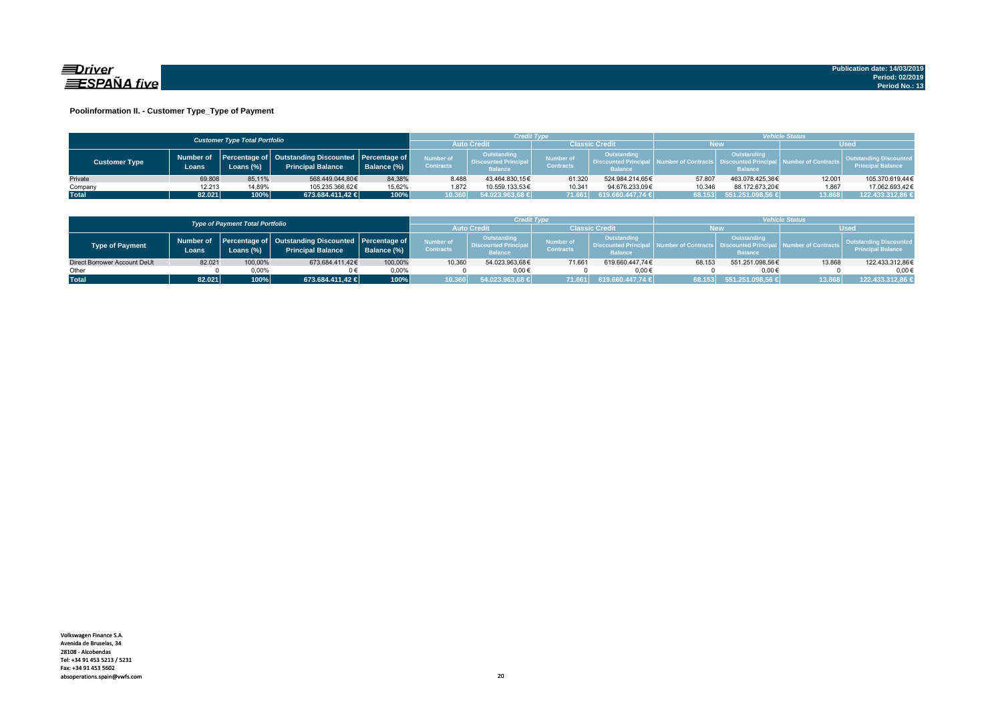

### **Poolinformation II. - Customer Type\_Type of Payment**

|                      |                     | <b>Customer Type Total Portfolio</b> |                                                                                    |             |                               | Credit Type                                                  |                                      |                                                                    | <b>Vehicle Status</b> |                                                                          |                                |                                                           |  |
|----------------------|---------------------|--------------------------------------|------------------------------------------------------------------------------------|-------------|-------------------------------|--------------------------------------------------------------|--------------------------------------|--------------------------------------------------------------------|-----------------------|--------------------------------------------------------------------------|--------------------------------|-----------------------------------------------------------|--|
|                      |                     |                                      |                                                                                    |             | <b>Auto Credi</b>             |                                                              | Classic Credit                       |                                                                    | <b>New</b>            |                                                                          | <b>Used</b>                    |                                                           |  |
| <b>Customer Type</b> | Number of<br>Loans. | Loans (%)                            | Percentage of   Outstanding Discounted   Percentage of<br><b>Principal Balance</b> | Balance (%) | Number of<br><b>Contracts</b> | Outstanding<br><b>Discounted Principal</b><br><b>Balance</b> | <b>Number of</b><br><b>Contracts</b> | <b>Outstanding</b><br><b>Discounted Principa</b><br><b>Balance</b> |                       | Outstanding<br>umber of Contracts丨 Discounted Principa<br><b>Balance</b> | <b>All Number of Contracts</b> | <b>Outstanding Discounted</b><br><b>Principal Balance</b> |  |
| Private              | 69.808              | 85.11%                               | 568.449.044.80€                                                                    | 84.38%      | 8.488                         | 43.464.830.15€                                               | 61.320                               | 524.984.214.65€                                                    | 57.807                | 463.078.425.36€                                                          | 12.001                         | 105.370.619,44€                                           |  |
| Company              | 12.213              | 14,89%                               | 105.235.366.62€                                                                    | 15,62%      | 1.872                         | 10.559.133.53€                                               | 10.341                               | 94.676.233.09€                                                     | 10.346                | 88.172.673.20€                                                           | 1.867                          | 17.062.693.42€                                            |  |
| <b>Total</b>         | 82.021              | 100%                                 | 673.684.411,42 €                                                                   | 100%        | 0.360                         | 54.023.963,68 €                                              | 71.661                               | 619.660.447,74 €                                                   | 68.153                | $551.251.098,56 \in$                                                     | 13.868                         | 122.433.312,86 €                                          |  |

|                                        |        |              |                                                                                          |                   |                                      | Credit Type                                                  |                               |                                                                     | <b>/ehicle Status</b> |                                                         |                    |                                                           |
|----------------------------------------|--------|--------------|------------------------------------------------------------------------------------------|-------------------|--------------------------------------|--------------------------------------------------------------|-------------------------------|---------------------------------------------------------------------|-----------------------|---------------------------------------------------------|--------------------|-----------------------------------------------------------|
| <b>Type of Payment Total Portfolio</b> |        |              |                                                                                          | <b>Auto Credi</b> |                                      | <b>Classic Credit</b>                                        |                               | <b>New</b>                                                          |                       | Wsed                                                    |                    |                                                           |
| Type of Payment                        | Loans  | Loans $(\%)$ | Number of Percentage of Outstanding Discounted Percentage of<br><b>Principal Balance</b> | Balance (%)       | <b>Number of</b><br><b>Contracts</b> | Outstanding<br><b>Discounted Principal</b><br><b>Balance</b> | Number of<br><b>Contracts</b> | <b>Outstanding</b><br><b>Discounted Principal</b><br><b>Balance</b> |                       | Outstanding<br><b>Discounted Prin</b><br><b>Balance</b> | umber of Contracts | <b>Outstanding Discounted</b><br><b>Principal Balance</b> |
| Direct Borrower Account DeUt           | 82.021 | 100,00%      | 673.684.411.42€                                                                          | 100.00%           | 10.360                               | 54.023.963.68€                                               | 71.661                        | 619.660.447.74€                                                     | 68.153                | 551.251.098.56€                                         | 13.868             | 122.433.312,86€                                           |
| Other                                  |        | 0.00%        |                                                                                          | 0.00%             |                                      | $0.00 \in$                                                   |                               | 0.00€                                                               |                       | $0.00 \in$                                              |                    | $0.00 \in$                                                |
| <b>Total</b>                           | 82.021 | 100%         | 673.684.411.42 €                                                                         | 100%              | 10.360                               | 54.023.963.68 €                                              | 71.661                        | 619.660.447.74 €                                                    | 68.153                | 551.251.098.56 €                                        | 13.868             | 122.433.312,86 €                                          |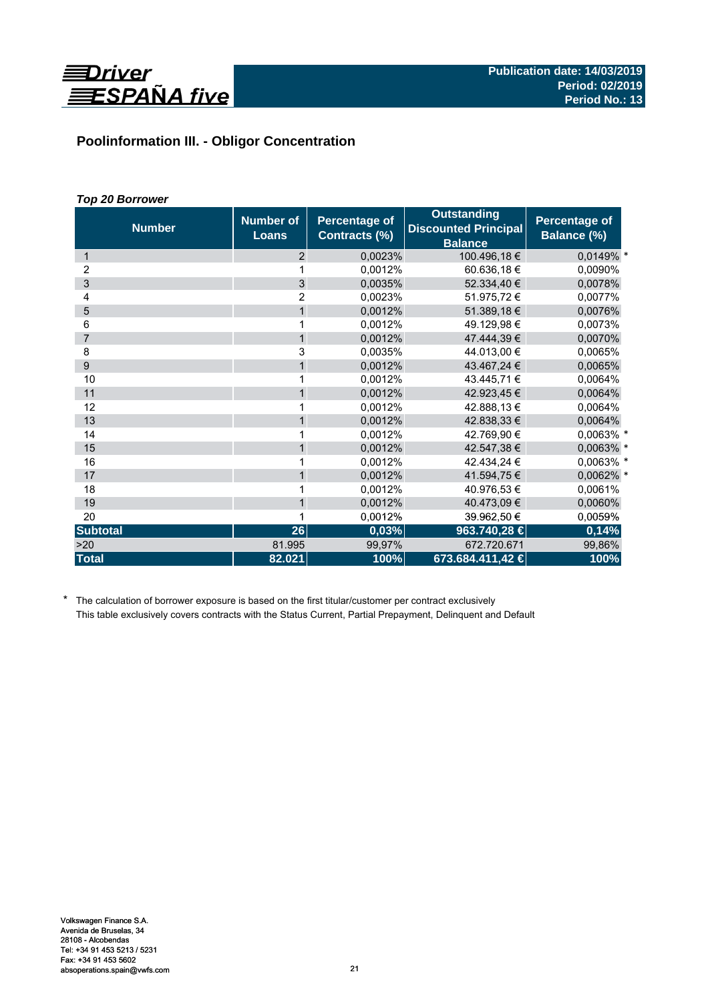

# **Poolinformation III. - Obligor Concentration**

# *Top 20 Borrower*

| <b>Number</b>   | <b>Number of</b><br><b>Loans</b> | <b>Percentage of</b><br>Contracts (%) | <b>Outstanding</b><br><b>Discounted Principal</b><br><b>Balance</b> | Percentage of<br>Balance (%) |
|-----------------|----------------------------------|---------------------------------------|---------------------------------------------------------------------|------------------------------|
| 1               | 2                                | 0,0023%                               | 100.496,18€                                                         | 0,0149% *                    |
| 2               | 1                                | 0,0012%                               | 60.636,18€                                                          | 0,0090%                      |
| 3               | 3                                | 0,0035%                               | 52.334,40 €                                                         | 0,0078%                      |
| 4               | $\overline{2}$                   | 0,0023%                               | 51.975,72€                                                          | 0,0077%                      |
| 5               | $\mathbf{1}$                     | 0,0012%                               | 51.389,18 €                                                         | 0,0076%                      |
| 6               | 1                                | 0,0012%                               | 49.129,98€                                                          | 0,0073%                      |
| $\overline{7}$  | $\mathbf{1}$                     | 0,0012%                               | 47.444,39 €                                                         | 0,0070%                      |
| 8               | 3                                | 0.0035%                               | 44.013,00 €                                                         | 0.0065%                      |
| 9               | $\mathbf{1}$                     | 0,0012%                               | 43.467,24 €                                                         | 0,0065%                      |
| 10              | 1                                | 0,0012%                               | 43.445,71 €                                                         | 0,0064%                      |
| 11              | $\mathbf{1}$                     | 0,0012%                               | 42.923,45 €                                                         | 0,0064%                      |
| 12              | 1                                | 0,0012%                               | 42.888,13 €                                                         | 0,0064%                      |
| 13              | $\mathbf{1}$                     | 0,0012%                               | 42.838,33 €                                                         | 0,0064%                      |
| 14              | 1                                | 0.0012%                               | 42.769,90 €                                                         | 0,0063% *                    |
| 15              | $\mathbf{1}$                     | 0,0012%                               | 42.547,38 €                                                         | 0,0063% *                    |
| 16              |                                  | 0,0012%                               | 42.434,24 €                                                         | 0,0063% *                    |
| 17              | $\mathbf{1}$                     | 0,0012%                               | 41.594,75 €                                                         | 0,0062% *                    |
| 18              | 1                                | 0.0012%                               | 40.976,53 €                                                         | 0,0061%                      |
| 19              | $\mathbf{1}$                     | 0,0012%                               | 40.473,09 €                                                         | 0,0060%                      |
| 20              |                                  | 0,0012%                               | 39.962,50 €                                                         | 0,0059%                      |
| <b>Subtotal</b> | 26                               | 0,03%                                 | 963.740,28 €                                                        | 0,14%                        |
| >20             | 81.995                           | 99,97%                                | 672.720.671                                                         | 99,86%                       |
| <b>Total</b>    | 82.021                           | 100%                                  | 673.684.411,42 €                                                    | 100%                         |

\* The calculation of borrower exposure is based on the first titular/customer per contract exclusively This table exclusively covers contracts with the Status Current, Partial Prepayment, Delinquent and Default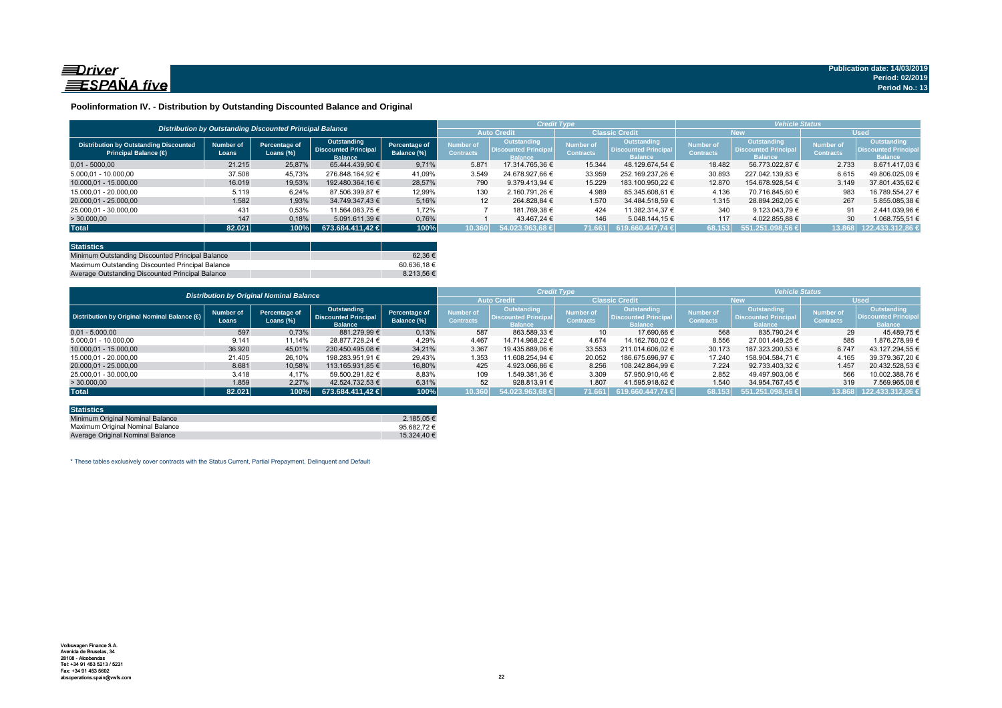

### **Poolinformation IV. - Distribution by Outstanding Discounted Balance and Original**

|                                                                              |                    | Distribution by Outstanding Discounted Principal Balance |                                                              |                              |                               |                                                               | <b>Credit Type</b>            |                                                              | <b>Vehicle Status</b>                |                                                             |                                      |                                                                    |  |
|------------------------------------------------------------------------------|--------------------|----------------------------------------------------------|--------------------------------------------------------------|------------------------------|-------------------------------|---------------------------------------------------------------|-------------------------------|--------------------------------------------------------------|--------------------------------------|-------------------------------------------------------------|--------------------------------------|--------------------------------------------------------------------|--|
|                                                                              |                    |                                                          |                                                              |                              | <b>Auto Credit</b>            |                                                               | <b>Classic Credit</b>         |                                                              | <b>New</b>                           |                                                             | <b>Used</b>                          |                                                                    |  |
| <b>Distribution by Outstanding Discounted</b><br><b>Principal Balance (€</b> | Number of<br>Loans | Percentage of<br>Loans $(\%)$                            | Outstanding<br><b>Discounted Principal</b><br><b>Balance</b> | Percentage of<br>Balance (%) | Number of<br><b>Contracts</b> | Outstanding<br><b>'Uiscounted Principal</b><br><b>Ralance</b> | Number of<br><b>Contracts</b> | Outstanding<br><b>Discounted Principal</b><br><b>Balance</b> | <b>Number of</b><br><b>Contracts</b> | Outstanding<br><b>Discounted Principa</b><br><b>Balance</b> | <b>Number of</b><br><b>Contracts</b> | <b>Outstanding</b><br><b>Discounted Principa</b><br><b>Balance</b> |  |
| $0.01 - 5000.00$                                                             | 21.215             | 25.87%                                                   | 65.444.439.90 €                                              | 9.71%                        | 5.871                         | 17.314.765.36 €                                               | 15.344                        | 48.129.674.54 €                                              | 18.482                               | 56.773.022.87 €                                             | 2.733                                | 8.671.417.03 €                                                     |  |
| 5.000.01 - 10.000.00                                                         | 37.508             | 45.73%                                                   | 276.848.164.92 €                                             | 41.09%                       | 3.549                         | 24.678.927.66 €                                               | 33.959                        | 252.169.237.26 €                                             | 30.893                               | 227.042.139.83 €                                            | 6.615                                | 49.806.025.09 €                                                    |  |
| 10.000,01 - 15.000,00                                                        | 16.019             | 19,53%                                                   | 192.480.364.16 €                                             | 28.57%                       | 790                           | 9.379.413.94 €                                                | 15.229                        | 183.100.950.22 €                                             | 12.870                               | 154.678.928.54 €                                            | 3.149                                | 37.801.435.62 €                                                    |  |
| 15.000.01 - 20.000.00                                                        | 5.119              | 6.24%                                                    | 87.506.399.87 €                                              | 12,99%                       | 130                           | 2.160.791.26 €                                                | 4.989                         | 85.345.608.61 €                                              | 4.136                                | 70.716.845.60 €                                             | 983                                  | 16.789.554.27 €                                                    |  |
| 20.000,01 - 25.000,00                                                        | 1.582              | 1,93%                                                    | 34.749.347.43 €                                              | 5,16%                        | 12                            | 264.828.84 €                                                  | 1.570                         | 34.484.518.59 €                                              | 1.315                                | 28.894.262.05 €                                             | 267                                  | 5.855.085.38 €                                                     |  |
| 25.000,01 - 30.000,00                                                        | 431                | 0,53%                                                    | 11.564.083.75 €                                              | 1,72%                        |                               | 181.769.38 €                                                  | 424                           | 11.382.314.37 €                                              | 340                                  | 9.123.043.79 $\in$                                          | 91                                   | 2.441.039.96 €                                                     |  |
| > 30.000,00                                                                  | 147                | 0,18%                                                    | 5.091.611.39 €                                               | 0.76%                        |                               | 43.467.24 €                                                   | 146                           | 5.048.144.15 €                                               | 117                                  | 4.022.855.88 €                                              | 30                                   | 1.068.755.51 €                                                     |  |
| <b>Total</b>                                                                 | 82.021             | 100%                                                     | 673.684.411.42 €                                             | 100%                         | 10.360                        | 54.023.963.68 €                                               | 71.661                        | 619.660.447.74 €                                             | 68.153                               | 551.251.098.56 €                                            | 13.868                               | 122.433.312.86 €                                                   |  |

| <b>Statistics</b>                                |  |             |
|--------------------------------------------------|--|-------------|
| Minimum Outstanding Discounted Principal Balance |  | $62.36 \in$ |
| Maximum Outstanding Discounted Principal Balance |  | 60.636.18€  |
| Average Outstanding Discounted Principal Balance |  | 8.213.56 €  |

|                                              |                                                 |                               |                                                              |                              |                                      |                                                              | <b>Credit Type</b>            |                                                       | <b>Vehicle Status</b>         |                                                              |                               |                                                             |
|----------------------------------------------|-------------------------------------------------|-------------------------------|--------------------------------------------------------------|------------------------------|--------------------------------------|--------------------------------------------------------------|-------------------------------|-------------------------------------------------------|-------------------------------|--------------------------------------------------------------|-------------------------------|-------------------------------------------------------------|
|                                              | <b>Distribution by Original Nominal Balance</b> |                               |                                                              |                              | <b>Auto Credit</b>                   |                                                              | <b>Classic Credit</b>         |                                                       | <b>New</b>                    |                                                              | <b>Used</b>                   |                                                             |
| Distribution by Original Nominal Balance (6) | <b>Number of</b><br>Loans                       | Percentage of<br>Loans $(\%)$ | Outstanding<br><b>Discounted Principal</b><br><b>Balance</b> | Percentage of<br>Balance (%) | <b>Number of</b><br><b>Contracts</b> | Outstanding<br><b>Discounted Principal</b><br><b>Balance</b> | Number of<br><b>Contracts</b> | Outstanding<br>Discounted Principal<br><b>Balance</b> | Number of<br><b>Contracts</b> | <b>Outstanding</b><br>Discounted Principal<br><b>Balance</b> | Number of<br><b>Contracts</b> | Outstanding<br><b>Discounted Principa</b><br><b>Balance</b> |
| $0.01 - 5.000.00$                            | 597                                             | 0,73%                         | 881.279.99 €                                                 | 0,13%                        | 587                                  | 863.589.33 €                                                 | 10                            | 17.690.66 €                                           | 568                           | 835.790.24 €                                                 | 29                            | 45.489.75 €                                                 |
| 5.000.01 - 10.000.00                         | 9.141                                           | 11.14%                        | 28.877.728.24 €                                              | 4.29%                        | 4.467                                | 14.714.968.22 €                                              | 4.674                         | 14.162.760.02 €                                       | 8.556                         | 27.001.449.25 €                                              | 585                           | 1.876.278.99 €                                              |
| 10.000.01 - 15.000.00                        | 36.920                                          | 45,01%                        | 230.450.495.08 €                                             | 34.21%                       | 3.367                                | 19.435.889.06 €                                              | 33.553                        | 211.014.606.02 €                                      | 30.173                        | 187.323.200.53 €                                             | 6.747                         | 43.127.294.55 €                                             |
| 15.000.01 - 20.000.00                        | 21.405                                          | 26,10%                        | 198.283.951,91 €                                             | 29,43%                       | 1.353                                | 11.608.254.94 €                                              | 20.052                        | 186.675.696.97 €                                      | 17.240                        | 158.904.584.71 €                                             | 4.165                         | 39.379.367.20 €                                             |
| 20.000.01 - 25.000.00                        | 8.681                                           | 10.58%                        | 113.165.931.85 €                                             | 16.80%                       | 425                                  | 4.923.066.86 €                                               | 8.256                         | 108.242.864.99 €                                      | 7.224                         | 92.733.403.32 €                                              | 1.457                         | 20.432.528.53 €                                             |
| 25.000.01 - 30.000.00                        | 3.418                                           | 4.17%                         | 59.500.291.82 €                                              | 8,83%                        | 109                                  | 1.549.381.36 €                                               | 3.309                         | 57.950.910.46 €                                       | 2.852                         | 49.497.903.06 €                                              | 566                           | 10.002.388.76 €                                             |
| >30.000,00                                   | 1.859                                           | 2,27%                         | 42.524.732.53 €                                              | 6,31%                        | 52                                   | 928.813.91 €                                                 | 1.807                         | 41.595.918.62 €                                       | 1.540                         | 34.954.767.45 €                                              | 319                           | 7.569.965.08 €                                              |
| <b>Total</b>                                 | 82.021                                          | 100%                          | 673.684.411.42 €                                             | 100%                         | 10.360                               | $1,54.023.963.68 \in \mathbb{R}^1$                           | 71.661 N                      | 619.660.447.74 €                                      | 68.153                        | 551.251.098.56 €                                             | 13.868                        | 122.433.312,86                                              |

| <b>Statistics</b>                |             |
|----------------------------------|-------------|
| Minimum Original Nominal Balance | 2.185.05 €  |
| Maximum Original Nominal Balance | 95.682.72€  |
| Average Original Nominal Balance | 15.324.40 € |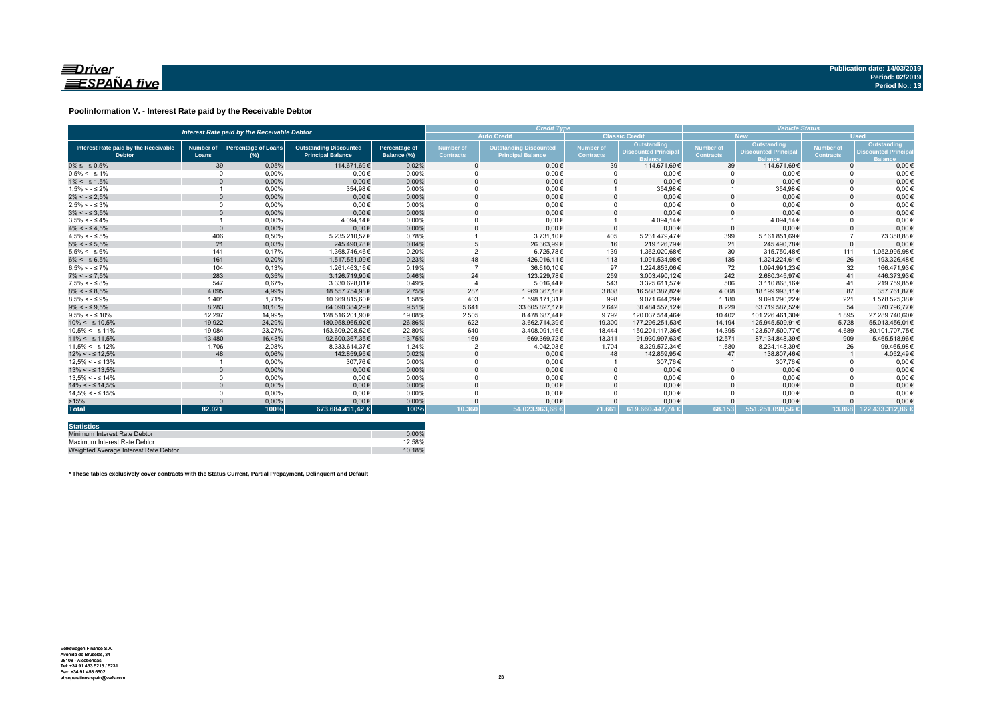

### **Poolinformation V. - Interest Rate paid by the Receivable Debtor**

| Interest Rate paid by the Receivable Debtor           |                           |                                      |                                                           |                                     | <b>Credit Type</b>                   |                                                           |                               |                                           | <b>Vehicle Status</b>         |                                           |                               |                                                          |
|-------------------------------------------------------|---------------------------|--------------------------------------|-----------------------------------------------------------|-------------------------------------|--------------------------------------|-----------------------------------------------------------|-------------------------------|-------------------------------------------|-------------------------------|-------------------------------------------|-------------------------------|----------------------------------------------------------|
|                                                       |                           |                                      |                                                           |                                     |                                      | <b>Auto Credit</b>                                        |                               | <b>Classic Credit</b>                     |                               | <b>New</b>                                | <b>Used</b>                   |                                                          |
| Interest Rate paid by the Receivable<br><b>Debtor</b> | <b>Number of</b><br>Loans | <b>Percentage of Loans</b><br>$(\%)$ | <b>Outstanding Discounted</b><br><b>Principal Balance</b> | <b>Percentage of</b><br>Balance (%) | <b>Number of</b><br><b>Contracts</b> | <b>Outstanding Discounted</b><br><b>Principal Balance</b> | Number of<br><b>Contracts</b> | Outstanding<br><b>Discounted Principa</b> | Number of<br><b>Contracts</b> | Outstanding<br><b>Discounted Principa</b> | Number of<br><b>Contracts</b> | Outstanding<br><b>Discounted Princip</b><br><b>Ralan</b> |
| $0\% \leq -\leq 0.5\%$                                | 39                        | 0.05%                                | 114.671.69€                                               | 0,02%                               |                                      | $0.00 \in$                                                | 39                            | 114.671.69€                               | 39                            | 114.671.69€                               | $\Omega$                      | $0,00 \in$                                               |
| $0.5\% < -5.1\%$                                      | $\Omega$                  | 0,00%                                | $0.00 \in$                                                | 0,00%                               |                                      | $0,00 \in$                                                |                               | $0,00 \in$                                |                               | $0,00 \in$                                |                               | $0,00 \in$                                               |
| $1\% < - \leq 1.5\%$                                  |                           | 0,00%                                | $0.00 \in$                                                | 0,00%                               |                                      | $0.00 \in$                                                | $\Omega$                      | $0.00 \in$                                | $\Omega$                      | $0.00 \in$                                |                               | $0.00 \in$                                               |
| $1.5\% < -5.2\%$                                      |                           | 0.00%                                | 354.98€                                                   | 0.00%                               |                                      | $0.00 \in$                                                |                               | 354.98€                                   |                               | 354,98€                                   |                               | $0.00 \in$                                               |
| $2\% < - \leq 2.5\%$                                  | $\Omega$                  | 0,00%                                | $0.00 \in$                                                | 0,00%                               |                                      | $0.00 \in$                                                |                               | $0.00 \in$                                | $\Omega$                      | $0.00 \in$                                |                               | $0.00 \in$                                               |
| $2.5\% < -5.3\%$                                      | $\Omega$                  | 0,00%                                | $0.00 \in$                                                | 0,00%                               |                                      | $0,00 \in$                                                |                               | $0,00 \in$                                | $\Omega$                      | $0.00 \in$                                |                               | $0,00 \in$                                               |
| $3\% < - \leq 3.5\%$                                  |                           | 0,00%                                | $0,00 \in$                                                | 0,00%                               |                                      | $0,00 \in$                                                |                               | $0,00 \in$                                | $\Omega$                      | $0,00 \in$                                |                               | $0,00 \in$                                               |
| $3.5\% < -5.4\%$                                      |                           | 0,00%                                | 4.094.14€                                                 | 0,00%                               |                                      | $0.00 \in$                                                |                               | 4.094.14€                                 |                               | 4.094,14€                                 |                               | $0,00 \in$                                               |
| $4\% < - \leq 4.5\%$                                  | $\Omega$                  | 0.00%                                | $0.00 \in$                                                | 0.00%                               |                                      | $0.00 \in$                                                | $\Omega$                      | $0.00 \in$                                | $\Omega$                      | $0.00 \in$                                |                               | $0,00 \in$                                               |
| $4.5\% < -5\%$                                        | 406                       | 0,50%                                | 5.235.210.57€                                             | 0.78%                               |                                      | 3.731,10€                                                 | 405                           | 5.231.479.47€                             | 399                           | 5.161.851.69€                             |                               | 73.358,88€                                               |
| $5\% < - \leq 5.5\%$                                  | 21                        | 0.03%                                | 245.490.78€                                               | 0.04%                               |                                      | 26.363.99€                                                | 16                            | 219.126.79€                               | 21                            | 245.490.78€                               | $\Omega$                      | $0.00 \in$                                               |
| $5.5\% < -5.6\%$                                      | 141                       | 0.17%                                | 1.368.746.46€                                             | 0.20%                               |                                      | 6.725,78€                                                 | 139                           | 1.362.020.68€                             | 30                            | 315.750.48€                               | 111                           | 1.052.995.98€                                            |
| $6\% < - \leq 6.5\%$                                  | 161                       | 0,20%                                | 1.517.551,09€                                             | 0,23%                               | 48                                   | 426.016,11€                                               | 113                           | 1.091.534,98€                             | 135                           | 1.324.224,61€                             | 26                            | 193.326,48€                                              |
| $6.5\% < -5.7\%$                                      | 104                       | 0.13%                                | 1.261.463.16€                                             | 0.19%                               |                                      | 36.610.10€                                                | 97                            | 1.224.853.06€                             | 72                            | 1.094.991.23€                             | 32                            | 166.471.93€                                              |
| $7\% < - \leq 7.5\%$                                  | 283                       | 0,35%                                | 3.126.719,90€                                             | 0,46%                               | 24                                   | 123.229,78€                                               | 259                           | 3.003.490,12€                             | 242                           | 2.680.345,97€                             | 41                            | 446.373,93€                                              |
| $7.5\% < -5.8\%$                                      | 547                       | 0.67%                                | 3.330.628.01€                                             | 0.49%                               |                                      | 5.016.44€                                                 | 543                           | 3.325.611.57€                             | 506                           | 3.110.868.16€                             | 41                            | 219.759.85€                                              |
| $8\% < - \leq 8.5\%$                                  | 4.095                     | 4,99%                                | 18.557.754.98€                                            | 2,75%                               | 287                                  | 1.969.367,16€                                             | 3.808                         | 16.588.387.82€                            | 4.008                         | 18.199.993.11€                            | 87                            | 357.761.87€                                              |
| $8.5\% < -5.9\%$                                      | 1.401                     | 1.71%                                | 10.669.815.60€                                            | 1.58%                               | 403                                  | 1.598.171.31€                                             | 998                           | 9.071.644.29€                             | 1.180                         | 9.091.290.22€                             | 221                           | 1.578.525.38€                                            |
| $9\% < - \leq 9.5\%$                                  | 8.283                     | 10,10%                               | 64.090.384.29€                                            | 9,51%                               | 5.641                                | 33.605.827.17€                                            | 2.642                         | 30.484.557.12€                            | 8.229                         | 63.719.587.52€                            | 54                            | 370.796,77€                                              |
| $9.5\% < -5.10\%$                                     | 12.297                    | 14,99%                               | 128.516.201,90€                                           | 19,08%                              | 2.505                                | 8.478.687,44€                                             | 9.792                         | 120.037.514,46€                           | 10.402                        | 101.226.461,30€                           | 1.895                         | 27.289.740.60€                                           |
| $10\% < -\leq 10.5\%$                                 | 19,922                    | 24.29%                               | 180.958.965.92€                                           | 26,86%                              | 622                                  | 3.662.714.39€                                             | 19,300                        | 177.296.251.53€                           | 14.194                        | 125.945.509.91€                           | 5.728                         | 55.013.456.01€                                           |
| $10.5\% < -\leq 11\%$                                 | 19.084                    | 23.27%                               | 153.609.208.52€                                           | 22.80%                              | 640                                  | 3.408.091,16€                                             | 18.444                        | 150.201.117.36€                           | 14.395                        | 123.507.500,77€                           | 4.689                         | 30.101.707.75€                                           |
| $11\% < - \leq 11.5\%$                                | 13,480                    | 16,43%                               | 92.600.367.35€                                            | 13,75%                              | 169                                  | 669.369,72€                                               | 13.311                        | 91.930.997.63€                            | 12.571                        | 87.134.848.39€                            | 909                           | 5.465.518.96€                                            |
| $11,5\% < -512\%$                                     | 1.706                     | 2.08%                                | 8.333.614.37€                                             | 1.24%                               |                                      | 4.042,03€                                                 | 1.704                         | 8.329.572.34€                             | 1.680                         | 8.234.148.39€                             | 26                            | 99.465.98€                                               |
| $12\% < -512.5\%$                                     | 48                        | 0,06%                                | 142.859.95€                                               | 0,02%                               |                                      | $0.00 \in$                                                | 48                            | 142.859.95€                               | 47                            | 138.807,46€                               |                               | 4.052,49€                                                |
| $12.5\% < -5.13\%$                                    |                           | 0,00%                                | 307,76€                                                   | 0,00%                               |                                      | $0,00 \in$                                                |                               | 307,76€                                   |                               | 307,76€                                   |                               | $0,00 \in$                                               |
| $13\% < -513.5\%$                                     | $\Omega$                  | 0,00%                                | $0,00 \in$                                                | 0,00%                               |                                      | $0,00 \in$                                                |                               | $0,00 \in$                                | $\Omega$                      | $0,00 \in$                                |                               | $0,00 \in$                                               |
| $13.5\% < -5.14\%$                                    | $\Omega$                  | 0.00%                                | $0,00 \in$                                                | 0,00%                               |                                      | $0,00 \in$                                                |                               | $0,00 \in$                                | $\Omega$                      | $0,00 \in$                                |                               | $0,00 \in$                                               |
| $14\% < -5.14.5\%$                                    | $\Omega$                  | 0,00%                                | $0.00 \in$                                                | 0,00%                               |                                      | $0.00 \in$                                                |                               | $0.00 \in$                                | $\Omega$                      | $0.00 \in$                                |                               | $0,00 \in$                                               |
| $14.5\% < -5.15\%$                                    | $\Omega$                  | 0.00%                                | $0.00 \in$                                                | 0.00%                               |                                      | $0.00 \in$                                                |                               | $0,00 \in$                                | $\Omega$                      | $0.00 \in$                                |                               | $0.00 \in$                                               |
| >15%                                                  |                           | 0,00%                                | $0.00 \in$                                                | 0.00%                               |                                      | $0.00 \in$                                                |                               | $0,00 \in$                                | $\Omega$                      | $0.00 \in$                                |                               | $0,00 \in$                                               |
| <b>Total</b>                                          | 82.021                    | 100%                                 | 673.684.411,42 €                                          | 100%                                | 10.360                               | $54.023.963.68 \in$                                       | 71.661                        | 619.660.447.74 €                          | 68.153                        | 551.251.098.56 €                          |                               | 13.868 122.433.312.86 €                                  |

| <b>Statistics</b>                     |        |
|---------------------------------------|--------|
| Minimum Interest Rate Debtor          | 0.00%  |
| Maximum Interest Rate Debtor          | 12.58% |
| Weighted Average Interest Rate Debtor | 10.18% |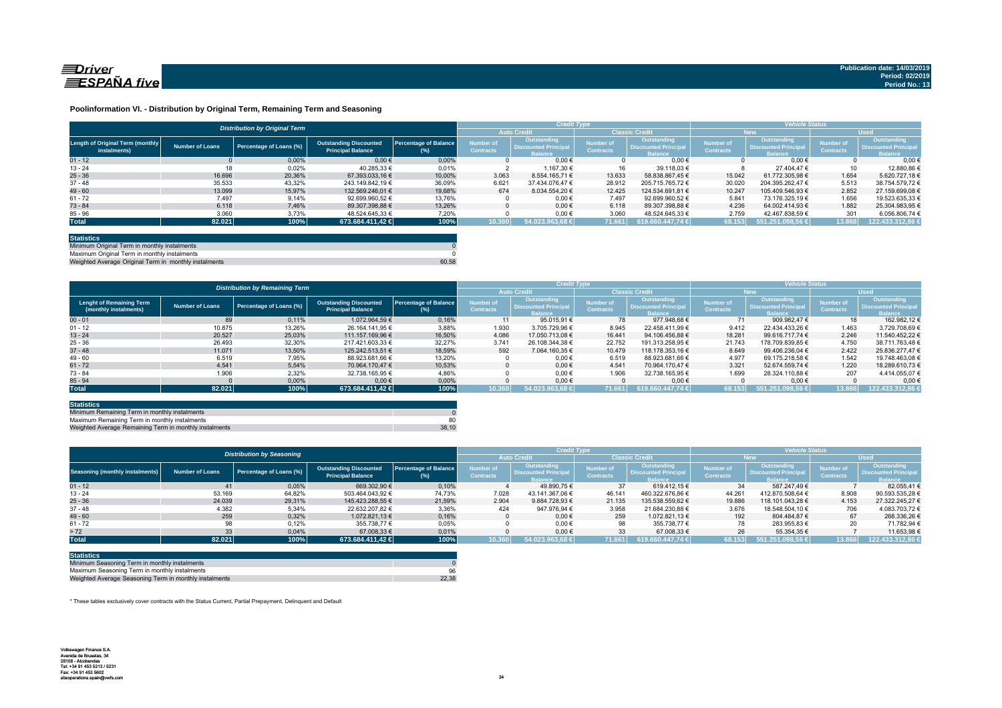

### **Poolinformation VI. - Distribution by Original Term, Remaining Term and Seasoning**

|                                                  |                 | <b>Distribution by Original Term</b> |                                                           |                                     |                                      | <b>Credit Type</b>                                           |                                      |                                                              |                                      | <b>Vehicle Status</b>                                              |                                      |                                                                     |
|--------------------------------------------------|-----------------|--------------------------------------|-----------------------------------------------------------|-------------------------------------|--------------------------------------|--------------------------------------------------------------|--------------------------------------|--------------------------------------------------------------|--------------------------------------|--------------------------------------------------------------------|--------------------------------------|---------------------------------------------------------------------|
|                                                  |                 |                                      |                                                           |                                     | <b>Auto Credit</b>                   |                                                              | <b>Classic Credit</b>                |                                                              | <b>New</b>                           |                                                                    | LUsed <sup>1</sup>                   |                                                                     |
| Length of Original Term (monthly<br>instalments) | Number of Loans | Percentage of Loans (%)              | <b>Outstanding Discounted</b><br><b>Principal Balance</b> | <b>Percentage of Balance</b><br>(%) | <b>Number of</b><br><b>Contracts</b> | Outstanding<br><b>Discounted Principal</b><br><b>Balance</b> | <b>Number of</b><br><b>Contracts</b> | Outstanding<br><b>Discounted Principal</b><br><b>Balance</b> | <b>Number of</b><br><b>Contracts</b> | <b>Outstanding</b><br><b>Discounted Principa</b><br><b>Balance</b> | <b>Number of</b><br><b>Contracts</b> | <b>Outstanding</b><br><b>Discounted Principal</b><br><b>Balance</b> |
| $01 - 12$                                        |                 | 0.00%                                | $0,00 \in$                                                | 0.00%                               |                                      | $0.00 \in$                                                   |                                      | $0.00 \in$                                                   |                                      | $0.00 \in$                                                         |                                      | 0.006                                                               |
| $13 - 24$                                        | 18              | 0,02%                                | 40.285.33 €                                               | 0,01%                               |                                      | 1.167.30 €                                                   |                                      | 39.118.03 €                                                  |                                      | 27.404.47 €                                                        | 10                                   | 12,880.86 6                                                         |
| $25 - 36$                                        | 16.696          | 20.36%                               | 67.393.033.16 €                                           | 10.00%                              | 3.063                                | 8.554.165.71 €                                               | 13.633                               | 58.838.867.45 €                                              | 15.042                               | 61.772.305.98 €                                                    | 1.654                                | 5.620.727.18 €                                                      |
| $37 - 48$                                        | 35.533          | 43,32%                               | 243.149.842.19 €                                          | 36,09%                              | 6.621                                | 37.434.076.47 €                                              | 28.912                               | 205.715.765.72 €                                             | 30.020                               | 204.395.262.47 €                                                   | 5.513                                | 38.754.579.72 €                                                     |
| $49 - 60$                                        | 13.099          | 15.97%                               | 132.569.246.01 €                                          | 19.68%                              | 674                                  | 8.034.554.20 €                                               | 12.425                               | 124.534.691.81 €                                             | 10.247                               | 105.409.546.93 €                                                   | 2.852                                | 27.159.699.08 €                                                     |
| $61 - 72$                                        | 7.497           | 9,14%                                | 92.699.960.52 €                                           | 13,76%                              |                                      | $0.00 \in$                                                   | 7.497                                | 92.699.960,52 €                                              | 5.841                                | 73.176.325.19 €                                                    | 1.656                                | 19.523.635,33 €                                                     |
| $73 - 84$                                        | 6.118           | 7,46%                                | 89.307.398.88 €                                           | 13.26%                              |                                      | $0.00 \in$                                                   | 6.118                                | 89.307.398.88 €                                              | 4.236                                | 64.002.414.93 €                                                    | 1.882                                | 25.304.983.95 €                                                     |
| $85 - 96$                                        | 3.060           | 3.73%                                | 48.524.645,33 €                                           | 7.20%                               |                                      | $0.00 \in$                                                   | 3.060                                | 48.524.645.33 €                                              | 2.759                                | 42.467.838,59 €                                                    | 301                                  | 6.056.806,74 €                                                      |
| <b>Total</b>                                     | 82.021          | 100%                                 | 673.684.411,42 €                                          | 100%                                | 10.360                               | 54.023.963.68 €                                              | 71.661                               | 619.660.447.74 €                                             | 68.153                               | 551.251.098.56 €                                                   | 13.868                               | 122.433.312,86                                                      |
|                                                  |                 |                                      |                                                           |                                     |                                      |                                                              |                                      |                                                              |                                      |                                                                    |                                      |                                                                     |

| <b>Statistics</b>                                     |       |
|-------------------------------------------------------|-------|
| Minimum Original Term in monthly instalments          |       |
| Maximum Original Term in monthly instalments          |       |
| Weighted Average Original Term in monthly instalments | 60.58 |

Weighted Average Original Term in monthly instalments

|                                                          |                 | <b>Distribution by Remaining Term</b> |                                                           |                                     | <b>Credit Type</b>            |                                                                     |                                      |                                                              | <b>Vehicle Status</b>         |                                                                    |                                      |                                                                     |
|----------------------------------------------------------|-----------------|---------------------------------------|-----------------------------------------------------------|-------------------------------------|-------------------------------|---------------------------------------------------------------------|--------------------------------------|--------------------------------------------------------------|-------------------------------|--------------------------------------------------------------------|--------------------------------------|---------------------------------------------------------------------|
|                                                          |                 |                                       |                                                           |                                     | <b>Auto Credit</b>            |                                                                     | <b>Classic Credi</b>                 |                                                              | <b>New</b>                    |                                                                    | <b>Used</b>                          |                                                                     |
| <b>Lenght of Remaining Term</b><br>(monthly instalments) | Number of Loans | Percentage of Loans (%)               | <b>Outstanding Discounted</b><br><b>Principal Balance</b> | <b>Percentage of Balance</b><br>(%) | Number of<br><b>Contracts</b> | <b>Outstanding</b><br><b>Discounted Principal</b><br><b>Balance</b> | <b>lumber</b> of<br><b>Contracts</b> | Outstanding<br><b>Discounted Principal</b><br><b>Balance</b> | Number of<br><b>Contracts</b> | <b>Outstanding</b><br><b>Discounted Principa</b><br><b>Balance</b> | <b>Number of</b><br><b>Contracts</b> | <b>Outstanding</b><br><b>Discounted Principal</b><br><b>Balance</b> |
| $00 - 01$                                                | 89              | 0,11%                                 | 1.072.964.59 €                                            | 0,16%                               | 11                            | 95.015.91 €                                                         | 78                                   | 977.948.68 €                                                 | 71                            | 909.982.47 €                                                       | 18                                   | 162.982.12 €                                                        |
| $01 - 12$                                                | 10.875          | 13,26%                                | 26.164.141.95 €                                           | 3,88%                               | 1.930                         | 3.705.729.96 €                                                      | 8.945                                | 22.458.411.99 €                                              | 9.412                         | 22.434.433.26 €                                                    | 1.463                                | 3.729.708,69 €                                                      |
| $13 - 24$                                                | 20.527          | 25.03%                                | 111.157.169.96 €                                          | 16.50%                              | 4.086                         | 17.050.713.08 €                                                     | 16.441                               | 94.106.456.88 €                                              | 18.281                        | 99.616.717.74 €                                                    | 2.246                                | 11.540.452.22 6                                                     |
| $25 - 36$                                                | 26.493          | 32,30%                                | 217.421.603.33 €                                          | 32,27%                              | 3.741                         | 26.108.344.38 €                                                     | 22.752                               | 191.313.258.95 €                                             | 21.743                        | 178.709.839,85 €                                                   | 4.750                                | 38.711.763.48 (                                                     |
| $37 - 48$                                                | 11.071          | 13.50%                                | 125.242.513.51 €                                          | 18,59%                              | 592                           | 7.064.160.35 €                                                      | 10.479                               | 118.178.353.16 €                                             | 8.649                         | 99.406.236.04 €                                                    | 2.422                                | 25.836.277.47 6                                                     |
| $49 - 60$                                                | 6.519           | 7,95%                                 | 88.923.681.66 €                                           | 13,20%                              |                               | $0.00 \in$                                                          | 6.519                                | 88.923.681.66 €                                              | 4.977                         | 69.175.218.58 €                                                    | 1.542                                | 19.748.463.08 €                                                     |
| $61 - 72$                                                | 4.541           | 5.54%                                 | 70.964.170.47 €                                           | 10.53%                              |                               | $0.00 \in$                                                          | 4.541                                | 70.964.170.47 €                                              | 3.321                         | 52.674.559.74 €                                                    | 1.220                                | 18.289.610.73 €                                                     |
| $73 - 84$                                                | 1.906           | 2.32%                                 | 32.738.165.95 €                                           | 4.86%                               |                               | $0.00 \in$                                                          | 1.906                                | 32.738.165.95 €                                              | 1.699                         | 28.324.110.88 €                                                    | 207                                  | 4.414.055.07 €                                                      |
| $85 - 94$                                                |                 | 0,00%                                 | $0.00 \in$                                                | 0.00%                               |                               | $0.00 \in$                                                          |                                      | $0.00 \in$                                                   |                               | $0.00 \in$                                                         |                                      | $0.00 \leftarrow$                                                   |
| <b>Total</b>                                             | 82.021          | 100%                                  | 673.684.411,42 €                                          | 100%                                | 10.360                        | 54.023.963.68 €                                                     | 71.661                               | 619.660.447.74 ∈                                             | 68.153                        | 551.251.098.56 €                                                   | 13.868                               | 122.433.312,86                                                      |

| <b>Statistics</b>                                      |       |
|--------------------------------------------------------|-------|
| Minimum Remaining Term in monthly instalments          |       |
| Maximum Remaining Term in monthly instalments          | 80    |
| Weighted Average Remaining Term in monthly instalments | 38.10 |

|                                        |                                  |                         |                                                           |                              | <b>Credit Type</b>                   |                                                       |                                      |                                                              | <b>Vehicle Status</b>                |                                                                    |                                      |                                                              |
|----------------------------------------|----------------------------------|-------------------------|-----------------------------------------------------------|------------------------------|--------------------------------------|-------------------------------------------------------|--------------------------------------|--------------------------------------------------------------|--------------------------------------|--------------------------------------------------------------------|--------------------------------------|--------------------------------------------------------------|
|                                        | <b>Distribution by Seasoning</b> |                         |                                                           |                              | <b>Auto Credit</b>                   |                                                       | <b>Classic Credit</b>                |                                                              | New.                                 |                                                                    | <b>Used</b>                          |                                                              |
| <b>Seasoning (monthly instalments)</b> | <b>Number of Loans</b>           | Percentage of Loans (%) | <b>Outstanding Discounted</b><br><b>Principal Balance</b> | Percentage of Balance<br>(%) | <b>Number of</b><br><b>Contracts</b> | Outstanding<br>Discounted Principal<br><b>Ralance</b> | <b>Number</b> of<br><b>Contracts</b> | Outstanding<br><b>Discounted Principal</b><br><b>Ralance</b> | <b>Number of</b><br><b>Contracts</b> | <b>Outstanding</b><br><b>Discounted Principa</b><br><b>Ralance</b> | <b>Number of</b><br><b>Contracts</b> | Outstanding<br><b>Discounted Principal</b><br><b>Ralance</b> |
| $01 - 12$                              | 41                               | 0,05%                   | 669.302,90 €                                              | 0,10%                        |                                      | 49.890.75 €                                           | 37                                   | 619.412.15 €                                                 | 34                                   | 587.247.49 €                                                       |                                      | 82.055.41                                                    |
| $13 - 24$                              | 53.169                           | 64,82%                  | 503.464.043.92 €                                          | 74,73%                       | 7.028                                | 43.141.367.06 €                                       | 46.141                               | 460.322.676.86 €                                             | 44.261                               | 412.870.508.64 €                                                   | 8.908                                | 90.593.535,28 €                                              |
| $25 - 36$                              | 24.039                           | 29,31%                  | 145.423.288.55 €                                          | 21,59%                       | 2.904                                | 9.884.728.93 €                                        | 21.135                               | 135.538.559.62 €                                             | 19.886                               | 118.101.043.28 €                                                   | 4.153                                | 27.322.245.27 6                                              |
| $37 - 48$                              | 4.382                            | 5,34%                   | 22.632.207.82 €                                           | 3,36%                        | 424                                  | 947.976.94 €                                          | 3.958                                | 21.684.230.88 €                                              | 3.676                                | 18.548.504.10 €                                                    | 706                                  | 4.083.703.72 €                                               |
| $49 - 60$                              | 259                              | 0.32%                   | 1.072.821.13 €                                            | 0,16%                        |                                      | $0.00 \in$                                            | 259                                  | 1.072.821.13 €                                               | 192                                  | 804.484.87 €                                                       | 67                                   | 268.336.26 €                                                 |
| $61 - 72$                              | 98                               | 0,12%                   | 355.738,77 €                                              | 0,05%                        |                                      | $0.00 \in$                                            | 98                                   | 355.738.77 €                                                 | 78                                   | 283.955,83 €                                                       | 20                                   | 71.782.94 6                                                  |
| > 72                                   | 33                               | 0.04%                   | 67.008.33 €                                               | 0,01%                        |                                      | $0.00 \in$                                            | 33                                   | 67.008.33 €                                                  | 26                                   | 55.354.35 €                                                        |                                      | 11.653,98 €                                                  |
| <b>Total</b>                           | 82.021                           | 100%                    | 673.684.411.42 €                                          | 100%                         | 10.360                               | 54.023.963.68 €                                       | 71.661                               | $619.660.447.74 \in$                                         | 68.153                               | 551.251.098.56 €                                                   | 13.868                               | 122.433.312.86                                               |

| <b>Statistics</b>                                      |       |
|--------------------------------------------------------|-------|
| Minimum Seasoning Term in monthly instalments          |       |
| Maximum Seasoning Term in monthly instalments          | 96    |
| Weighted Average Seasoning Term in monthly instalments | 22.38 |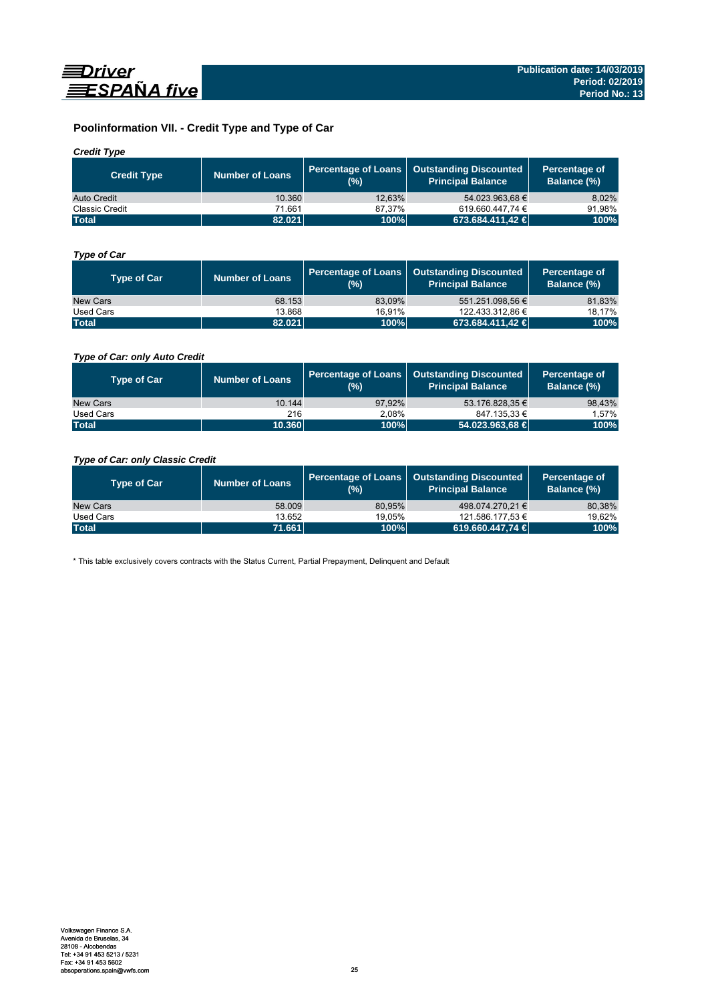

# **Poolinformation VII. - Credit Type and Type of Car**

# *Credit Type*

| <b>Credit Type</b>    | <b>Number of Loans</b> | $(%)^{1}$ | Percentage of Loans   Outstanding Discounted<br><b>Principal Balance</b> | Percentage of<br>Balance (%) |
|-----------------------|------------------------|-----------|--------------------------------------------------------------------------|------------------------------|
| Auto Credit           | 10.360                 | 12.63%    | 54.023.963.68 €                                                          | 8.02%                        |
| <b>Classic Credit</b> | 71.661                 | 87.37%    | 619.660.447.74 €                                                         | 91.98%                       |
| <b>Total</b>          | 82.021                 | 100%      | 673.684.411,42 €                                                         | 100%                         |

# *Type of Car*

| <b>Type of Car</b> | <b>Number of Loans</b> | (%)    | Percentage of Loans   Outstanding Discounted<br><b>Principal Balance</b> | Percentage of<br>Balance (%) |
|--------------------|------------------------|--------|--------------------------------------------------------------------------|------------------------------|
| New Cars           | 68.153                 | 83.09% | 551.251.098.56 €                                                         | 81,83%                       |
| Used Cars          | 13.868                 | 16.91% | 122.433.312.86 €                                                         | 18,17%                       |
| <b>Total</b>       | 82.021                 | 100%   | 673.684.411.42 €                                                         | 100%                         |

# *Type of Car: only Auto Credit*

| <b>Type of Car</b> | <b>Number of Loans</b> | (%)    | Percentage of Loans   Outstanding Discounted<br><b>Principal Balance</b> | Percentage of<br>Balance (%) |
|--------------------|------------------------|--------|--------------------------------------------------------------------------|------------------------------|
| New Cars           | 10.144                 | 97.92% | 53.176.828.35 €                                                          | 98,43%                       |
| Used Cars          | 216                    | 2.08%  | 847.135.33 €                                                             | 1.57%                        |
| <b>Total</b>       | 10.360                 | 100%   | 54.023.963,68 €                                                          | 100%                         |

# *Type of Car: only Classic Credit*

| <b>Type of Car</b> | <b>Number of Loans</b> | (%)    | Percentage of Loans   Outstanding Discounted<br><b>Principal Balance</b> | Percentage of<br>Balance (%) |
|--------------------|------------------------|--------|--------------------------------------------------------------------------|------------------------------|
| New Cars           | 58,009                 | 80.95% | 498.074.270.21 €                                                         | 80,38%                       |
| Used Cars          | 13.652                 | 19.05% | 121.586.177.53 €                                                         | 19,62%                       |
| <b>Total</b>       | 71.661                 | 100%   | 619.660.447.74 €                                                         | 100%                         |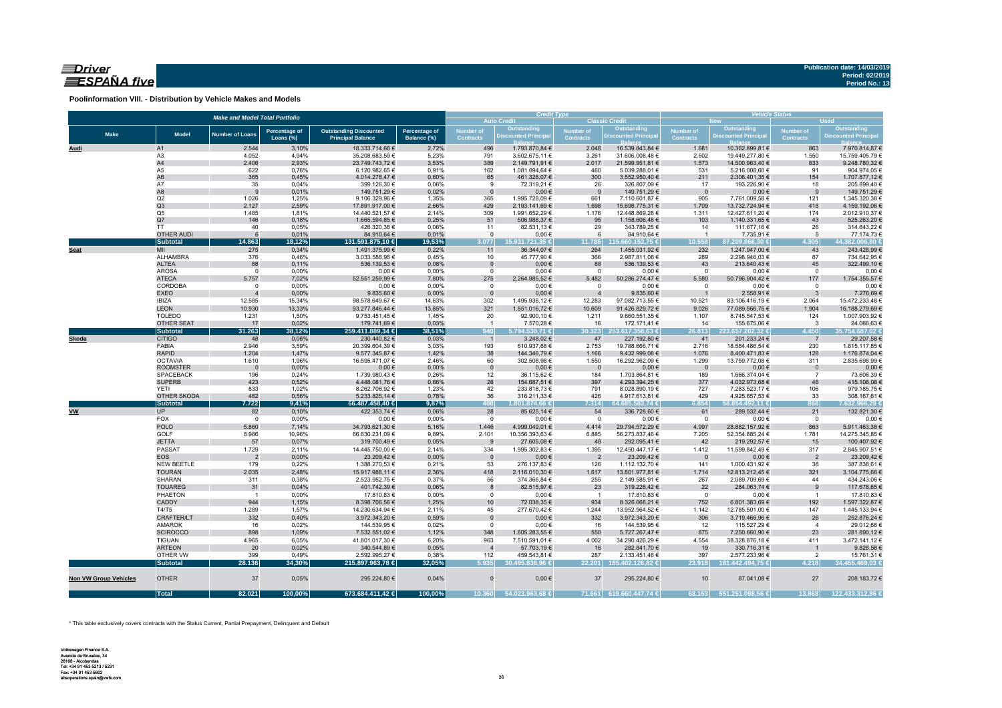# $\equiv$ Driver ESPAÑA five

**Poolinformation VIII. - Distribution by Vehicle Makes and Models**

| <b>Make and Model Total Portfolio</b> |                                |                                   |                      |                                  |                |                    | <b>Credit Type</b>                         |                                      |                                           | <b>Vehicle Status</b><br><b>Used</b><br><b>New</b> |                                  |                                      |                                  |  |  |  |
|---------------------------------------|--------------------------------|-----------------------------------|----------------------|----------------------------------|----------------|--------------------|--------------------------------------------|--------------------------------------|-------------------------------------------|----------------------------------------------------|----------------------------------|--------------------------------------|----------------------------------|--|--|--|
|                                       |                                |                                   |                      |                                  |                |                    | <b>Auto Credit</b>                         |                                      | <b>Classic Credit</b>                     |                                                    | Outstanding                      |                                      | Outstanding                      |  |  |  |
| <b>Make</b>                           | <b>Model</b>                   | <b>Number of Loans</b>            | <b>Percentage of</b> | <b>Outstanding Discounted</b>    | Percentage of  | <b>Number of</b>   | <b>Outstanding<br/>Discounted Principa</b> | <b>Number of</b><br><b>Contracts</b> | <b>Outstanding</b><br>Discounted Principa | Number of<br><b>Contracts</b>                      | <b>Discounted Principa</b>       | <b>Number of</b><br><b>Contracts</b> | <b>Discounted Principal</b>      |  |  |  |
|                                       |                                |                                   | Loans (%)            | <b>Principal Balance</b>         | Balance (%)    | <b>Contracts</b>   |                                            |                                      |                                           |                                                    |                                  |                                      |                                  |  |  |  |
| Audi                                  | A1                             | 2.544                             | 3,10%                | 18.333.714,68 €                  | 2,72%          | 496                | 1.793.870,84 €                             | 2.048                                | 16.539.843,84 €                           | 1.681                                              | 10.362.899,81 €                  | 863                                  | 7.970.814,87 €                   |  |  |  |
|                                       | A <sub>3</sub>                 | 4.052                             | 4,94%                | 35.208.683,59 €                  | 5,23%          | 791                | 3.602.675,11 €                             | 3.261                                | 31.606.008,48 €                           | 2.502                                              | 19.449.277,80 €                  | 1.550                                | 15.759.405,79 €                  |  |  |  |
|                                       | A4<br>A5                       | 2.406                             | 2,93%                | 23.749.743,72 €                  | 3,53%          | 389                | 2.149.791,91 €                             | 2.017                                | 21.599.951,81 €                           | 1.573                                              | 14.500.963,40 €                  | 833                                  | 9.248.780,32 €                   |  |  |  |
|                                       | A <sub>6</sub>                 | 622<br>365                        | 0,76%<br>0,45%       | 6.120.982,65 €<br>4.014.278,47 € | 0,91%<br>0,60% | 162<br>65          | 1.081.694,64 €<br>461.328,07 €             | 460<br>300                           | 5.039.288,01 €<br>3.552.950,40 €          | 531<br>211                                         | 5.216.008,60 €<br>2.306.401,35 € | 91<br>154                            | 904.974,05€<br>1.707.877,12 €    |  |  |  |
|                                       | A7                             | 35                                | 0,04%                | 399.126,30 €                     | 0,06%          | 9                  | 72.319,21 €                                | 26                                   | 326.807,09 €                              | 17                                                 | 193.226,90 €                     | 18                                   | 205.899,40 €                     |  |  |  |
|                                       | A8                             | 9                                 | 0,01%                | 149.751,29 €                     | 0,02%          | $\mathbf{0}$       | $0,00 \in$                                 | 9                                    | 149.751,29 €                              | $\overline{0}$                                     | $0,00 \in$                       | 9                                    | 149.751,29 €                     |  |  |  |
|                                       | Q2                             | 1.026                             | 1,25%                | 9.106.329,96 €                   | 1,35%          | 365                | 1.995.728,09 €                             | 661                                  | 7.110.601,87 €                            | 905                                                | 7.761.009,58 €                   | 121                                  | 1.345.320,38 €                   |  |  |  |
|                                       | Q3                             | 2.127                             | 2,59%                | 17.891.917,00 €                  | 2,66%          | 429                | 2.193.141,69 €                             | 1.698                                | 15.698.775,31 €                           | 1.709                                              | 13.732.724,94 €                  | 418                                  | 4.159.192,06 €                   |  |  |  |
|                                       | Q <sub>5</sub>                 | 1.485                             | 1,81%                | 14.440.521,57 €                  | 2,14%          | 309                | 1.991.652,29 €                             | 1.176                                | 12.448.869,28 €                           | 1.311                                              | 12.427.611,20 €                  | 174                                  | 2.012.910,37 €                   |  |  |  |
|                                       | Q7                             | 146                               | 0,18%                | 1.665.594,85 €                   | 0,25%          | 51                 | 506.988,37 €                               | 95                                   | 1.158.606,48 €                            | 103                                                | 1.140.331,65 €                   | 43                                   | 525.263,20 €                     |  |  |  |
|                                       | <b>TT</b>                      | 40                                | 0,05%                | 426.320,38 €                     | 0,06%          | 11                 | 82.531,13 €                                | 29                                   | 343.789,25 €                              | 14                                                 | 111.677,16€                      | 26                                   | 314.643,22 €                     |  |  |  |
|                                       | <b>OTHER AUDI</b>              | 6                                 | 0,01%                | 84.910,64 €                      | 0,01%          | $\mathbf{0}$       | $0,00 \in$                                 | 6                                    | 84.910,64 €                               | $\overline{1}$                                     | 7.735,91 €                       | 5                                    | 77.174,73€                       |  |  |  |
|                                       | <b>Subtotal</b>                | 14.863                            | 18,12%               | 131.591.875,10 €                 | 19,53%         | 3.077              | 15.931.721,35 €                            | 11.786                               | 115.660.153,75 €                          | 10.558                                             | 87.209.868.30 €                  | 4.305                                | 44.382.006.80 €                  |  |  |  |
| <b>Seat</b>                           | MII<br>ALHAMBRA                | 275<br>376                        | 0,34%<br>0,46%       | 1.491.375,99 €<br>3.033.588,98 € | 0,22%<br>0,45% | 11<br>10           | 36.344,07 €                                | 264<br>366                           | 1.455.031,92 €<br>2.987.811,08 €          | 232<br>289                                         | 1.247.947,00 €                   | 43<br>87                             | 243.428,99 €                     |  |  |  |
|                                       | <b>ALTEA</b>                   | 88                                | 0,11%                | 536.139,53 €                     | 0,08%          | $\overline{0}$     | 45.777,90 €<br>0,00€                       | 88                                   | 536.139,53 €                              | 43                                                 | 2.298.946,03 €<br>213.640,43 €   | 45                                   | 734.642,95 €<br>322.499,10 €     |  |  |  |
|                                       | <b>AROSA</b>                   | $\mathbf 0$                       | 0,00%                | $0,00 \in$                       | 0,00%          | $\mathbf 0$        | $0,00 \in$                                 | $\mathbf 0$                          | $0,00 \in$                                | $\overline{0}$                                     | $0,00 \in$                       | $\mathbf 0$                          | $0,00 \in$                       |  |  |  |
|                                       | <b>ATECA</b>                   | 5.757                             | 7,02%                | 52.551.259,99 €                  | 7,80%          | 275                | 2.264.985,52 €                             | 5.482                                | 50.286.274,47 €                           | 5.580                                              | 50.796.904,42 €                  | 177                                  | 1.754.355,57 €                   |  |  |  |
|                                       | CORDOBA                        | $\mathbf 0$                       | 0,00%                | $0,00 \in$                       | 0,00%          | $\mathsf 0$        | $0,00 \in$                                 | $\overline{0}$                       | $0,00 \in$                                | $\overline{0}$                                     | $0,00 \in$                       | $\overline{0}$                       | $0,00 \in$                       |  |  |  |
|                                       | <b>EXEO</b>                    |                                   | 0,00%                | 9.835,60 €                       | 0,00%          | $\Omega$           | $0,00 \in$                                 | $\overline{4}$                       | 9.835,60 €                                |                                                    | 2.558,91 €                       | $\mathbf{3}$                         | 7.276,69 €                       |  |  |  |
|                                       | <b>IBIZA</b>                   | 12.585                            | 15,34%               | 98.578.649,67 €                  | 14,63%         | 302                | 1.495.936,12 €                             | 12.283                               | 97.082.713,55 €                           | 10.521                                             | 83.106.416,19 €                  | 2.064                                | 15.472.233,48 €                  |  |  |  |
|                                       | <b>LEON</b>                    | 10.930                            | 13,33%               | 93.277.846,44 €                  | 13,85%         | 321                | 1.851.016,72 €                             | 10.609                               | 91.426.829,72 €                           | 9.026                                              | 77.089.566,75 €                  | 1.904                                | 16.188.279,69 €                  |  |  |  |
|                                       | <b>TOLEDO</b>                  | 1.231                             | 1,50%                | 9.753.451,45€                    | 1,45%          | 20                 | 92.900,10 €                                | 1.211                                | 9.660.551,35 €                            | 1.107                                              | 8.745.547,53 €                   | 124                                  | 1.007.903,92 €                   |  |  |  |
|                                       | OTHER SEAT                     | 17                                | 0,02%                | 179.741,69€                      | 0,03%          | $\overline{1}$     | 7.570,28 €                                 | 16                                   | 172.171,41 €                              | 14                                                 | 155.675,06 €                     | $\overline{\mathbf{3}}$              | 24.066,63€                       |  |  |  |
|                                       | <b>Subtotal</b>                | 31.263                            | 38,12%               | 259.411.889,34 €                 | 38,51%         | 940                | 5.794.530,71 €                             | 30.323                               | 253.617.358,63 €                          | 26.813                                             | 223.657.202,32 €                 | 4.450                                | 35.754.687,02 €                  |  |  |  |
| Skoda                                 | <b>CITIGO</b>                  | 48                                | 0,06%                | 230.440,82 €                     | 0,03%          | $\overline{1}$     | 3.248,02 €                                 | 47                                   | 227.192,80 €                              | 41                                                 | 201.233,24 €                     | $\overline{7}$                       | 29.207,58€                       |  |  |  |
|                                       | FABIA                          | 2.946                             | 3,59%                | 20.399.604,39 €                  | 3,03%          | 193                | 610.937,68 €                               | 2.753                                | 19.788.666,71 €                           | 2.716                                              | 18.584.486,54 €                  | 230                                  | 1.815.117,85 €                   |  |  |  |
|                                       | <b>RAPID</b><br><b>OCTAVIA</b> | 1.204                             | 1,47%<br>1,96%       | 9.577.345,87 €                   | 1,42%<br>2,46% | 38<br>60           | 144.346,79 €                               | 1.166                                | 9.432.999,08 €                            | 1.076                                              | 8.400.471,83 €                   | 128<br>311                           | 1.176.874,04 €<br>2.835.698,99 € |  |  |  |
|                                       | <b>ROOMSTER</b>                | 1.610<br>$\overline{\phantom{0}}$ | 0,00%                | 16.595.471,07 €<br>$0,00 \in$    | 0,00%          | $\mathbf 0$        | 302.508,98 €<br>$0,00 \in$                 | 1.550<br>$\overline{\phantom{0}}$    | 16.292.962,09 €<br>$0,00 \in$             | 1.299<br>$\overline{\phantom{0}}$                  | 13.759.772,08 €<br>$0,00 \in$    | $\overline{0}$                       | $0,00 \in$                       |  |  |  |
|                                       | <b>SPACEBACK</b>               | 196                               | 0,24%                | 1.739.980,43 €                   | 0,26%          | 12                 | 36.115,62 €                                | 184                                  | 1.703.864,81 €                            | 189                                                | 1.666.374,04 €                   | $\overline{7}$                       | 73.606,39€                       |  |  |  |
|                                       | <b>SUPERB</b>                  | 423                               | 0,52%                | 4.448.081,76 €                   | 0,66%          | 26                 | 154.687,51 €                               | 397                                  | 4.293.394,25 €                            | 377                                                | 4.032.973,68 €                   | 46                                   | 415.108,08€                      |  |  |  |
|                                       | <b>YETI</b>                    | 833                               | 1,02%                | 8.262.708,92 €                   | 1,23%          | 42                 | 233.818,73 €                               | 791                                  | 8.028.890,19 €                            | 727                                                | 7.283.523,17 €                   | 106                                  | 979.185,75€                      |  |  |  |
|                                       | OTHER SKODA                    | 462                               | 0,56%                | 5.233.825,14 €                   | 0,78%          | 36                 | 316.211,33 €                               | 426                                  | 4.917.613,81 €                            | 429                                                | 4.925.657,53 €                   | 33                                   | 308.167,61 €                     |  |  |  |
|                                       | <b>Subtotal</b>                | 7.722                             | 9,41%                | 66.487.458,40 €                  | 9,87%          | 408                | .801.874,66 €                              | 7.314                                | 64.685.583,74€                            | 6.854                                              | 58.854.492,11 €                  | 868                                  | 7.632.966,29 €                   |  |  |  |
| <b>VW</b>                             | <b>UP</b>                      | 82                                | 0,10%                | 422.353,74 €                     | 0,06%          | 28                 | 85.625,14 €                                | 54                                   | 336.728,60 €                              | 61                                                 | 289.532,44 €                     | 21                                   | 132.821,30 €                     |  |  |  |
|                                       | FOX                            | $\overline{0}$                    | 0,00%                | 0,00€                            | 0,00%          | $\mathbf 0$        | $0,00 \in$                                 | $\overline{0}$                       | $0,00 \in$                                | $\overline{0}$                                     | $0,00 \in$                       | $\overline{0}$                       | $0,00 \in$                       |  |  |  |
|                                       | <b>POLO</b>                    | 5.860                             | 7,14%                | 34.793.621,30 €                  | 5,16%          | 1.446              | 4.999.049,01 €                             | 4.414                                | 29.794.572,29 €                           | 4.997                                              | 28.882.157,92 €                  | 863                                  | 5.911.463,38 €                   |  |  |  |
|                                       | GOLF                           | 8.986                             | 10,96%               | 66.630.231,09 €                  | 9,89%          | 2.101              | 10.356.393,63 €                            | 6.885                                | 56.273.837,46 €                           | 7.205                                              | 52.354.885,24 €                  | 1.781                                | 14.275.345,85 €                  |  |  |  |
|                                       | <b>JETTA</b>                   | 57                                | 0,07%                | 319.700,49€                      | 0,05%          | 9                  | 27.605,08 €                                | 48                                   | 292.095,41€                               | 42                                                 | 219.292,57 €                     | 15                                   | 100.407,92 €                     |  |  |  |
|                                       | PASSAT<br><b>EOS</b>           | 1.729<br>$\overline{2}$           | 2,11%<br>0,00%       | 14.445.750,00 €<br>23.209,42 €   | 2,14%<br>0,00% | 334<br>$\mathbf 0$ | 1.995.302,83 €                             | 1.395                                | 12.450.447,17 €<br>23.209,42 €            | 1.412                                              | 11.599.842,49 €                  | 317                                  | 2.845.907,51 €<br>23.209,42€     |  |  |  |
|                                       | NEW BEETLE                     | 179                               | 0,22%                | 1.388.270,53 €                   | 0,21%          | 53                 | $0,00 \in$<br>276.137,83 €                 | $\overline{2}$<br>126                | 1.112.132,70 €                            | $\overline{\mathbf{0}}$<br>141                     | $0,00 \in$<br>1.000.431,92 €     | $\overline{2}$<br>38                 | 387.838,61 €                     |  |  |  |
|                                       | <b>TOURAN</b>                  | 2.035                             | 2,48%                | 15.917.988,11 €                  | 2,36%          | 418                | 2.116.010,30 €                             | 1.617                                | 13.801.977,81 €                           | 1.714                                              | 12.813.212,45 €                  | 321                                  | 3.104.775,66 €                   |  |  |  |
|                                       | SHARAN                         | 311                               | 0,38%                | 2.523.952,75 €                   | 0,37%          | 56                 | 374.366,84 €                               | 255                                  | 2.149.585,91 €                            | 267                                                | 2.089.709,69 €                   | 44                                   | 434.243,06 €                     |  |  |  |
|                                       | <b>TOUAREG</b>                 | 31                                | 0,04%                | 401.742,39 €                     | 0,06%          | 8                  | 82.515,97 €                                | 23                                   | 319.226,42€                               | 22                                                 | 284.063,74 €                     | 9                                    | 117.678,65 €                     |  |  |  |
|                                       | PHAETON                        | $\overline{1}$                    | 0,00%                | 17.810,83 €                      | 0,00%          | $\mathsf 0$        | $0,00 \in$                                 | $\overline{1}$                       | 17.810,83 €                               | $\overline{0}$                                     | $0,00 \in$                       | $\overline{1}$                       | 17.810,83 €                      |  |  |  |
|                                       | CADDY                          | 944                               | 1,15%                | 8.398.706,56 €                   | 1,25%          | 10                 | 72.038,35 €                                | 934                                  | 8.326.668,21 €                            | 752                                                | 6.801.383,69 €                   | 192                                  | 1.597.322,87 €                   |  |  |  |
|                                       | T4/T5                          | 1.289                             | 1,57%                | 14.230.634,94 €                  | 2,11%          | 45                 | 277.670,42 €                               | 1.244                                | 13.952.964,52 €                           | 1.142                                              | 12.785.501,00 €                  | 147                                  | 1.445.133,94 €                   |  |  |  |
|                                       | CRAFTER/LT                     | 332                               | 0,40%                | 3.972.343,20 €                   | 0,59%          | $\overline{0}$     | $0,00 \in$                                 | 332                                  | 3.972.343,20 €                            | 306                                                | 3.719.466,96 €                   | 26                                   | 252.876,24 €                     |  |  |  |
|                                       | <b>AMAROK</b>                  | 16                                | 0,02%                | 144.539,95 €                     | 0,02%          | $\mathsf 0$        | $0,00 \in$                                 | 16                                   | 144.539,95 €                              | 12                                                 | 115.527,29 €                     | 4                                    | 29.012,66 €                      |  |  |  |
|                                       | <b>SCIROCCO</b>                | 898                               | 1,09%                | 7.532.551,02 €                   | 1,12%          | 348                | 1.805.283,55 €                             | 550                                  | 5.727.267,47 €                            | 875                                                | 7.250.660,90 €                   | 23                                   | 281.890,12 €                     |  |  |  |
|                                       | <b>TIGUAN</b>                  | 4.965                             | 6,05%                | 41.801.017,30 €                  | 6,20%          | 963                | 7.510.591,01 €                             | 4.002                                | 34.290.426,29 €                           | 4.554                                              | 38.328.876,18 €                  | 411                                  | 3.472.141,12 €                   |  |  |  |
|                                       | <b>ARTEON</b>                  | 20                                | 0,02%                | 340.544,89 €                     | 0,05%          | $\overline{4}$     | 57.703,19€                                 | 16                                   | 282.841,70 €                              | 19                                                 | 330.716,31 €                     | $\overline{1}$                       | 9.828,58 €                       |  |  |  |
|                                       | OTHER VW                       | 399                               | 0,49%                | 2.592.995,27 €                   | 0,38%          | 112                | 459.543,81 €                               | 287                                  | 2.133.451,46 €                            | 397                                                | 2.577.233,96 €                   | 2                                    | 15.761,31 €                      |  |  |  |
|                                       | <b>Subtotal</b>                | 28.136                            | 34,30%               | 215.897.963,78 €                 | 32,05%         | 5.935              | 30.495.836,96 €                            | 22.201                               | 185.402.126,82 €                          | 23.918                                             | 181.442.494,75 €                 | 4.218                                | 34.455.469,03 €                  |  |  |  |
| <b>Non VW Group Vehicles</b>          | <b>OTHER</b>                   | 37                                | 0,05%                | 295.224,80 €                     | 0,04%          | $\Omega$           | $0,00 \in$                                 | 37                                   | 295.224,80 €                              | 10                                                 | 87.041,08 €                      | 27                                   | 208.183,72€                      |  |  |  |
|                                       | <b>Total</b>                   | 82.021                            | 100,00%              | 673.684.411,42 €                 | 100,00%        | 10.360             | 54.023.963,68 €                            |                                      | 71.661 619.660.447,74 €                   | 68.153                                             | 551.251.098,56 €                 | 13.868                               | 122.433.312,86 €                 |  |  |  |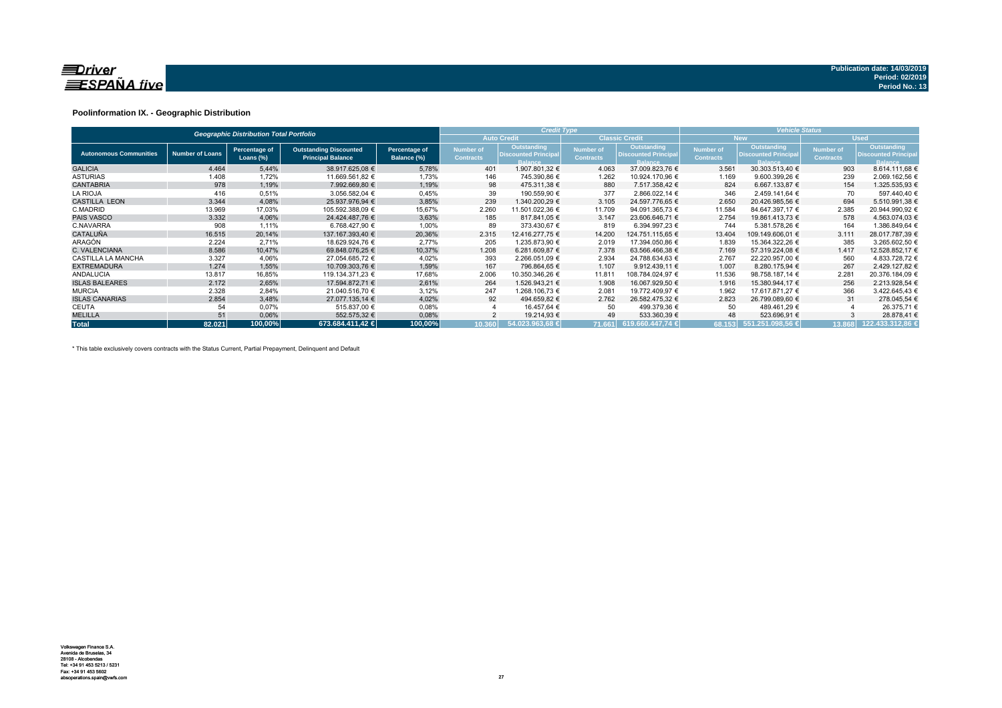

## **Poolinformation IX. - Geographic Distribution**

| <b>Geographic Distribution Total Portfolio</b> |                        |                            |                                                           |                              |                               | <b>Credit Type</b>                                           |                                      |                                                              | <b>Vehicle Status</b>                |                                                                     |                               |                                                             |  |  |
|------------------------------------------------|------------------------|----------------------------|-----------------------------------------------------------|------------------------------|-------------------------------|--------------------------------------------------------------|--------------------------------------|--------------------------------------------------------------|--------------------------------------|---------------------------------------------------------------------|-------------------------------|-------------------------------------------------------------|--|--|
|                                                |                        |                            |                                                           |                              |                               | <b>Auto Credit</b>                                           |                                      | <b>Classic Credit</b>                                        |                                      | <b>New</b>                                                          |                               | <b>Used</b>                                                 |  |  |
| <b>Autonomous Communities</b>                  | <b>Number of Loans</b> | Percentage of<br>Loans (%) | <b>Outstanding Discounted</b><br><b>Principal Balance</b> | Percentage of<br>Balance (%) | Number of<br><b>Contracts</b> | Outstanding<br><b>Discounted Principal</b><br><b>Balance</b> | <b>Number of</b><br><b>Contracts</b> | Outstanding<br><b>Discounted Principal</b><br><b>Balance</b> | <b>Number of</b><br><b>Contracts</b> | <b>Outstanding</b><br><b>Discounted Principal</b><br><b>Balance</b> | Number of<br><b>Contracts</b> | Outstanding<br><b>Discounted Principa</b><br><b>Balance</b> |  |  |
| <b>GALICIA</b>                                 | 4.464                  | 5,44%                      | 38.917.625,08 €                                           | 5,78%                        | 401                           | 1.907.801,32 €                                               | 4.063                                | 37.009.823,76 €                                              | 3.561                                | 30.303.513,40 €                                                     | 903                           | 8.614.111,68 €                                              |  |  |
| <b>ASTURIAS</b>                                | 1.408                  | 1,72%                      | 11.669.561,82 €                                           | 1,73%                        | 146                           | 745.390,86 €                                                 | 1.262                                | 10.924.170,96 €                                              | 1.169                                | 9.600.399,26 €                                                      | 239                           | 2.069.162,56 €                                              |  |  |
| <b>CANTABRIA</b>                               | 978                    | 1,19%                      | 7.992.669.80 €                                            | 1,19%                        | 98                            | 475.311.38 €                                                 | 880                                  | 7.517.358.42 €                                               | 824                                  | 6.667.133.87 €                                                      | 154                           | 1.325.535,93 €                                              |  |  |
| <b>LA RIOJA</b>                                | 416                    | 0.51%                      | 3.056.582.04 €                                            | 0,45%                        | 39                            | 190.559.90 €                                                 | 377                                  | 2.866.022.14 €                                               | 346                                  | 2.459.141.64 €                                                      | 70                            | 597.440.40 €                                                |  |  |
| <b>CASTILLA LEON</b>                           | 3.344                  | 4,08%                      | 25.937.976,94 €                                           | 3,85%                        | 239                           | 1.340.200.29 €                                               | 3.105                                | 24.597.776,65 €                                              | 2.650                                | 20.426.985,56 €                                                     | 694                           | 5.510.991,38 €                                              |  |  |
| C.MADRID                                       | 13.969                 | 17,03%                     | 105.592.388,09 €                                          | 15,67%                       | 2.260                         | 11.501.022,36 €                                              | 11.709                               | 94.091.365,73 €                                              | 11.584                               | 84.647.397,17 €                                                     | 2.385                         | 20.944.990,92 €                                             |  |  |
| <b>PAIS VASCO</b>                              | 3.332                  | 4,06%                      | 24.424.487.76 €                                           | 3,63%                        | 185                           | 817.841.05 €                                                 | 3.147                                | 23.606.646.71 €                                              | 2.754                                | 19.861.413.73 €                                                     | 578                           | 4.563.074,03 €                                              |  |  |
| C.NAVARRA                                      | 908                    | 1,11%                      | 6.768.427.90 €                                            | 1,00%                        | 89                            | 373.430.67 €                                                 | 819                                  | 6.394.997.23 €                                               | 744                                  | 5.381.578.26 €                                                      | 164                           | 1.386.849,64 €                                              |  |  |
| <b>CATALUÑA</b>                                | 16.515                 | 20,14%                     | 137.167.393.40 €                                          | 20,36%                       | 2.315                         | 12.416.277.75 €                                              | 14.200                               | 124.751.115.65 €                                             | 13.404                               | 109.149.606.01 €                                                    | 3.111                         | 28.017.787,39 €                                             |  |  |
| ARAGÓN                                         | 2.224                  | 2.71%                      | 18.629.924.76 €                                           | 2,77%                        | 205                           | 1.235.873.90 €                                               | 2.019                                | 17.394.050.86 €                                              | 1.839                                | 15.364.322,26 €                                                     | 385                           | 3.265.602,50 €                                              |  |  |
| C. VALENCIANA                                  | 8.586                  | 10.47%                     | 69.848.076.25 €                                           | 10,37%                       | 1.208                         | 6.281.609.87 €                                               | 7.378                                | 63.566.466.38 €                                              | 7.169                                | 57.319.224.08 €                                                     | 1.417                         | 12.528.852.17 €                                             |  |  |
| <b>CASTILLA LA MANCHA</b>                      | 3.327                  | 4,06%                      | 27.054.685,72 €                                           | 4,02%                        | 393                           | 2.266.051,09 €                                               | 2.934                                | 24.788.634,63 €                                              | 2.767                                | 22.220.957,00 €                                                     | 560                           | 4.833.728,72 €                                              |  |  |
| <b>EXTREMADURA</b>                             | 1.274                  | 1,55%                      | 10.709.303,76 €                                           | 1,59%                        | 167                           | 796.864.65 €                                                 | 1.107                                | $9.912.439,11 \in$                                           | 1.007                                | 8.280.175,94 €                                                      | 267                           | 2.429.127.82 €                                              |  |  |
| <b>ANDALUCIA</b>                               | 13.817                 | 16,85%                     | 119.134.371.23 €                                          | 17,68%                       | 2.006                         | 10.350.346.26 €                                              | 11.811                               | 108.784.024,97 €                                             | 11.536                               | 98.758.187.14 €                                                     | 2.281                         | 20.376.184,09 €                                             |  |  |
| <b>ISLAS BALEARES</b>                          | 2.172                  | 2,65%                      | 17.594.872.71 €                                           | 2,61%                        | 264                           | 1.526.943.21 €                                               | 1.908                                | 16.067.929.50 €                                              | 1.916                                | 15.380.944.17 €                                                     | 256                           | 2.213.928.54 €                                              |  |  |
| <b>MURCIA</b>                                  | 2.328                  | 2,84%                      | 21.040.516.70 €                                           | 3,12%                        | 247                           | 1.268.106,73 €                                               | 2.081                                | 19.772.409,97 €                                              | 1.962                                | 17.617.871.27 €                                                     | 366                           | 3.422.645,43 €                                              |  |  |
| <b>ISLAS CANARIAS</b>                          | 2.854                  | 3,48%                      | 27.077.135.14 €                                           | 4,02%                        | 92                            | 494.659,82 €                                                 | 2.762                                | 26.582.475,32 €                                              | 2.823                                | 26.799.089.60 €                                                     | 31                            | 278.045,54 €                                                |  |  |
| <b>CEUTA</b>                                   | 54                     | 0,07%                      | 515.837,00 €                                              | 0,08%                        |                               | 16.457,64 €                                                  | 50                                   | 499.379,36 €                                                 | 50                                   | 489.461,29 €                                                        |                               | 26.375,71 €                                                 |  |  |
| <b>MELILLA</b>                                 | 51                     | 0,06%                      | 552.575,32 €                                              | 0,08%                        |                               | 19.214,93 €                                                  | 49                                   | 533.360,39 €                                                 | 48                                   | 523.696,91 €                                                        |                               | 28.878,41 €                                                 |  |  |
| <b>Total</b>                                   | 82.021                 | 100,00%                    | 673.684.411.42 €                                          | 100,00%                      | 10.360                        | $54.023.963.68 \in$                                          |                                      | 71.661 619.660.447,74 €                                      |                                      | 68.153 551.251.098,56 €                                             | 13.868                        | 122.433.312.86                                              |  |  |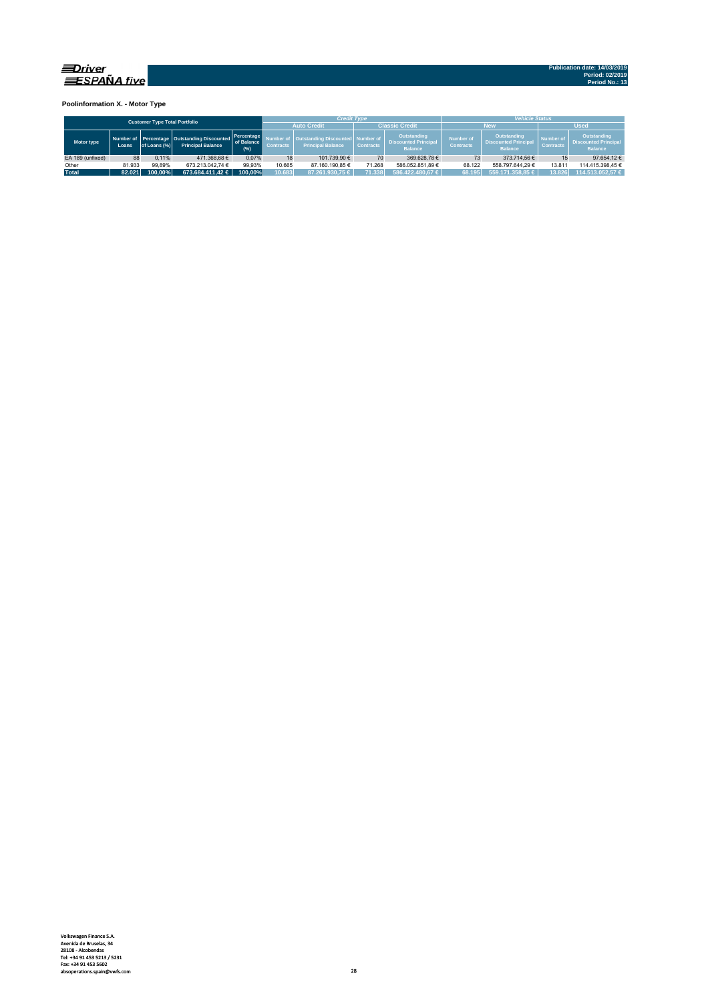

**Poolinformation X. - Motor Type**

| <b>Customer Type Total Portfolio</b> |        |              |                                                                             |                                  |                    |                                                                       | <b>Credit Type</b>    |                                                              | <b>Vehicle Status</b>                |                                                                     |                               |                                                              |  |  |
|--------------------------------------|--------|--------------|-----------------------------------------------------------------------------|----------------------------------|--------------------|-----------------------------------------------------------------------|-----------------------|--------------------------------------------------------------|--------------------------------------|---------------------------------------------------------------------|-------------------------------|--------------------------------------------------------------|--|--|
|                                      |        |              |                                                                             |                                  | <b>Auto Credit</b> |                                                                       | <b>Classic Credit</b> |                                                              | <b>New</b>                           | <b>Used</b>                                                         |                               |                                                              |  |  |
| Motor type                           | Loans. | of Loans (%) | Number of Percentage   Outstanding Discounted  <br><b>Principal Balance</b> | Percentage<br>of Balance<br>(% ) | <b>Contracts</b>   | <b>Outstanding Discounted   Number of</b><br><b>Principal Balance</b> | <b>Contracts</b>      | Outstanding<br><b>Discounted Principal</b><br><b>Balance</b> | <b>Number of</b><br><b>Contracts</b> | <b>Outstanding</b><br><b>Discounted Principal</b><br><b>Balance</b> | Number of<br><b>Contracts</b> | Outstanding<br><b>Discounted Principal</b><br><b>Balance</b> |  |  |
| EA 189 (unfixed)                     | 88     | 0.11%        | 471.368.68€                                                                 | 0.07%                            | 18                 | 101.739.90 €                                                          | 70                    | 369.628.78 €                                                 |                                      | 373.714.56 €                                                        |                               | 97.654.12 €                                                  |  |  |
| Other                                | 81.933 | 99.89%       | 673.213.042.74 €                                                            | 99.93%                           | 10.665             | 87.160.190.85 €                                                       | 71.268                | 586.052.851.89 €                                             | 68.122                               | 558.797.644.29 €                                                    | 13.811                        | 114.415.398.45 €                                             |  |  |
| <b>Total</b>                         | 82.021 | 100.00%      | $673.684.411.42 \in$                                                        | 100.00%                          | 10.683             | 87.261.930.75 €                                                       | 71.338                | $586.422.480.67 \in$                                         | 68.195                               | $559.171.358.85 \in$                                                | 13.826                        | 114.513.052.57 €                                             |  |  |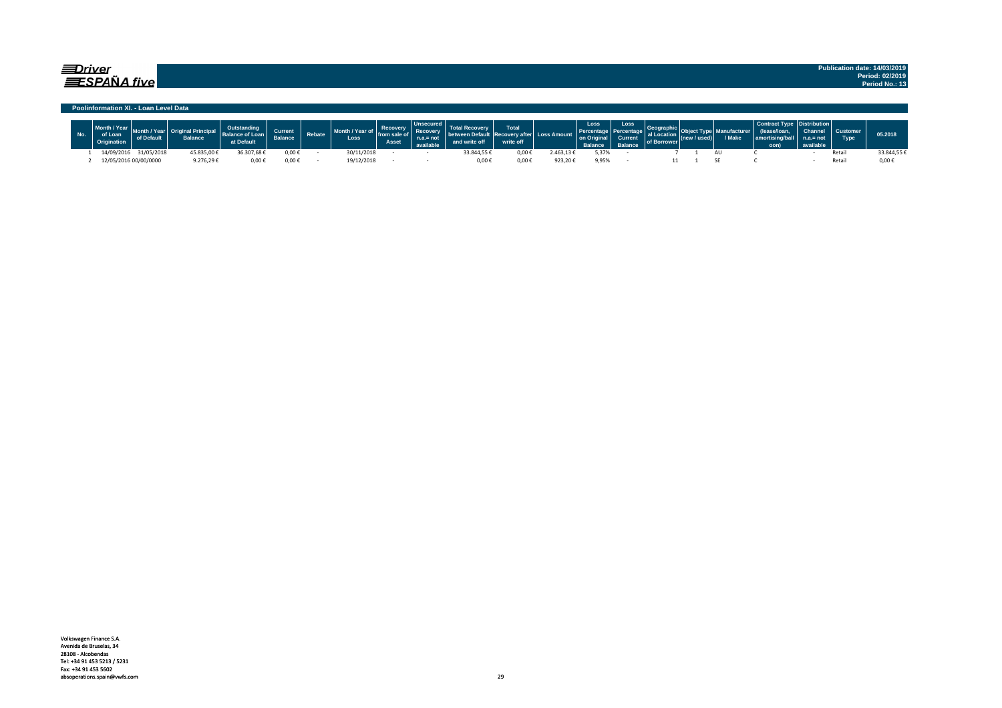## $\equiv$ Driver  $\equiv$ SPAÑA five

#### **Poolinformation XI. - Loan Level Data**

| Loar       |                       | Balance    | at Default  | <b>Current</b><br>$P$ alance | Rebate | Month / Year<br>ot i<br>Loss | <b>Recovery</b><br>from<br>Asset |           | <b>Total</b><br>write off | <b>Loss Amount</b> | Loss<br>on Original<br><b>Ralance</b> | Loss<br>Current<br>Ralance | of Borrow | / Make | amortisinɑ/b<br>oon) | <b>Channel</b><br>not | <b>Type</b> | 05.2018    |
|------------|-----------------------|------------|-------------|------------------------------|--------|------------------------------|----------------------------------|-----------|---------------------------|--------------------|---------------------------------------|----------------------------|-----------|--------|----------------------|-----------------------|-------------|------------|
| 14/09/2016 | 31/05/2018            | 45.835,00€ | 36.307,68 € | 0,00€                        |        | 30/11/2018                   |                                  | 33.844,55 | $0,00*$                   | .463,136           | 5,37%                                 |                            |           |        |                      |                       | Reta        | 33.844.55€ |
|            | 12/05/2016 00/00/0000 | 9.276.29€  | 0.00€       | $0,00 \in$                   |        | 19/12/2018                   |                                  | 0,00      | 0,00€                     | 923,20€            | 9,95%                                 |                            |           |        |                      |                       | Reta        | $0,00 \in$ |